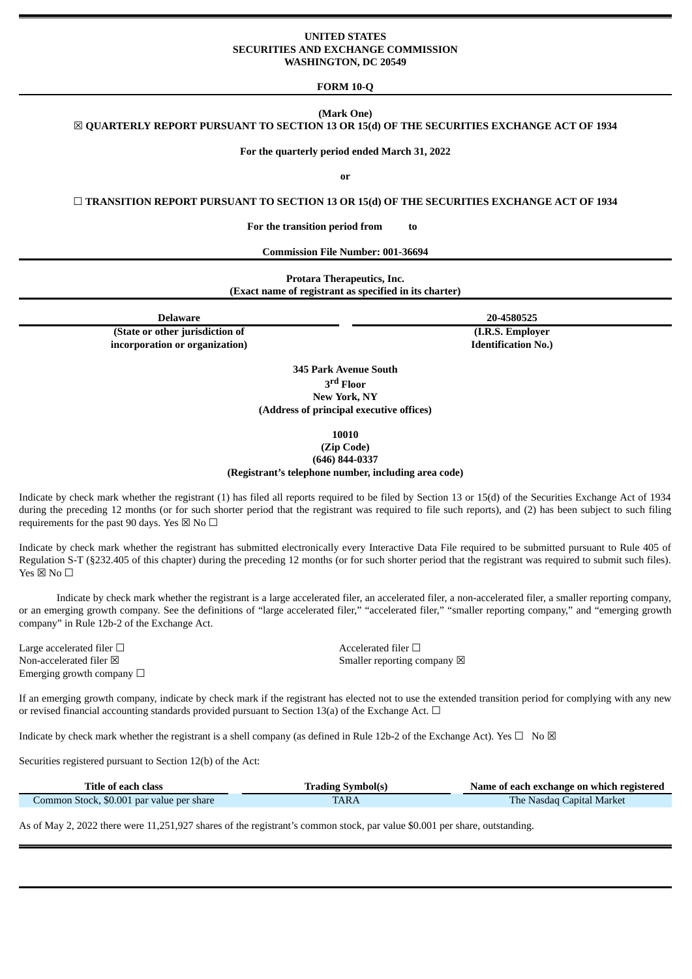## **UNITED STATES SECURITIES AND EXCHANGE COMMISSION WASHINGTON, DC 20549**

**FORM 10-Q**

**(Mark One)**

☒ **QUARTERLY REPORT PURSUANT TO SECTION 13 OR 15(d) OF THE SECURITIES EXCHANGE ACT OF 1934**

## **For the quarterly period ended March 31, 2022**

**or**

# ☐ **TRANSITION REPORT PURSUANT TO SECTION 13 OR 15(d) OF THE SECURITIES EXCHANGE ACT OF 1934**

**For the transition period from to**

**Commission File Number: 001-36694**

# **Protara Therapeutics, Inc. (Exact name of registrant as specified in its charter)**

| <b>Delaware</b>                 | 20-4580525                 |
|---------------------------------|----------------------------|
| (State or other jurisdiction of | (I.R.S. Employer)          |
| incorporation or organization)  | <b>Identification No.)</b> |
|                                 |                            |

**345 Park Avenue South 3 rd Floor New York, NY (Address of principal executive offices)**

> **10010 (Zip Code) (646) 844-0337**

**(Registrant's telephone number, including area code)**

Indicate by check mark whether the registrant (1) has filed all reports required to be filed by Section 13 or 15(d) of the Securities Exchange Act of 1934 during the preceding 12 months (or for such shorter period that the registrant was required to file such reports), and (2) has been subject to such filing requirements for the past 90 days. Yes  $\boxtimes$  No  $\Box$ 

Indicate by check mark whether the registrant has submitted electronically every Interactive Data File required to be submitted pursuant to Rule 405 of Regulation S-T (§232.405 of this chapter) during the preceding 12 months (or for such shorter period that the registrant was required to submit such files).  $Yes \boxtimes No \square$ 

Indicate by check mark whether the registrant is a large accelerated filer, an accelerated filer, a non-accelerated filer, a smaller reporting company, or an emerging growth company. See the definitions of "large accelerated filer," "accelerated filer," "smaller reporting company," and "emerging growth company" in Rule 12b-2 of the Exchange Act.

 $\begin{array}{lll} \text{Large accelerated filter} \; \Box \hspace{2.5cm} \text{None} \; \text{accelerated filter} \; \Box \\ \text{Non-accelerated filter} \; \boxtimes \hspace{2.5cm} \text{Smaller reporting} \; \text{c} \end{array}$ Emerging growth company  $\Box$ 

Smaller reporting company  $\boxtimes$ 

If an emerging growth company, indicate by check mark if the registrant has elected not to use the extended transition period for complying with any new or revised financial accounting standards provided pursuant to Section 13(a) of the Exchange Act.  $\Box$ 

Indicate by check mark whether the registrant is a shell company (as defined in Rule 12b-2 of the Exchange Act). Yes  $\Box$  No  $\boxtimes$ 

Securities registered pursuant to Section 12(b) of the Act:

| Title of each class                       | <b>Trading Symbol(s)</b> | Name of each exchange on which registered |  |  |  |  |  |
|-------------------------------------------|--------------------------|-------------------------------------------|--|--|--|--|--|
| Common Stock, \$0.001 par value per share | TARA                     | The Nasdag Capital Market                 |  |  |  |  |  |

As of May 2, 2022 there were 11,251,927 shares of the registrant's common stock, par value \$0.001 per share, outstanding.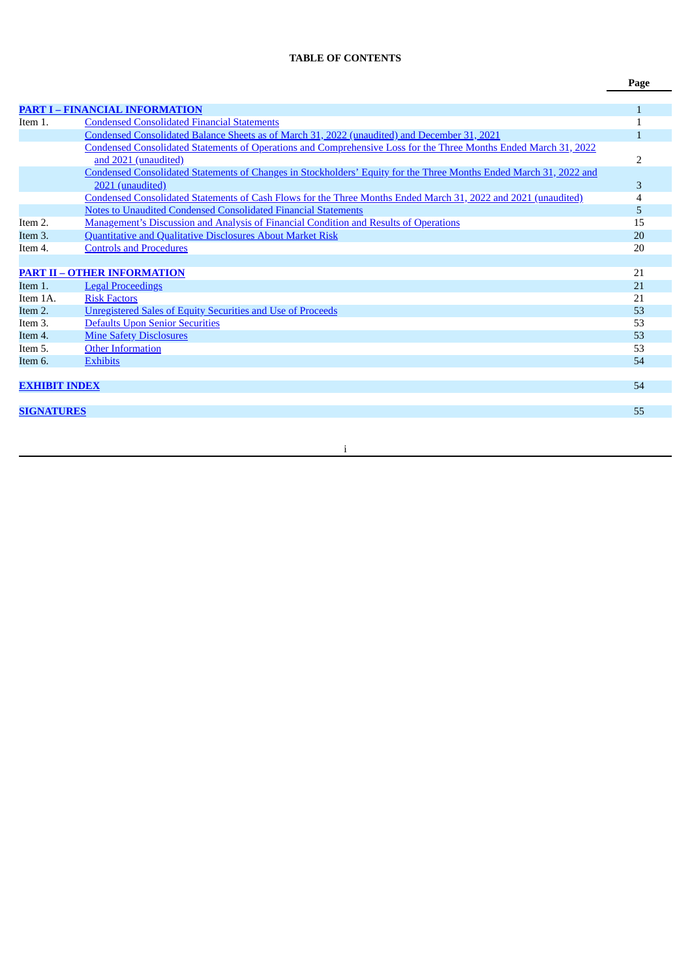# **TABLE OF CONTENTS**

|                      |                                                                                                                    | Page           |
|----------------------|--------------------------------------------------------------------------------------------------------------------|----------------|
|                      | <b>PART I - FINANCIAL INFORMATION</b>                                                                              |                |
| Item 1.              | <b>Condensed Consolidated Financial Statements</b>                                                                 |                |
|                      | Condensed Consolidated Balance Sheets as of March 31, 2022 (unaudited) and December 31, 2021                       |                |
|                      | Condensed Consolidated Statements of Operations and Comprehensive Loss for the Three Months Ended March 31, 2022   |                |
|                      | and 2021 (unaudited)                                                                                               | $\overline{2}$ |
|                      | Condensed Consolidated Statements of Changes in Stockholders' Equity for the Three Months Ended March 31, 2022 and |                |
|                      | 2021 (unaudited)                                                                                                   | 3              |
|                      | Condensed Consolidated Statements of Cash Flows for the Three Months Ended March 31, 2022 and 2021 (unaudited)     | 4              |
|                      | Notes to Unaudited Condensed Consolidated Financial Statements                                                     | 5              |
| Item 2.              | <b>Management's Discussion and Analysis of Financial Condition and Results of Operations</b>                       | 15             |
| Item 3.              | <b>Quantitative and Qualitative Disclosures About Market Risk</b>                                                  | 20             |
| Item 4.              | <b>Controls and Procedures</b>                                                                                     | 20             |
|                      |                                                                                                                    |                |
|                      | <b>PART II - OTHER INFORMATION</b>                                                                                 | 21             |
| Item 1.              | <b>Legal Proceedings</b>                                                                                           | 21             |
| Item 1A.             | <b>Risk Factors</b>                                                                                                | 21             |
| Item 2.              | <b>Unregistered Sales of Equity Securities and Use of Proceeds</b>                                                 | 53             |
| Item 3.              | <b>Defaults Upon Senior Securities</b>                                                                             | 53             |
| Item 4.              | <b>Mine Safety Disclosures</b>                                                                                     | 53             |
| Item 5.              | <b>Other Information</b>                                                                                           | 53             |
| Item 6.              | <b>Exhibits</b>                                                                                                    | 54             |
|                      |                                                                                                                    |                |
| <b>EXHIBIT INDEX</b> |                                                                                                                    | 54             |
|                      |                                                                                                                    |                |
| <b>SIGNATURES</b>    |                                                                                                                    | 55             |
|                      |                                                                                                                    |                |

i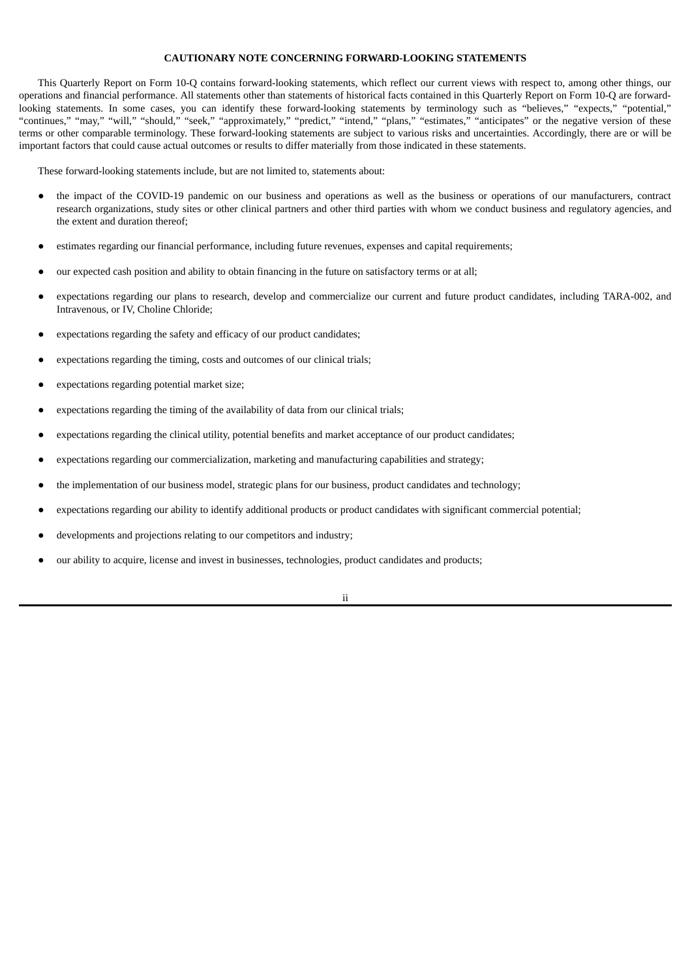## **CAUTIONARY NOTE CONCERNING FORWARD-LOOKING STATEMENTS**

This Quarterly Report on Form 10-Q contains forward-looking statements, which reflect our current views with respect to, among other things, our operations and financial performance. All statements other than statements of historical facts contained in this Quarterly Report on Form 10-Q are forwardlooking statements. In some cases, you can identify these forward-looking statements by terminology such as "believes," "expects," "potential," "continues," "may," "will," "should," "seek," "approximately," "predict," "intend," "plans," "estimates," "anticipates" or the negative version of these terms or other comparable terminology. These forward-looking statements are subject to various risks and uncertainties. Accordingly, there are or will be important factors that could cause actual outcomes or results to differ materially from those indicated in these statements.

These forward-looking statements include, but are not limited to, statements about:

- the impact of the COVID-19 pandemic on our business and operations as well as the business or operations of our manufacturers, contract research organizations, study sites or other clinical partners and other third parties with whom we conduct business and regulatory agencies, and the extent and duration thereof;
- estimates regarding our financial performance, including future revenues, expenses and capital requirements;
- our expected cash position and ability to obtain financing in the future on satisfactory terms or at all;
- expectations regarding our plans to research, develop and commercialize our current and future product candidates, including TARA-002, and Intravenous, or IV, Choline Chloride;
- expectations regarding the safety and efficacy of our product candidates;
- expectations regarding the timing, costs and outcomes of our clinical trials;
- expectations regarding potential market size;
- expectations regarding the timing of the availability of data from our clinical trials;
- expectations regarding the clinical utility, potential benefits and market acceptance of our product candidates;
- expectations regarding our commercialization, marketing and manufacturing capabilities and strategy;
- the implementation of our business model, strategic plans for our business, product candidates and technology;
- expectations regarding our ability to identify additional products or product candidates with significant commercial potential;
- developments and projections relating to our competitors and industry;
- our ability to acquire, license and invest in businesses, technologies, product candidates and products;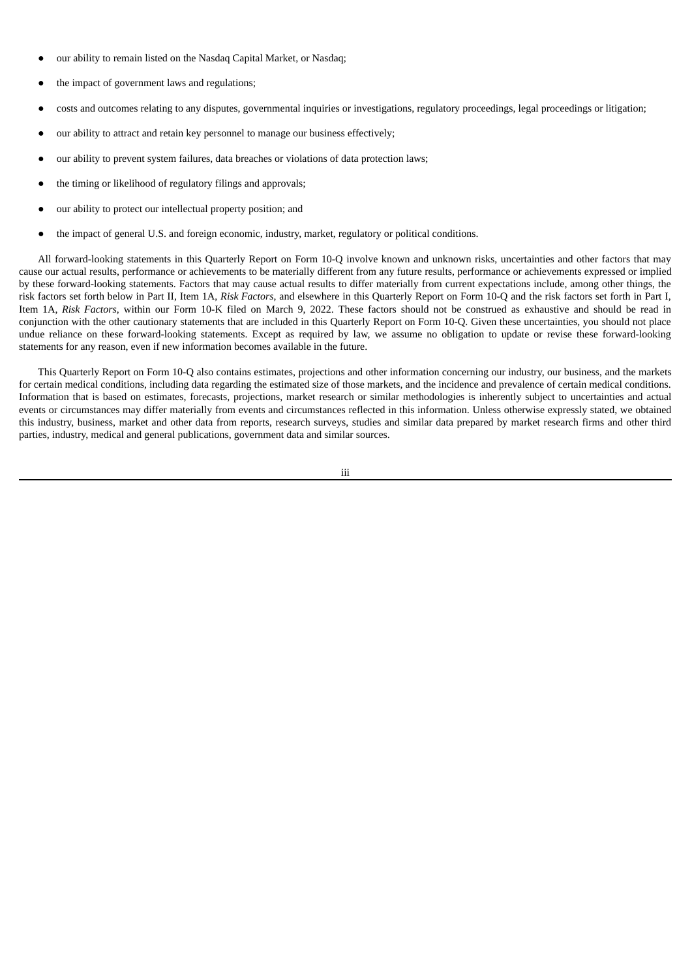- our ability to remain listed on the Nasdaq Capital Market, or Nasdaq;
- the impact of government laws and regulations;
- costs and outcomes relating to any disputes, governmental inquiries or investigations, regulatory proceedings, legal proceedings or litigation;
- our ability to attract and retain key personnel to manage our business effectively;
- our ability to prevent system failures, data breaches or violations of data protection laws;
- the timing or likelihood of regulatory filings and approvals;
- our ability to protect our intellectual property position; and
- the impact of general U.S. and foreign economic, industry, market, regulatory or political conditions.

All forward-looking statements in this Quarterly Report on Form 10-Q involve known and unknown risks, uncertainties and other factors that may cause our actual results, performance or achievements to be materially different from any future results, performance or achievements expressed or implied by these forward-looking statements. Factors that may cause actual results to differ materially from current expectations include, among other things, the risk factors set forth below in Part II, Item 1A, *Risk Factors*, and elsewhere in this Quarterly Report on Form 10-Q and the risk factors set forth in Part I, Item 1A, *Risk Factors*, within our Form 10-K filed on March 9, 2022. These factors should not be construed as exhaustive and should be read in conjunction with the other cautionary statements that are included in this Quarterly Report on Form 10-Q. Given these uncertainties, you should not place undue reliance on these forward-looking statements. Except as required by law, we assume no obligation to update or revise these forward-looking statements for any reason, even if new information becomes available in the future.

This Quarterly Report on Form 10-Q also contains estimates, projections and other information concerning our industry, our business, and the markets for certain medical conditions, including data regarding the estimated size of those markets, and the incidence and prevalence of certain medical conditions. Information that is based on estimates, forecasts, projections, market research or similar methodologies is inherently subject to uncertainties and actual events or circumstances may differ materially from events and circumstances reflected in this information. Unless otherwise expressly stated, we obtained this industry, business, market and other data from reports, research surveys, studies and similar data prepared by market research firms and other third parties, industry, medical and general publications, government data and similar sources.

iii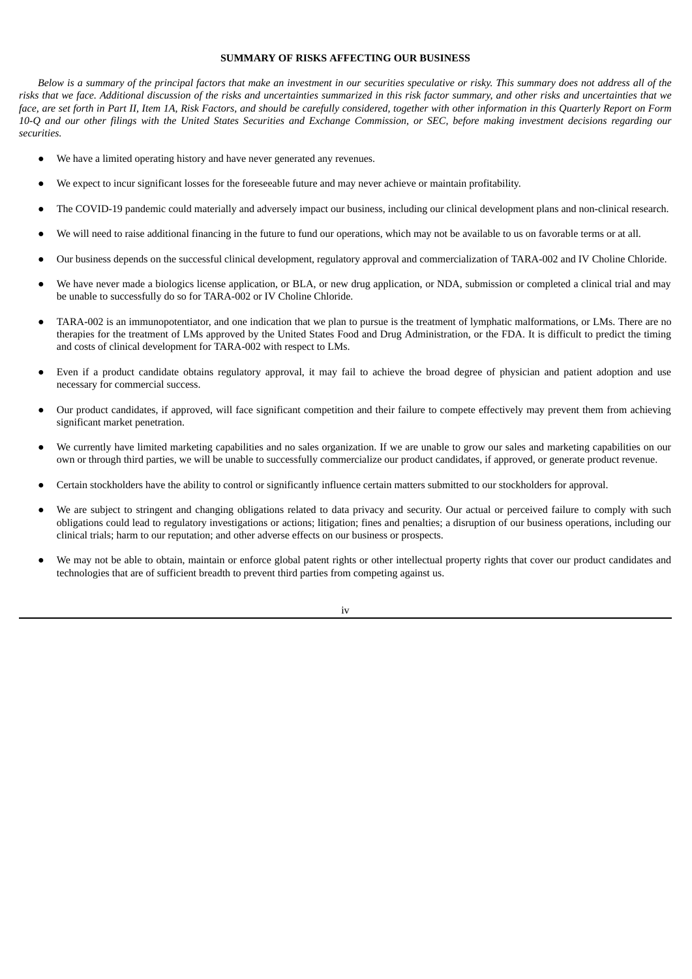## **SUMMARY OF RISKS AFFECTING OUR BUSINESS**

Below is a summary of the principal factors that make an investment in our securities speculative or risky. This summary does not address all of the risks that we face. Additional discussion of the risks and uncertainties summarized in this risk factor summary, and other risks and uncertainties that we face, are set forth in Part II, Item 1A, Risk Factors, and should be carefully considered, together with other information in this Quarterly Report on Form 10-Q and our other filings with the United States Securities and Exchange Commission, or SEC, before making investment decisions regarding our *securities.*

- We have a limited operating history and have never generated any revenues.
- We expect to incur significant losses for the foreseeable future and may never achieve or maintain profitability.
- The COVID-19 pandemic could materially and adversely impact our business, including our clinical development plans and non-clinical research.
- We will need to raise additional financing in the future to fund our operations, which may not be available to us on favorable terms or at all.
- Our business depends on the successful clinical development, regulatory approval and commercialization of TARA-002 and IV Choline Chloride.
- We have never made a biologics license application, or BLA, or new drug application, or NDA, submission or completed a clinical trial and may be unable to successfully do so for TARA-002 or IV Choline Chloride.
- TARA-002 is an immunopotentiator, and one indication that we plan to pursue is the treatment of lymphatic malformations, or LMs. There are no therapies for the treatment of LMs approved by the United States Food and Drug Administration, or the FDA. It is difficult to predict the timing and costs of clinical development for TARA-002 with respect to LMs.
- Even if a product candidate obtains regulatory approval, it may fail to achieve the broad degree of physician and patient adoption and use necessary for commercial success.
- Our product candidates, if approved, will face significant competition and their failure to compete effectively may prevent them from achieving significant market penetration.
- We currently have limited marketing capabilities and no sales organization. If we are unable to grow our sales and marketing capabilities on our own or through third parties, we will be unable to successfully commercialize our product candidates, if approved, or generate product revenue.
- Certain stockholders have the ability to control or significantly influence certain matters submitted to our stockholders for approval.
- We are subject to stringent and changing obligations related to data privacy and security. Our actual or perceived failure to comply with such obligations could lead to regulatory investigations or actions; litigation; fines and penalties; a disruption of our business operations, including our clinical trials; harm to our reputation; and other adverse effects on our business or prospects.
- We may not be able to obtain, maintain or enforce global patent rights or other intellectual property rights that cover our product candidates and technologies that are of sufficient breadth to prevent third parties from competing against us.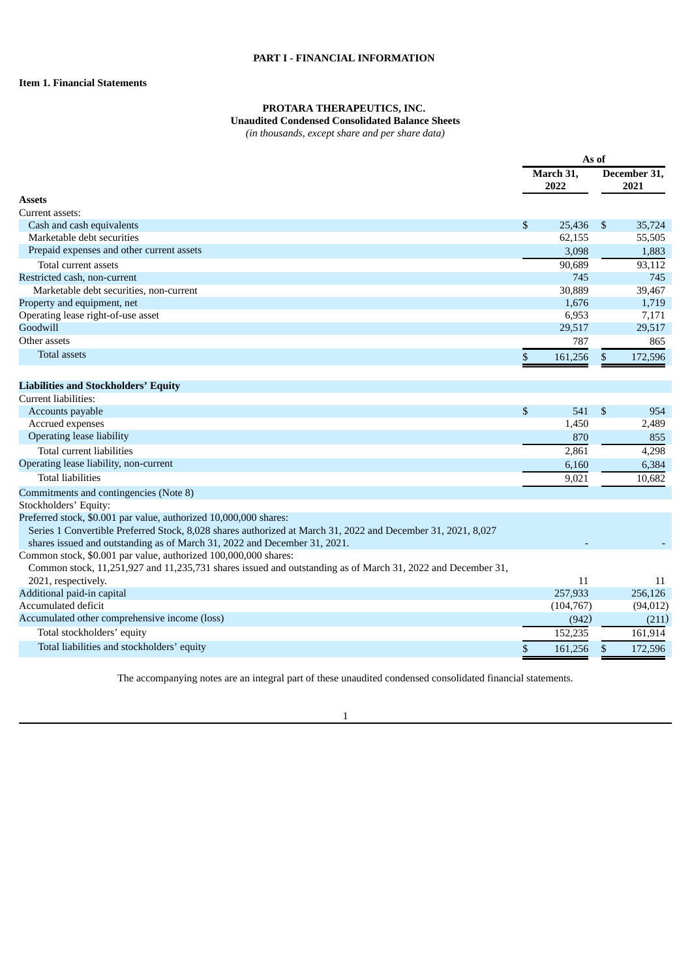# <span id="page-5-2"></span><span id="page-5-1"></span><span id="page-5-0"></span>**Item 1. Financial Statements**

# **PROTARA THERAPEUTICS, INC.**

# **Unaudited Condensed Consolidated Balance Sheets**

*(in thousands, except share and per share data)*

|                                                                                                              |    | As of             |    |                      |  |
|--------------------------------------------------------------------------------------------------------------|----|-------------------|----|----------------------|--|
|                                                                                                              |    | March 31,<br>2022 |    | December 31.<br>2021 |  |
| <b>Assets</b>                                                                                                |    |                   |    |                      |  |
| Current assets:                                                                                              |    |                   |    |                      |  |
| Cash and cash equivalents                                                                                    | \$ | 25,436            | \$ | 35,724               |  |
| Marketable debt securities                                                                                   |    | 62,155            |    | 55,505               |  |
| Prepaid expenses and other current assets                                                                    |    | 3,098             |    | 1,883                |  |
| Total current assets                                                                                         |    | 90,689            |    | 93,112               |  |
| Restricted cash, non-current                                                                                 |    | 745               |    | 745                  |  |
| Marketable debt securities, non-current                                                                      |    | 30,889            |    | 39,467               |  |
| Property and equipment, net                                                                                  |    | 1,676             |    | 1,719                |  |
| Operating lease right-of-use asset                                                                           |    | 6,953             |    | 7,171                |  |
| Goodwill                                                                                                     |    | 29,517            |    | 29,517               |  |
| Other assets                                                                                                 |    | 787               |    | 865                  |  |
| <b>Total assets</b>                                                                                          | \$ | 161,256           | \$ | 172,596              |  |
| <b>Liabilities and Stockholders' Equity</b>                                                                  |    |                   |    |                      |  |
| Current liabilities:                                                                                         |    |                   |    |                      |  |
| Accounts payable                                                                                             | \$ | 541               | \$ | 954                  |  |
| Accrued expenses                                                                                             |    | 1,450             |    | 2,489                |  |
| <b>Operating lease liability</b>                                                                             |    | 870               |    | 855                  |  |
| Total current liabilities                                                                                    |    | 2,861             |    | 4,298                |  |
| Operating lease liability, non-current                                                                       |    | 6,160             |    | 6,384                |  |
| Total liabilities                                                                                            |    | 9,021             |    | 10,682               |  |
| Commitments and contingencies (Note 8)                                                                       |    |                   |    |                      |  |
| Stockholders' Equity:                                                                                        |    |                   |    |                      |  |
| Preferred stock, \$0.001 par value, authorized 10,000,000 shares:                                            |    |                   |    |                      |  |
| Series 1 Convertible Preferred Stock, 8,028 shares authorized at March 31, 2022 and December 31, 2021, 8,027 |    |                   |    |                      |  |
| shares issued and outstanding as of March 31, 2022 and December 31, 2021.                                    |    |                   |    |                      |  |
| Common stock, \$0.001 par value, authorized 100,000,000 shares:                                              |    |                   |    |                      |  |
| Common stock, 11,251,927 and 11,235,731 shares issued and outstanding as of March 31, 2022 and December 31,  |    |                   |    |                      |  |
| 2021, respectively.                                                                                          |    | 11                |    | 11                   |  |
| Additional paid-in capital                                                                                   |    | 257,933           |    | 256,126              |  |
| Accumulated deficit                                                                                          |    | (104, 767)        |    | (94, 012)            |  |
| Accumulated other comprehensive income (loss)                                                                |    | (942)             |    | (211)                |  |
| Total stockholders' equity                                                                                   |    | 152,235           |    | 161,914              |  |
| Total liabilities and stockholders' equity                                                                   | \$ | 161,256           | \$ | 172,596              |  |
|                                                                                                              |    |                   |    |                      |  |

The accompanying notes are an integral part of these unaudited condensed consolidated financial statements.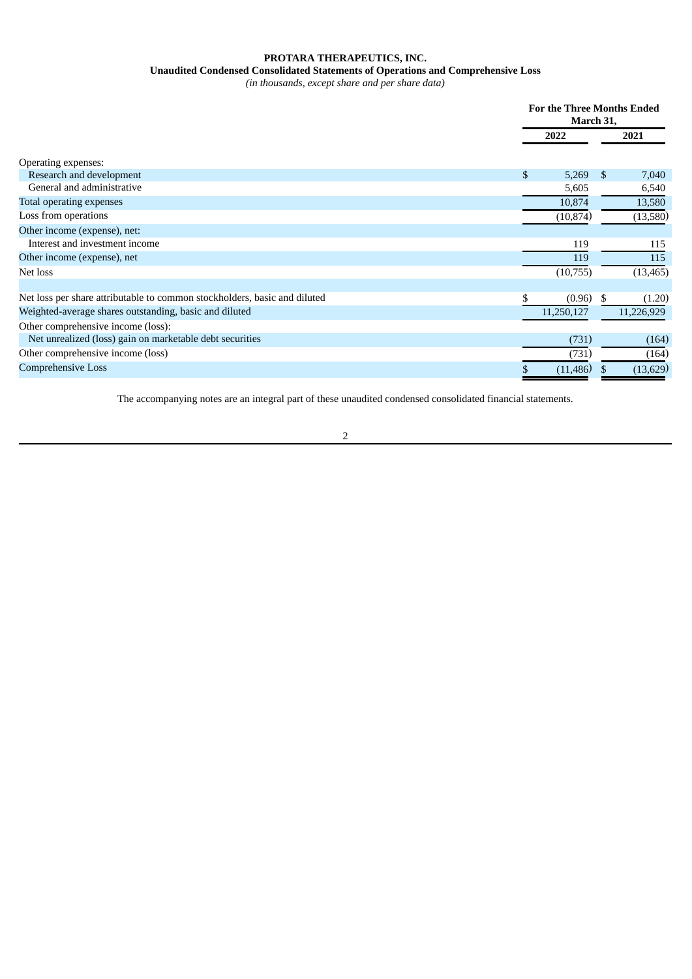# **PROTARA THERAPEUTICS, INC. Unaudited Condensed Consolidated Statements of Operations and Comprehensive Loss**

*(in thousands, except share and per share data)*

<span id="page-6-0"></span>

|                                                                           | <b>For the Three Months Ended</b><br>March 31, |              |
|---------------------------------------------------------------------------|------------------------------------------------|--------------|
|                                                                           | 2022                                           | 2021         |
| Operating expenses:                                                       |                                                |              |
| Research and development                                                  | \$<br>5,269                                    | 7,040<br>\$. |
| General and administrative                                                | 5,605                                          | 6,540        |
| Total operating expenses                                                  | 10,874                                         | 13,580       |
| Loss from operations                                                      | (10, 874)                                      | (13,580)     |
| Other income (expense), net:                                              |                                                |              |
| Interest and investment income                                            | 119                                            | 115          |
| Other income (expense), net                                               | 119                                            | 115          |
| Net loss                                                                  | (10,755)                                       | (13, 465)    |
| Net loss per share attributable to common stockholders, basic and diluted | (0.96)                                         | (1.20)<br>\$ |
| Weighted-average shares outstanding, basic and diluted                    | 11,250,127                                     | 11,226,929   |
| Other comprehensive income (loss):                                        |                                                |              |
| Net unrealized (loss) gain on marketable debt securities                  | (731)                                          | (164)        |
| Other comprehensive income (loss)                                         | (731)                                          | (164)        |
| Comprehensive Loss                                                        | (11, 486)<br>\$                                | (13,629)     |

The accompanying notes are an integral part of these unaudited condensed consolidated financial statements.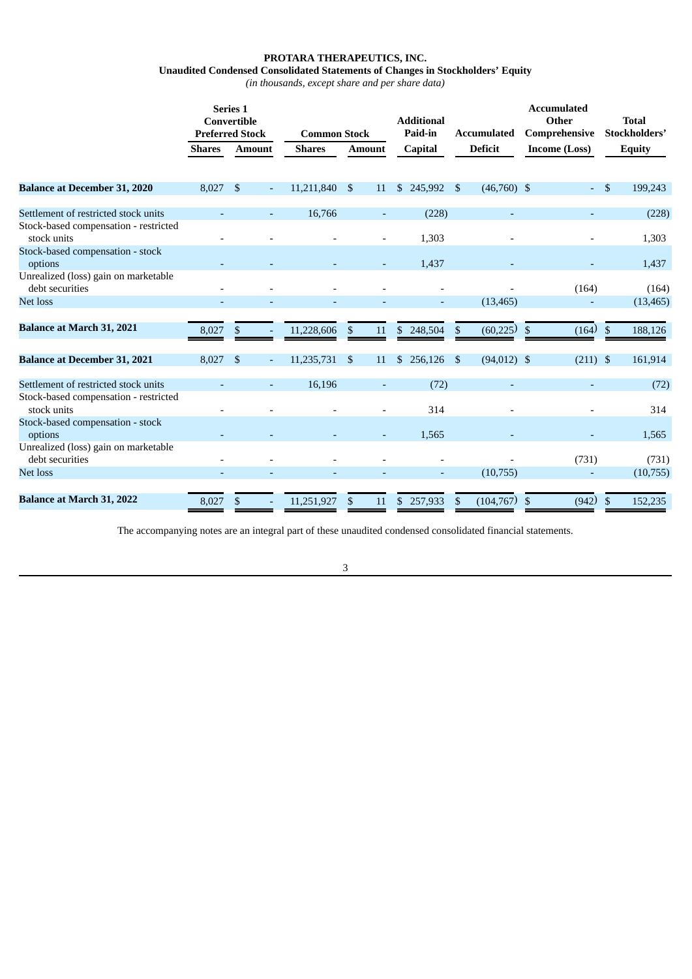# **PROTARA THERAPEUTICS, INC.**

**Unaudited Condensed Consolidated Statements of Changes in Stockholders' Equity**

*(in thousands, except share and per share data)*

<span id="page-7-0"></span>

|                                                                                              |               | <b>Series 1</b><br>Convertible<br><b>Preferred Stock</b> | <b>Common Stock</b> |                               | <b>Additional</b><br>Paid-in | <b>Accumulated</b>              | <b>Accumulated</b><br>Other<br>Comprehensive | <b>Total</b><br>Stockholders' |
|----------------------------------------------------------------------------------------------|---------------|----------------------------------------------------------|---------------------|-------------------------------|------------------------------|---------------------------------|----------------------------------------------|-------------------------------|
|                                                                                              | <b>Shares</b> | <b>Amount</b>                                            | <b>Shares</b>       | <b>Amount</b>                 | <b>Capital</b>               | <b>Deficit</b>                  | <b>Income (Loss)</b>                         | <b>Equity</b>                 |
| <b>Balance at December 31, 2020</b>                                                          | 8,027         | $\mathfrak{S}$                                           | 11,211,840          | <sup>\$</sup><br>11           | 245,992<br>\$                | $(46,760)$ \$<br>\$             | $\sim 100$                                   | 199,243<br>-\$                |
| Settlement of restricted stock units<br>Stock-based compensation - restricted<br>stock units |               |                                                          | 16,766              |                               | (228)<br>1,303               |                                 |                                              | (228)<br>1,303                |
| Stock-based compensation - stock<br>options                                                  |               |                                                          |                     |                               | 1,437                        |                                 |                                              | 1,437                         |
| Unrealized (loss) gain on marketable<br>debt securities<br><b>Net loss</b>                   |               |                                                          |                     |                               |                              | (13, 465)                       | (164)                                        | (164)<br>(13, 465)            |
| <b>Balance at March 31, 2021</b>                                                             | 8,027         | \$                                                       | 11,228,606          | \$<br>11                      | \$248,504                    | (60, 225)<br>\$                 | $(164)$ \$<br>-\$                            | 188,126                       |
| <b>Balance at December 31, 2021</b>                                                          | 8,027         | \$                                                       | 11,235,731          | $\mathbf{\mathfrak{S}}$<br>11 | 256,126<br>\$                | $\mathfrak{s}$<br>$(94,012)$ \$ | $(211)$ \$                                   | 161,914                       |
| Settlement of restricted stock units<br>Stock-based compensation - restricted<br>stock units |               |                                                          | 16,196              |                               | (72)<br>314                  |                                 |                                              | (72)<br>314                   |
| Stock-based compensation - stock<br>options                                                  |               |                                                          |                     |                               | 1,565                        |                                 |                                              | 1,565                         |
| Unrealized (loss) gain on marketable<br>debt securities<br>Net loss                          |               |                                                          |                     |                               | $\overline{\phantom{a}}$     | (10,755)                        | (731)                                        | (731)<br>(10,755)             |
| <b>Balance at March 31, 2022</b>                                                             | 8,027         | \$                                                       | 11,251,927          | \$<br>11                      | 257,933<br>\$                | (104, 767)<br>\$                | (942)                                        | 152,235                       |

The accompanying notes are an integral part of these unaudited condensed consolidated financial statements.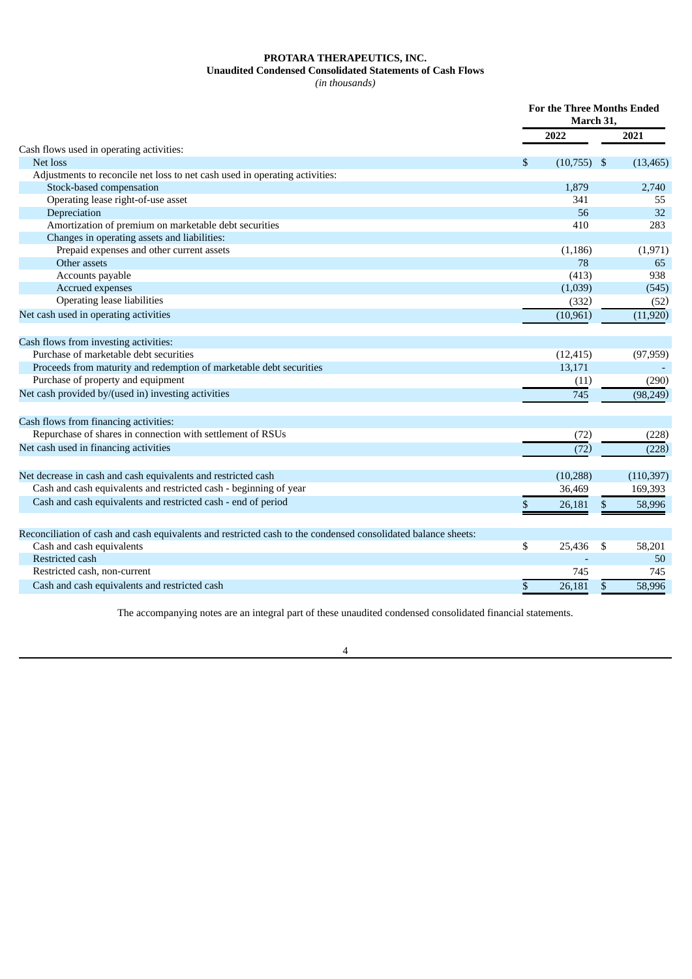# **PROTARA THERAPEUTICS, INC. Unaudited Condensed Consolidated Statements of Cash Flows**

*(in thousands)*

<span id="page-8-0"></span>

|                                                                                                               |    | <b>For the Three Months Ended</b><br>March 31, |    |            |
|---------------------------------------------------------------------------------------------------------------|----|------------------------------------------------|----|------------|
|                                                                                                               |    | 2022                                           |    | 2021       |
| Cash flows used in operating activities:                                                                      |    |                                                |    |            |
| Net loss                                                                                                      | \$ | $(10,755)$ \$                                  |    | (13, 465)  |
| Adjustments to reconcile net loss to net cash used in operating activities:                                   |    |                                                |    |            |
| Stock-based compensation                                                                                      |    | 1,879                                          |    | 2,740      |
| Operating lease right-of-use asset                                                                            |    | 341                                            |    | 55         |
| Depreciation                                                                                                  |    | 56                                             |    | 32         |
| Amortization of premium on marketable debt securities                                                         |    | 410                                            |    | 283        |
| Changes in operating assets and liabilities:                                                                  |    |                                                |    |            |
| Prepaid expenses and other current assets                                                                     |    | (1, 186)                                       |    | (1, 971)   |
| Other assets                                                                                                  |    | 78                                             |    | 65         |
| Accounts payable                                                                                              |    | (413)                                          |    | 938        |
| Accrued expenses                                                                                              |    | (1,039)                                        |    | (545)      |
| <b>Operating lease liabilities</b>                                                                            |    | (332)                                          |    | (52)       |
| Net cash used in operating activities                                                                         |    | (10, 961)                                      |    | (11, 920)  |
|                                                                                                               |    |                                                |    |            |
| Cash flows from investing activities:                                                                         |    |                                                |    |            |
| Purchase of marketable debt securities                                                                        |    | (12, 415)                                      |    | (97, 959)  |
| Proceeds from maturity and redemption of marketable debt securities                                           |    | 13,171                                         |    |            |
| Purchase of property and equipment                                                                            |    | (11)                                           |    | (290)      |
| Net cash provided by/(used in) investing activities                                                           |    | 745                                            |    | (98, 249)  |
|                                                                                                               |    |                                                |    |            |
| Cash flows from financing activities:                                                                         |    |                                                |    |            |
| Repurchase of shares in connection with settlement of RSUs                                                    |    | (72)                                           |    | (228)      |
| Net cash used in financing activities                                                                         |    | (72)                                           |    | (228)      |
|                                                                                                               |    |                                                |    |            |
| Net decrease in cash and cash equivalents and restricted cash                                                 |    | (10, 288)                                      |    | (110, 397) |
| Cash and cash equivalents and restricted cash - beginning of year                                             |    | 36,469                                         |    | 169,393    |
| Cash and cash equivalents and restricted cash - end of period                                                 |    |                                                |    |            |
|                                                                                                               | \$ | 26,181                                         | \$ | 58,996     |
|                                                                                                               |    |                                                |    |            |
| Reconciliation of cash and cash equivalents and restricted cash to the condensed consolidated balance sheets: |    |                                                |    |            |
| Cash and cash equivalents                                                                                     | \$ | 25,436                                         | \$ | 58,201     |
| <b>Restricted cash</b>                                                                                        |    |                                                |    | 50         |
| Restricted cash, non-current                                                                                  |    | 745                                            |    | 745        |
| Cash and cash equivalents and restricted cash                                                                 | \$ | 26,181                                         | \$ | 58,996     |

The accompanying notes are an integral part of these unaudited condensed consolidated financial statements.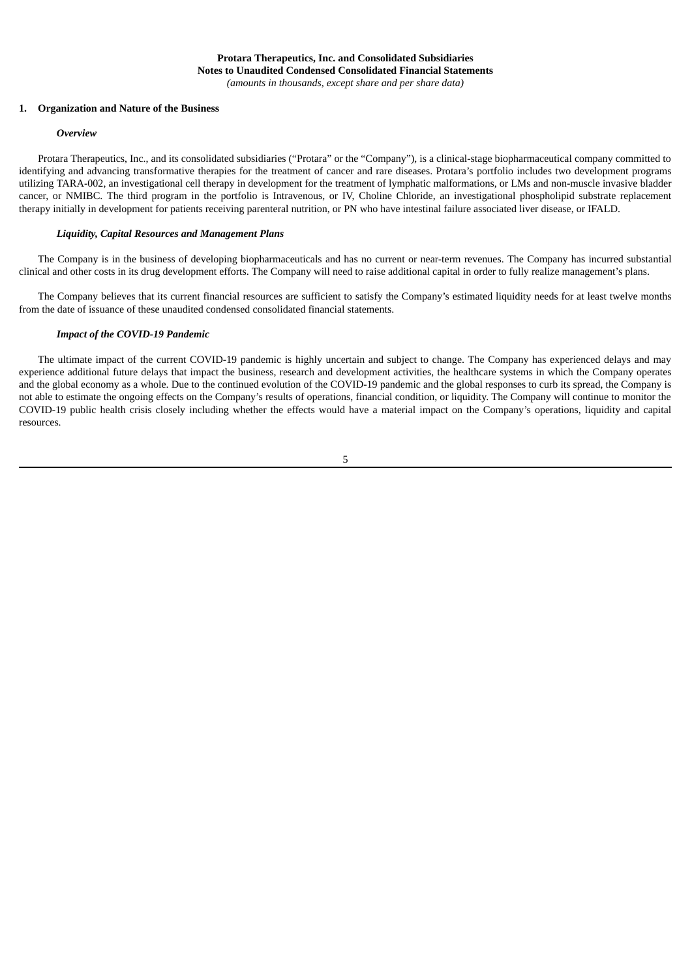## <span id="page-9-0"></span>**1. Organization and Nature of the Business**

#### *Overview*

Protara Therapeutics, Inc., and its consolidated subsidiaries ("Protara" or the "Company"), is a clinical-stage biopharmaceutical company committed to identifying and advancing transformative therapies for the treatment of cancer and rare diseases. Protara's portfolio includes two development programs utilizing TARA-002, an investigational cell therapy in development for the treatment of lymphatic malformations, or LMs and non-muscle invasive bladder cancer, or NMIBC. The third program in the portfolio is Intravenous, or IV, Choline Chloride, an investigational phospholipid substrate replacement therapy initially in development for patients receiving parenteral nutrition, or PN who have intestinal failure associated liver disease, or IFALD.

#### *Liquidity, Capital Resources and Management Plans*

The Company is in the business of developing biopharmaceuticals and has no current or near-term revenues. The Company has incurred substantial clinical and other costs in its drug development efforts. The Company will need to raise additional capital in order to fully realize management's plans.

The Company believes that its current financial resources are sufficient to satisfy the Company's estimated liquidity needs for at least twelve months from the date of issuance of these unaudited condensed consolidated financial statements.

## *Impact of the COVID-19 Pandemic*

The ultimate impact of the current COVID-19 pandemic is highly uncertain and subject to change. The Company has experienced delays and may experience additional future delays that impact the business, research and development activities, the healthcare systems in which the Company operates and the global economy as a whole. Due to the continued evolution of the COVID-19 pandemic and the global responses to curb its spread, the Company is not able to estimate the ongoing effects on the Company's results of operations, financial condition, or liquidity. The Company will continue to monitor the COVID-19 public health crisis closely including whether the effects would have a material impact on the Company's operations, liquidity and capital resources.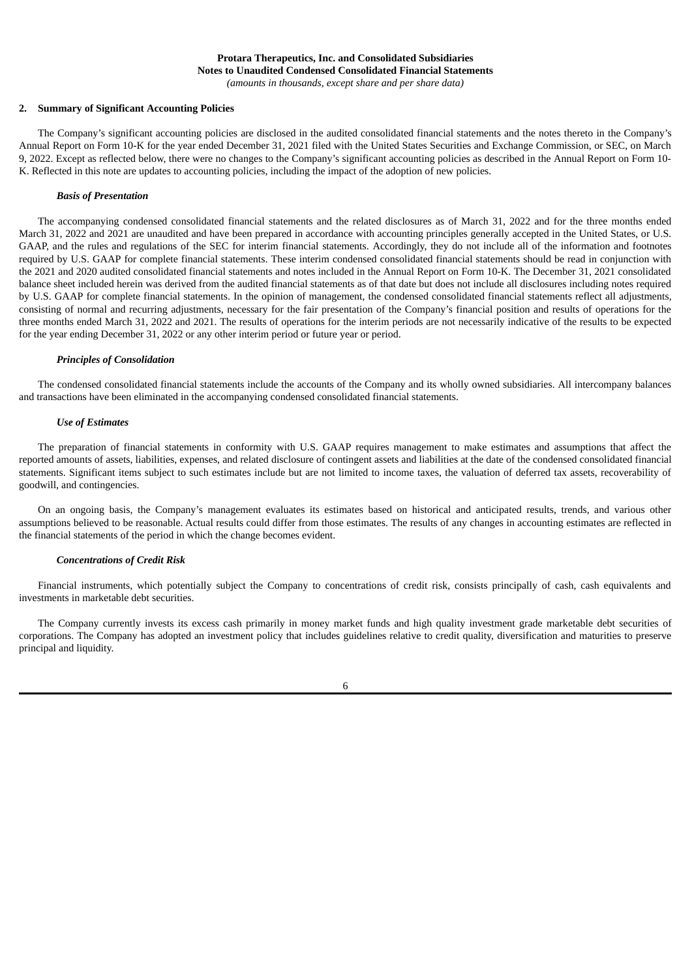## **2. Summary of Significant Accounting Policies**

The Company's significant accounting policies are disclosed in the audited consolidated financial statements and the notes thereto in the Company's Annual Report on Form 10-K for the year ended December 31, 2021 filed with the United States Securities and Exchange Commission, or SEC, on March 9, 2022. Except as reflected below, there were no changes to the Company's significant accounting policies as described in the Annual Report on Form 10- K. Reflected in this note are updates to accounting policies, including the impact of the adoption of new policies.

## *Basis of Presentation*

The accompanying condensed consolidated financial statements and the related disclosures as of March 31, 2022 and for the three months ended March 31, 2022 and 2021 are unaudited and have been prepared in accordance with accounting principles generally accepted in the United States, or U.S. GAAP, and the rules and regulations of the SEC for interim financial statements. Accordingly, they do not include all of the information and footnotes required by U.S. GAAP for complete financial statements. These interim condensed consolidated financial statements should be read in conjunction with the 2021 and 2020 audited consolidated financial statements and notes included in the Annual Report on Form 10-K. The December 31, 2021 consolidated balance sheet included herein was derived from the audited financial statements as of that date but does not include all disclosures including notes required by U.S. GAAP for complete financial statements. In the opinion of management, the condensed consolidated financial statements reflect all adjustments, consisting of normal and recurring adjustments, necessary for the fair presentation of the Company's financial position and results of operations for the three months ended March 31, 2022 and 2021. The results of operations for the interim periods are not necessarily indicative of the results to be expected for the year ending December 31, 2022 or any other interim period or future year or period.

#### *Principles of Consolidation*

The condensed consolidated financial statements include the accounts of the Company and its wholly owned subsidiaries. All intercompany balances and transactions have been eliminated in the accompanying condensed consolidated financial statements.

#### *Use of Estimates*

The preparation of financial statements in conformity with U.S. GAAP requires management to make estimates and assumptions that affect the reported amounts of assets, liabilities, expenses, and related disclosure of contingent assets and liabilities at the date of the condensed consolidated financial statements. Significant items subject to such estimates include but are not limited to income taxes, the valuation of deferred tax assets, recoverability of goodwill, and contingencies.

On an ongoing basis, the Company's management evaluates its estimates based on historical and anticipated results, trends, and various other assumptions believed to be reasonable. Actual results could differ from those estimates. The results of any changes in accounting estimates are reflected in the financial statements of the period in which the change becomes evident.

#### *Concentrations of Credit Risk*

Financial instruments, which potentially subject the Company to concentrations of credit risk, consists principally of cash, cash equivalents and investments in marketable debt securities.

The Company currently invests its excess cash primarily in money market funds and high quality investment grade marketable debt securities of corporations. The Company has adopted an investment policy that includes guidelines relative to credit quality, diversification and maturities to preserve principal and liquidity.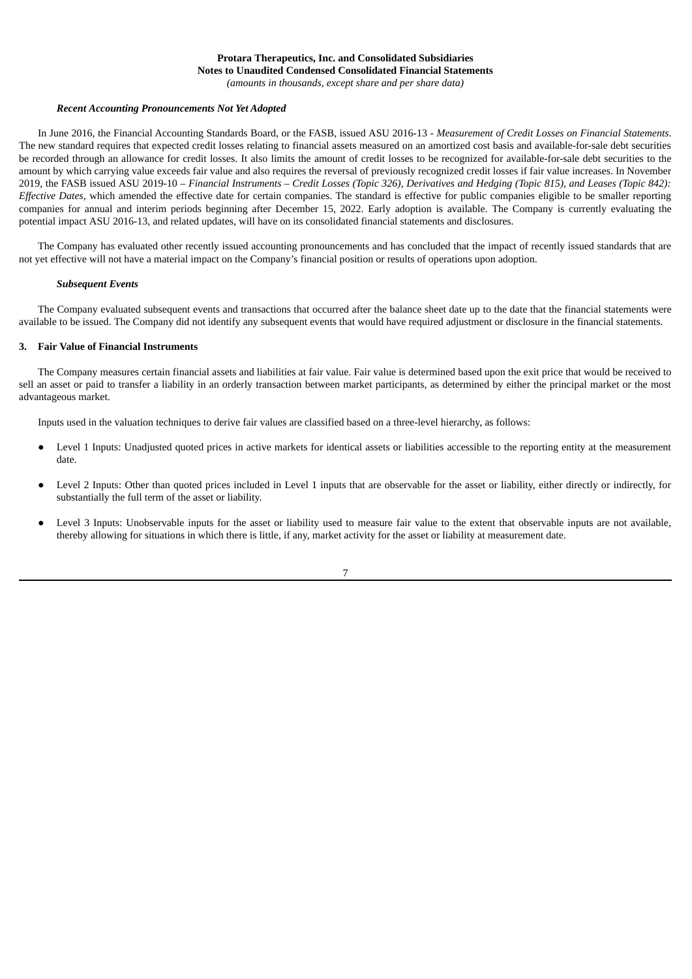### *Recent Accounting Pronouncements Not Yet Adopted*

In June 2016, the Financial Accounting Standards Board, or the FASB, issued ASU 2016-13 - *Measurement of Credit Losses on Financial Statements*. The new standard requires that expected credit losses relating to financial assets measured on an amortized cost basis and available-for-sale debt securities be recorded through an allowance for credit losses. It also limits the amount of credit losses to be recognized for available-for-sale debt securities to the amount by which carrying value exceeds fair value and also requires the reversal of previously recognized credit losses if fair value increases. In November 2019, the FASB issued ASU 2019-10 - Financial Instruments - Credit Losses (Topic 326), Derivatives and Hedging (Topic 815), and Leases (Topic 842): *Effective Dates*, which amended the effective date for certain companies. The standard is effective for public companies eligible to be smaller reporting companies for annual and interim periods beginning after December 15, 2022. Early adoption is available. The Company is currently evaluating the potential impact ASU 2016-13, and related updates, will have on its consolidated financial statements and disclosures.

The Company has evaluated other recently issued accounting pronouncements and has concluded that the impact of recently issued standards that are not yet effective will not have a material impact on the Company's financial position or results of operations upon adoption.

#### *Subsequent Events*

The Company evaluated subsequent events and transactions that occurred after the balance sheet date up to the date that the financial statements were available to be issued. The Company did not identify any subsequent events that would have required adjustment or disclosure in the financial statements.

### **3. Fair Value of Financial Instruments**

The Company measures certain financial assets and liabilities at fair value. Fair value is determined based upon the exit price that would be received to sell an asset or paid to transfer a liability in an orderly transaction between market participants, as determined by either the principal market or the most advantageous market.

Inputs used in the valuation techniques to derive fair values are classified based on a three-level hierarchy, as follows:

- Level 1 Inputs: Unadjusted quoted prices in active markets for identical assets or liabilities accessible to the reporting entity at the measurement date.
- Level 2 Inputs: Other than quoted prices included in Level 1 inputs that are observable for the asset or liability, either directly or indirectly, for substantially the full term of the asset or liability.
- Level 3 Inputs: Unobservable inputs for the asset or liability used to measure fair value to the extent that observable inputs are not available, thereby allowing for situations in which there is little, if any, market activity for the asset or liability at measurement date.

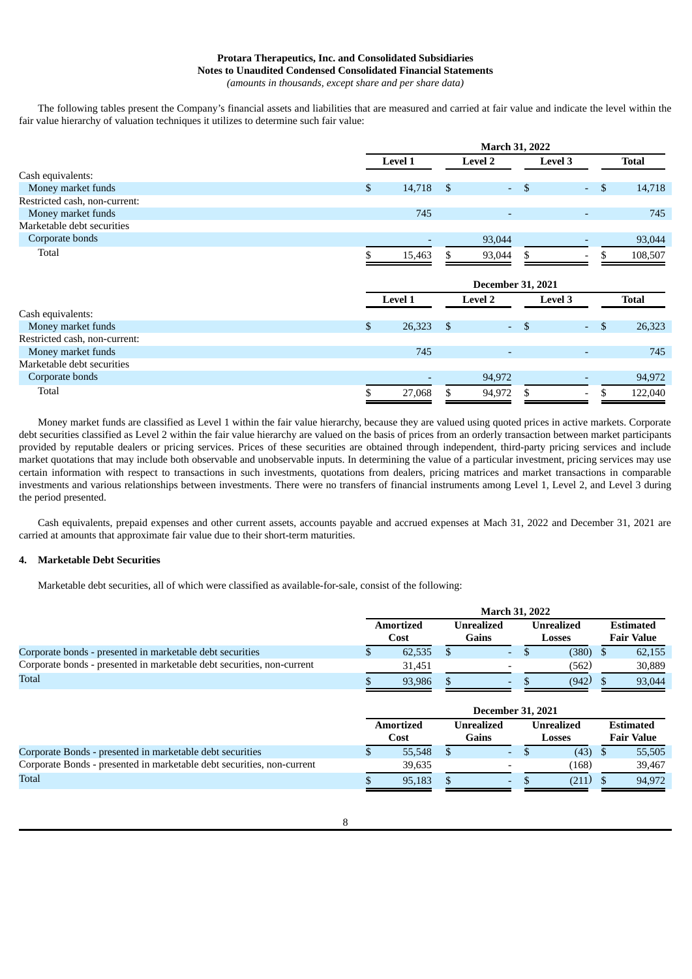# **Protara Therapeutics, Inc. and Consolidated Subsidiaries Notes to Unaudited Condensed Consolidated Financial Statements** *(amounts in thousands, except share and per share data)*

The following tables present the Company's financial assets and liabilities that are measured and carried at fair value and indicate the level within the fair value hierarchy of valuation techniques it utilizes to determine such fair value:

|                               |                | March 31, 2022 |                |                          |        |                          |                |              |
|-------------------------------|----------------|----------------|----------------|--------------------------|--------|--------------------------|----------------|--------------|
|                               |                | Level 1        |                | <b>Level 2</b>           |        | Level 3                  |                | <b>Total</b> |
| Cash equivalents:             |                |                |                |                          |        |                          |                |              |
| Money market funds            | $\mathfrak{S}$ | 14,718         | $\mathfrak{S}$ |                          | $-$ \$ | $\Delta \sim 10^4$       | $\mathfrak{F}$ | 14,718       |
| Restricted cash, non-current: |                |                |                |                          |        |                          |                |              |
| Money market funds            |                | 745            |                | $\overline{\phantom{0}}$ |        | ٠                        |                | 745          |
| Marketable debt securities    |                |                |                |                          |        |                          |                |              |
| Corporate bonds               |                |                |                | 93,044                   |        |                          |                | 93,044       |
| Total                         |                | 15,463         |                | 93,044                   | \$.    |                          |                | 108,507      |
|                               |                |                |                | <b>December 31, 2021</b> |        |                          |                |              |
|                               |                | Level 1        |                | <b>Level 2</b>           |        | <b>Level 3</b>           |                | <b>Total</b> |
| Cash equivalents:             |                |                |                |                          |        |                          |                |              |
| Money market funds            | $\mathbb{S}$   | 26,323         | $\mathfrak{s}$ |                          | $-$ \$ |                          | $-5$           | 26,323       |
| Restricted cash, non-current: |                |                |                |                          |        |                          |                |              |
| Money market funds            |                | 745            |                | $\overline{\phantom{0}}$ |        | $\overline{\phantom{0}}$ |                | 745          |
| Marketable debt securities    |                |                |                |                          |        |                          |                |              |
| Corporate bonds               |                |                |                | 94,972                   |        |                          |                | 94,972       |
| Total                         | \$             | 27,068         |                | 94,972                   |        |                          |                | 122,040      |

Money market funds are classified as Level 1 within the fair value hierarchy, because they are valued using quoted prices in active markets. Corporate debt securities classified as Level 2 within the fair value hierarchy are valued on the basis of prices from an orderly transaction between market participants provided by reputable dealers or pricing services. Prices of these securities are obtained through independent, third-party pricing services and include market quotations that may include both observable and unobservable inputs. In determining the value of a particular investment, pricing services may use certain information with respect to transactions in such investments, quotations from dealers, pricing matrices and market transactions in comparable investments and various relationships between investments. There were no transfers of financial instruments among Level 1, Level 2, and Level 3 during the period presented.

Cash equivalents, prepaid expenses and other current assets, accounts payable and accrued expenses at Mach 31, 2022 and December 31, 2021 are carried at amounts that approximate fair value due to their short-term maturities.

#### **4. Marketable Debt Securities**

Marketable debt securities, all of which were classified as available-for-sale, consist of the following:

|                                                                        | <b>March 31, 2022</b> |        |  |                          |  |                             |  |                                       |  |
|------------------------------------------------------------------------|-----------------------|--------|--|--------------------------|--|-----------------------------|--|---------------------------------------|--|
|                                                                        | Amortized<br>Cost     |        |  | Unrealized<br>Gains      |  | <b>Unrealized</b><br>Losses |  | <b>Estimated</b><br><b>Fair Value</b> |  |
| Corporate bonds - presented in marketable debt securities              |                       | 62,535 |  | $\overline{\phantom{0}}$ |  | (380)                       |  | 62,155                                |  |
| Corporate bonds - presented in marketable debt securities, non-current |                       | 31.451 |  |                          |  | (562)                       |  | 30,889                                |  |
| Total                                                                  |                       | 93.986 |  | ٠                        |  | (942)                       |  | 93,044                                |  |

|                                                                        | <b>December 31, 2021</b> |        |                     |                          |                      |       |  |                                       |  |
|------------------------------------------------------------------------|--------------------------|--------|---------------------|--------------------------|----------------------|-------|--|---------------------------------------|--|
|                                                                        | Amortized<br>Cost        |        | Unrealized<br>Gains |                          | Unrealized<br>Losses |       |  | <b>Estimated</b><br><b>Fair Value</b> |  |
| Corporate Bonds - presented in marketable debt securities              |                          | 55,548 |                     | $\overline{\phantom{a}}$ |                      | (43)  |  | 55,505                                |  |
| Corporate Bonds - presented in marketable debt securities, non-current |                          | 39,635 |                     |                          |                      | (168) |  | 39.467                                |  |
| Total                                                                  |                          | 95.183 |                     | $\overline{\phantom{0}}$ |                      | (211) |  | 94.972                                |  |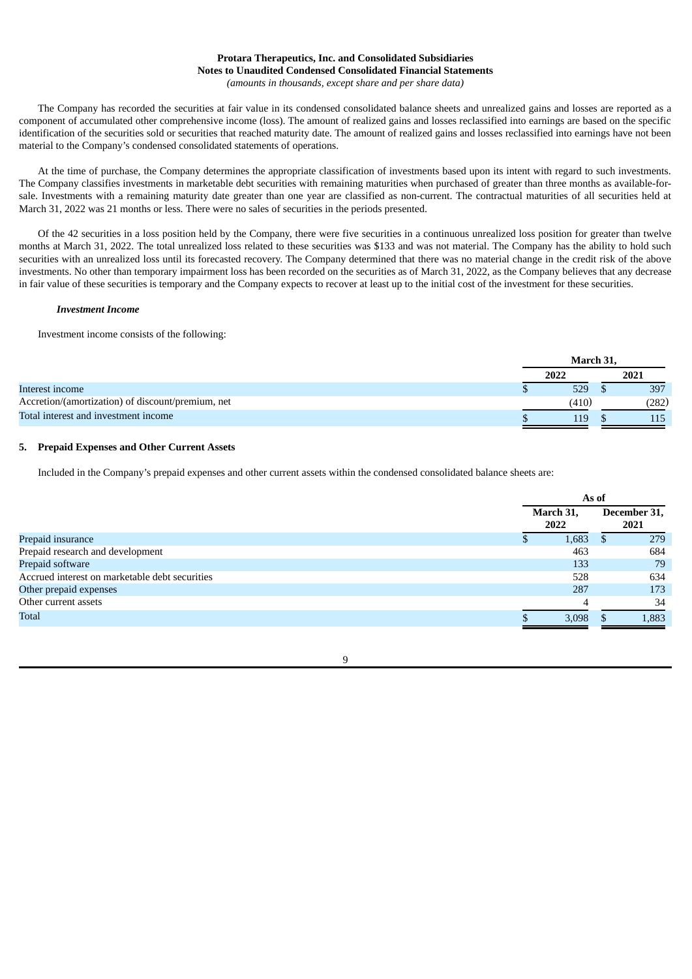## **Protara Therapeutics, Inc. and Consolidated Subsidiaries Notes to Unaudited Condensed Consolidated Financial Statements** *(amounts in thousands, except share and per share data)*

The Company has recorded the securities at fair value in its condensed consolidated balance sheets and unrealized gains and losses are reported as a component of accumulated other comprehensive income (loss). The amount of realized gains and losses reclassified into earnings are based on the specific identification of the securities sold or securities that reached maturity date. The amount of realized gains and losses reclassified into earnings have not been material to the Company's condensed consolidated statements of operations.

At the time of purchase, the Company determines the appropriate classification of investments based upon its intent with regard to such investments. The Company classifies investments in marketable debt securities with remaining maturities when purchased of greater than three months as available-forsale. Investments with a remaining maturity date greater than one year are classified as non-current. The contractual maturities of all securities held at March 31, 2022 was 21 months or less. There were no sales of securities in the periods presented.

Of the 42 securities in a loss position held by the Company, there were five securities in a continuous unrealized loss position for greater than twelve months at March 31, 2022. The total unrealized loss related to these securities was \$133 and was not material. The Company has the ability to hold such securities with an unrealized loss until its forecasted recovery. The Company determined that there was no material change in the credit risk of the above investments. No other than temporary impairment loss has been recorded on the securities as of March 31, 2022, as the Company believes that any decrease in fair value of these securities is temporary and the Company expects to recover at least up to the initial cost of the investment for these securities.

#### *Investment Income*

Investment income consists of the following:

|                                                   | March 31, |  |       |  |  |
|---------------------------------------------------|-----------|--|-------|--|--|
|                                                   | 2022      |  | 2021  |  |  |
| Interest income                                   | 529       |  | 397   |  |  |
| Accretion/(amortization) of discount/premium, net | (410)     |  | (282) |  |  |
| Total interest and investment income              | 119       |  | 115   |  |  |

# **5. Prepaid Expenses and Other Current Assets**

Included in the Company's prepaid expenses and other current assets within the condensed consolidated balance sheets are:

|                                                |                   | As of |   |                      |  |  |
|------------------------------------------------|-------------------|-------|---|----------------------|--|--|
|                                                | March 31,<br>2022 |       |   | December 31,<br>2021 |  |  |
| Prepaid insurance                              |                   | 1,683 | ъ | 279                  |  |  |
| Prepaid research and development               |                   | 463   |   | 684                  |  |  |
| Prepaid software                               |                   | 133   |   | 79                   |  |  |
| Accrued interest on marketable debt securities |                   | 528   |   | 634                  |  |  |
| Other prepaid expenses                         |                   | 287   |   | 173                  |  |  |
| Other current assets                           |                   |       |   | 34                   |  |  |
| <b>Total</b>                                   |                   | 3,098 |   | 1,883                |  |  |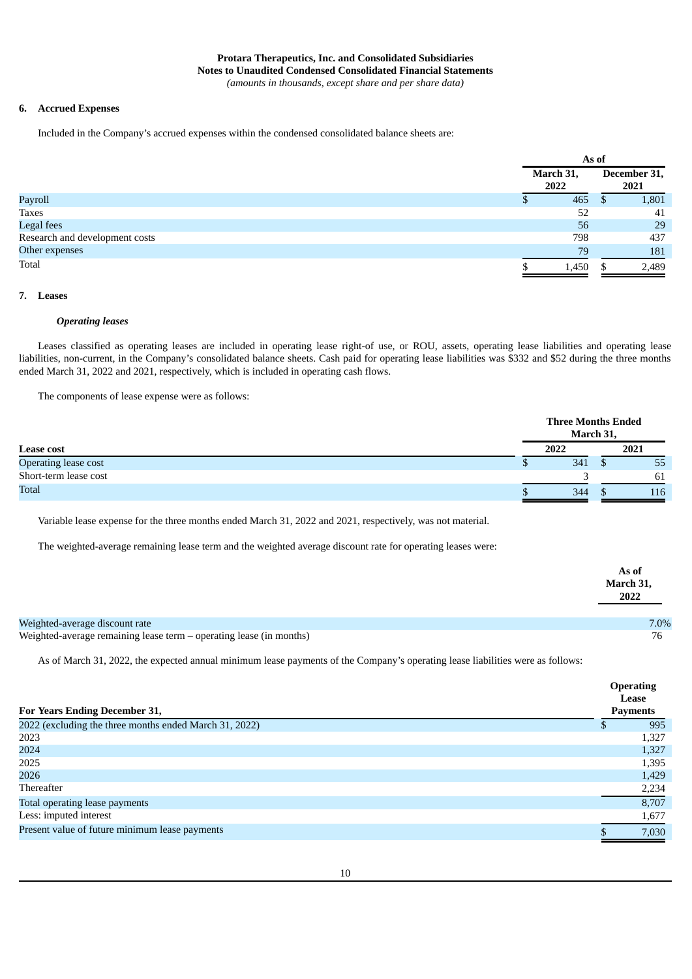# **6. Accrued Expenses**

Included in the Company's accrued expenses within the condensed consolidated balance sheets are:

|                                |  | March 31,<br>2022 |  | December 31,<br>2021 |
|--------------------------------|--|-------------------|--|----------------------|
| Payroll                        |  | 465               |  | 1,801                |
| Taxes                          |  | 52                |  | 41                   |
| Legal fees                     |  | 56                |  | 29                   |
| Research and development costs |  | 798               |  | 437                  |
| Other expenses                 |  | 79                |  | 181                  |
| Total                          |  | 1,450             |  | 2,489                |

#### **7. Leases**

## *Operating leases*

Leases classified as operating leases are included in operating lease right-of use, or ROU, assets, operating lease liabilities and operating lease liabilities, non-current, in the Company's consolidated balance sheets. Cash paid for operating lease liabilities was \$332 and \$52 during the three months ended March 31, 2022 and 2021, respectively, which is included in operating cash flows.

The components of lease expense were as follows:

|                       | <b>Three Months Ended</b><br>March 31, |  |      |  |
|-----------------------|----------------------------------------|--|------|--|
| Lease cost            | 2022                                   |  | 2021 |  |
| Operating lease cost  | 341                                    |  | 55   |  |
| Short-term lease cost |                                        |  | 61   |  |
| <b>Total</b>          | 344                                    |  | 116  |  |

Variable lease expense for the three months ended March 31, 2022 and 2021, respectively, was not material.

The weighted-average remaining lease term and the weighted average discount rate for operating leases were:

|                                                                     | As of<br>March 31,<br>2022 |
|---------------------------------------------------------------------|----------------------------|
| Weighted-average discount rate                                      | 7.0%                       |
| Weighted-average remaining lease term – operating lease (in months) | 76                         |

As of March 31, 2022, the expected annual minimum lease payments of the Company's operating lease liabilities were as follows:

| <b>For Years Ending December 31,</b>                   |   | <b>Operating</b><br>Lease<br><b>Payments</b> |
|--------------------------------------------------------|---|----------------------------------------------|
| 2022 (excluding the three months ended March 31, 2022) | D | 995                                          |
| 2023                                                   |   | 1,327                                        |
| 2024                                                   |   | 1,327                                        |
| 2025                                                   |   | 1,395                                        |
| 2026                                                   |   | 1,429                                        |
| Thereafter                                             |   | 2,234                                        |
| Total operating lease payments                         |   | 8,707                                        |
| Less: imputed interest                                 |   | 1,677                                        |
| Present value of future minimum lease payments         |   | 7,030                                        |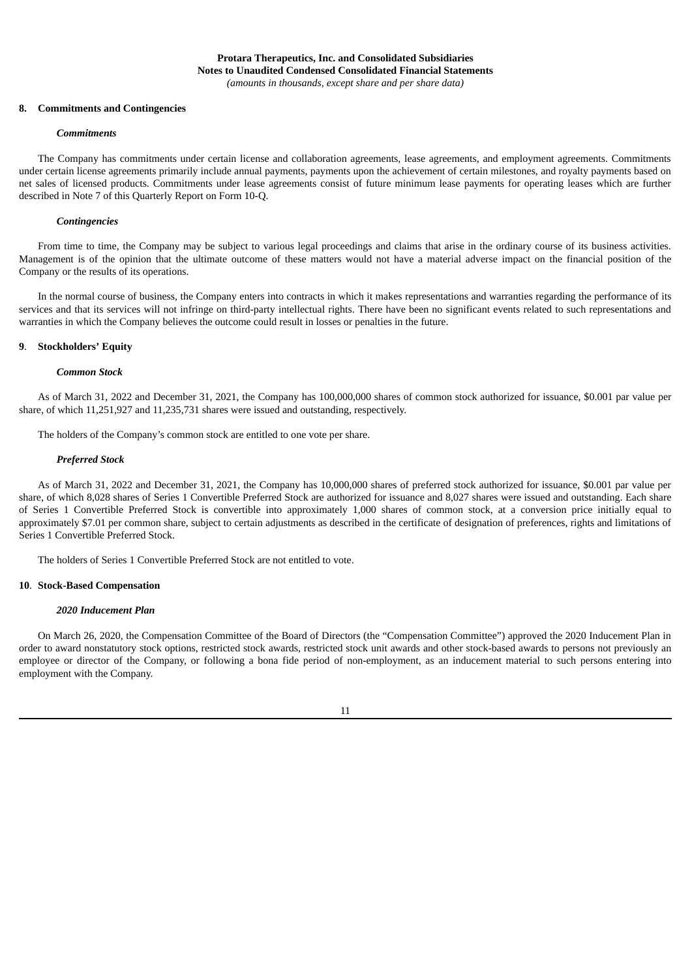# **8. Commitments and Contingencies**

#### *Commitments*

The Company has commitments under certain license and collaboration agreements, lease agreements, and employment agreements. Commitments under certain license agreements primarily include annual payments, payments upon the achievement of certain milestones, and royalty payments based on net sales of licensed products. Commitments under lease agreements consist of future minimum lease payments for operating leases which are further described in Note 7 of this Quarterly Report on Form 10-Q.

## *Contingencies*

From time to time, the Company may be subject to various legal proceedings and claims that arise in the ordinary course of its business activities. Management is of the opinion that the ultimate outcome of these matters would not have a material adverse impact on the financial position of the Company or the results of its operations.

In the normal course of business, the Company enters into contracts in which it makes representations and warranties regarding the performance of its services and that its services will not infringe on third-party intellectual rights. There have been no significant events related to such representations and warranties in which the Company believes the outcome could result in losses or penalties in the future.

## **9**. **Stockholders' Equity**

## *Common Stock*

As of March 31, 2022 and December 31, 2021, the Company has 100,000,000 shares of common stock authorized for issuance, \$0.001 par value per share, of which 11,251,927 and 11,235,731 shares were issued and outstanding, respectively.

The holders of the Company's common stock are entitled to one vote per share.

## *Preferred Stock*

As of March 31, 2022 and December 31, 2021, the Company has 10,000,000 shares of preferred stock authorized for issuance, \$0.001 par value per share, of which 8,028 shares of Series 1 Convertible Preferred Stock are authorized for issuance and 8,027 shares were issued and outstanding. Each share of Series 1 Convertible Preferred Stock is convertible into approximately 1,000 shares of common stock, at a conversion price initially equal to approximately \$7.01 per common share, subject to certain adjustments as described in the certificate of designation of preferences, rights and limitations of Series 1 Convertible Preferred Stock.

The holders of Series 1 Convertible Preferred Stock are not entitled to vote.

#### **10**. **Stock-Based Compensation**

#### *2020 Inducement Plan*

On March 26, 2020, the Compensation Committee of the Board of Directors (the "Compensation Committee") approved the 2020 Inducement Plan in order to award nonstatutory stock options, restricted stock awards, restricted stock unit awards and other stock-based awards to persons not previously an employee or director of the Company, or following a bona fide period of non-employment, as an inducement material to such persons entering into employment with the Company.

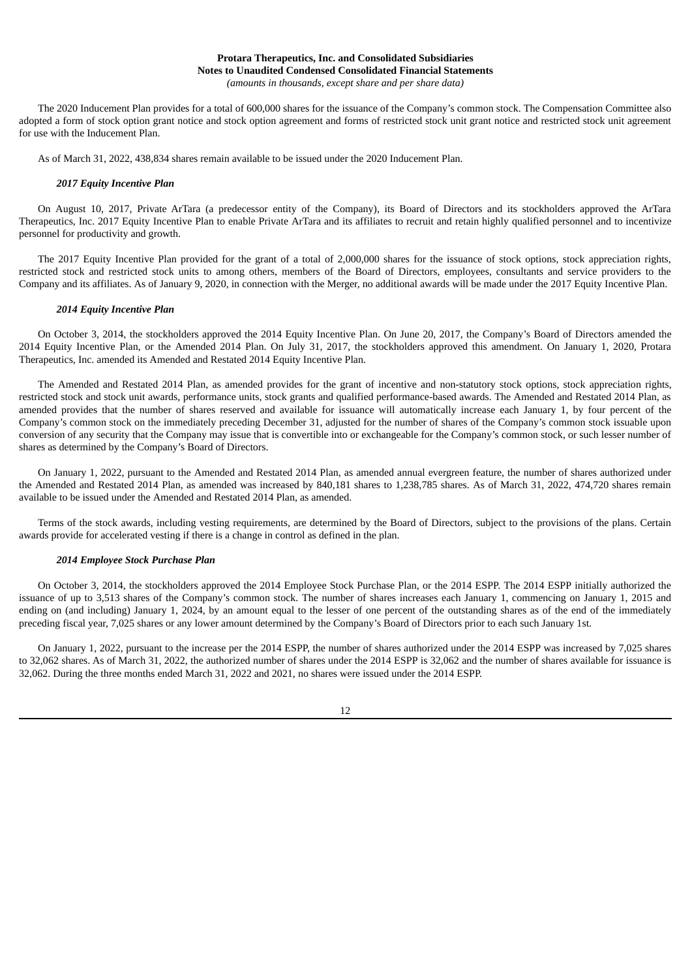## **Protara Therapeutics, Inc. and Consolidated Subsidiaries Notes to Unaudited Condensed Consolidated Financial Statements** *(amounts in thousands, except share and per share data)*

The 2020 Inducement Plan provides for a total of 600,000 shares for the issuance of the Company's common stock. The Compensation Committee also adopted a form of stock option grant notice and stock option agreement and forms of restricted stock unit grant notice and restricted stock unit agreement for use with the Inducement Plan.

As of March 31, 2022, 438,834 shares remain available to be issued under the 2020 Inducement Plan.

#### *2017 Equity Incentive Plan*

On August 10, 2017, Private ArTara (a predecessor entity of the Company), its Board of Directors and its stockholders approved the ArTara Therapeutics, Inc. 2017 Equity Incentive Plan to enable Private ArTara and its affiliates to recruit and retain highly qualified personnel and to incentivize personnel for productivity and growth.

The 2017 Equity Incentive Plan provided for the grant of a total of 2,000,000 shares for the issuance of stock options, stock appreciation rights, restricted stock and restricted stock units to among others, members of the Board of Directors, employees, consultants and service providers to the Company and its affiliates. As of January 9, 2020, in connection with the Merger, no additional awards will be made under the 2017 Equity Incentive Plan.

#### *2014 Equity Incentive Plan*

On October 3, 2014, the stockholders approved the 2014 Equity Incentive Plan. On June 20, 2017, the Company's Board of Directors amended the 2014 Equity Incentive Plan, or the Amended 2014 Plan. On July 31, 2017, the stockholders approved this amendment. On January 1, 2020, Protara Therapeutics, Inc. amended its Amended and Restated 2014 Equity Incentive Plan.

The Amended and Restated 2014 Plan, as amended provides for the grant of incentive and non-statutory stock options, stock appreciation rights, restricted stock and stock unit awards, performance units, stock grants and qualified performance-based awards. The Amended and Restated 2014 Plan, as amended provides that the number of shares reserved and available for issuance will automatically increase each January 1, by four percent of the Company's common stock on the immediately preceding December 31, adjusted for the number of shares of the Company's common stock issuable upon conversion of any security that the Company may issue that is convertible into or exchangeable for the Company's common stock, or such lesser number of shares as determined by the Company's Board of Directors.

On January 1, 2022, pursuant to the Amended and Restated 2014 Plan, as amended annual evergreen feature, the number of shares authorized under the Amended and Restated 2014 Plan, as amended was increased by 840,181 shares to 1,238,785 shares. As of March 31, 2022, 474,720 shares remain available to be issued under the Amended and Restated 2014 Plan, as amended.

Terms of the stock awards, including vesting requirements, are determined by the Board of Directors, subject to the provisions of the plans. Certain awards provide for accelerated vesting if there is a change in control as defined in the plan.

#### *2014 Employee Stock Purchase Plan*

On October 3, 2014, the stockholders approved the 2014 Employee Stock Purchase Plan, or the 2014 ESPP. The 2014 ESPP initially authorized the issuance of up to 3,513 shares of the Company's common stock. The number of shares increases each January 1, commencing on January 1, 2015 and ending on (and including) January 1, 2024, by an amount equal to the lesser of one percent of the outstanding shares as of the end of the immediately preceding fiscal year, 7,025 shares or any lower amount determined by the Company's Board of Directors prior to each such January 1st.

On January 1, 2022, pursuant to the increase per the 2014 ESPP, the number of shares authorized under the 2014 ESPP was increased by 7,025 shares to 32,062 shares. As of March 31, 2022, the authorized number of shares under the 2014 ESPP is 32,062 and the number of shares available for issuance is 32,062. During the three months ended March 31, 2022 and 2021, no shares were issued under the 2014 ESPP.

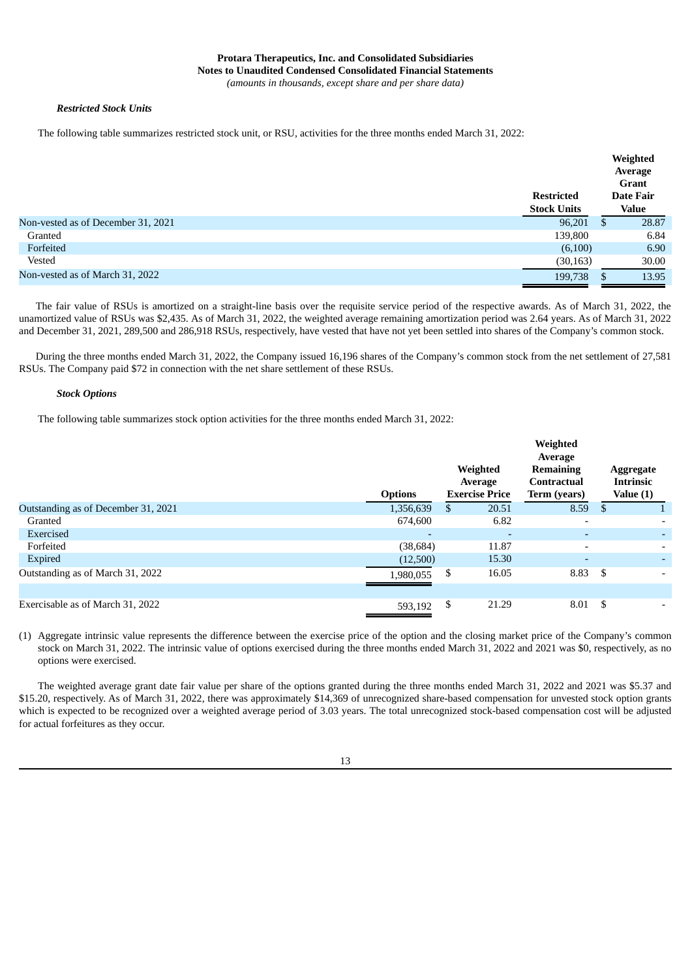# *Restricted Stock Units*

The following table summarizes restricted stock unit, or RSU, activities for the three months ended March 31, 2022:

|                                    | <b>Restricted</b><br><b>Stock Units</b> |   | Weighted<br>Average<br>Grant<br><b>Date Fair</b><br>Value |
|------------------------------------|-----------------------------------------|---|-----------------------------------------------------------|
| Non-vested as of December 31, 2021 | 96,201                                  | Ъ | 28.87                                                     |
| Granted                            | 139,800                                 |   | 6.84                                                      |
| Forfeited                          | (6,100)                                 |   | 6.90                                                      |
| Vested                             | (30, 163)                               |   | 30.00                                                     |
| Non-vested as of March 31, 2022    | 199,738                                 | Ж | 13.95                                                     |

The fair value of RSUs is amortized on a straight-line basis over the requisite service period of the respective awards. As of March 31, 2022, the unamortized value of RSUs was \$2,435. As of March 31, 2022, the weighted average remaining amortization period was 2.64 years. As of March 31, 2022 and December 31, 2021, 289,500 and 286,918 RSUs, respectively, have vested that have not yet been settled into shares of the Company's common stock.

During the three months ended March 31, 2022, the Company issued 16,196 shares of the Company's common stock from the net settlement of 27,581 RSUs. The Company paid \$72 in connection with the net share settlement of these RSUs.

#### *Stock Options*

The following table summarizes stock option activities for the three months ended March 31, 2022:

|                                     |                          | Weighted<br>Average |                                              |                                                        |    |                                            |  |
|-------------------------------------|--------------------------|---------------------|----------------------------------------------|--------------------------------------------------------|----|--------------------------------------------|--|
|                                     | <b>Options</b>           |                     | Weighted<br>Average<br><b>Exercise Price</b> | <b>Remaining</b><br><b>Contractual</b><br>Term (years) |    | Aggregate<br><b>Intrinsic</b><br>Value (1) |  |
| Outstanding as of December 31, 2021 | 1,356,639                | S                   | 20.51                                        | 8.59                                                   | -S |                                            |  |
| Granted                             | 674,600                  |                     | 6.82                                         | $\overline{\phantom{0}}$                               |    |                                            |  |
| Exercised                           | $\overline{\phantom{0}}$ |                     | $\overline{\phantom{a}}$                     | $\overline{\phantom{0}}$                               |    |                                            |  |
| Forfeited                           | (38, 684)                |                     | 11.87                                        | $\overline{\phantom{0}}$                               |    |                                            |  |
| Expired                             | (12,500)                 |                     | 15.30                                        | ٠                                                      |    |                                            |  |
| Outstanding as of March 31, 2022    | 1,980,055                | \$                  | 16.05                                        | 8.83                                                   | \$ |                                            |  |
|                                     |                          |                     |                                              |                                                        |    |                                            |  |
| Exercisable as of March 31, 2022    | 593,192                  | \$                  | 21.29                                        | 8.01                                                   | \$ | $\overline{\phantom{0}}$                   |  |

(1) Aggregate intrinsic value represents the difference between the exercise price of the option and the closing market price of the Company's common stock on March 31, 2022. The intrinsic value of options exercised during the three months ended March 31, 2022 and 2021 was \$0, respectively, as no options were exercised.

The weighted average grant date fair value per share of the options granted during the three months ended March 31, 2022 and 2021 was \$5.37 and \$15.20, respectively. As of March 31, 2022, there was approximately \$14,369 of unrecognized share-based compensation for unvested stock option grants which is expected to be recognized over a weighted average period of 3.03 years. The total unrecognized stock-based compensation cost will be adjusted for actual forfeitures as they occur.

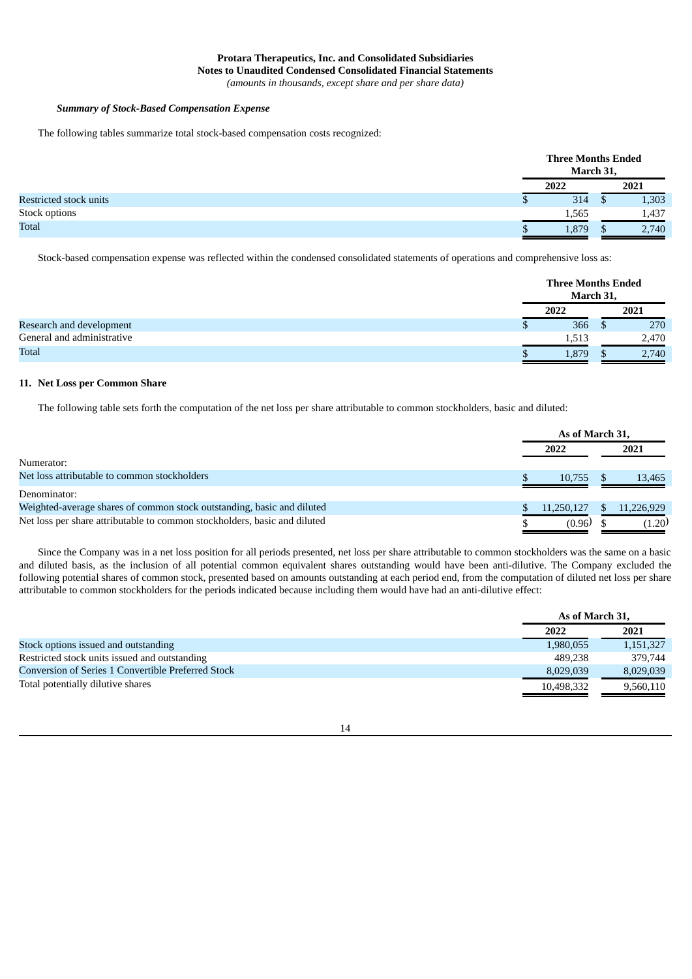# *Summary of Stock-Based Compensation Expense*

The following tables summarize total stock-based compensation costs recognized:

|                        | <b>Three Months Ended</b><br>March 31, |       |
|------------------------|----------------------------------------|-------|
|                        | 2022                                   | 2021  |
| Restricted stock units | 314                                    | 1,303 |
| Stock options          | 1,565                                  | 1,437 |
| <b>Total</b>           | 1,879                                  | 2,740 |

Stock-based compensation expense was reflected within the condensed consolidated statements of operations and comprehensive loss as:

|                            | <b>Three Months Ended</b><br>March 31, |       |
|----------------------------|----------------------------------------|-------|
|                            | 2022                                   | 2021  |
| Research and development   | 366                                    | 270   |
| General and administrative | 1,513                                  | 2,470 |
| <b>Total</b>               | 1,879                                  | 2,740 |

# **11. Net Loss per Common Share**

The following table sets forth the computation of the net loss per share attributable to common stockholders, basic and diluted:

|                                                                           | As of March 31, |    |            |  |
|---------------------------------------------------------------------------|-----------------|----|------------|--|
|                                                                           | 2022            |    | 2021       |  |
| Numerator:                                                                |                 |    |            |  |
| Net loss attributable to common stockholders                              | 10.755          |    | 13,465     |  |
| Denominator:                                                              |                 |    |            |  |
| Weighted-average shares of common stock outstanding, basic and diluted    | 11,250,127      | S. | 11.226.929 |  |
| Net loss per share attributable to common stockholders, basic and diluted | (0.96)          |    | (1.20)     |  |

Since the Company was in a net loss position for all periods presented, net loss per share attributable to common stockholders was the same on a basic and diluted basis, as the inclusion of all potential common equivalent shares outstanding would have been anti-dilutive. The Company excluded the following potential shares of common stock, presented based on amounts outstanding at each period end, from the computation of diluted net loss per share attributable to common stockholders for the periods indicated because including them would have had an anti-dilutive effect:

|                                                    | As of March 31, |           |
|----------------------------------------------------|-----------------|-----------|
|                                                    | 2022            | 2021      |
| Stock options issued and outstanding               | 1.980.055       | 1,151,327 |
| Restricted stock units issued and outstanding      | 489.238         | 379.744   |
| Conversion of Series 1 Convertible Preferred Stock | 8.029.039       | 8,029,039 |
| Total potentially dilutive shares                  | 10.498.332      | 9.560.110 |

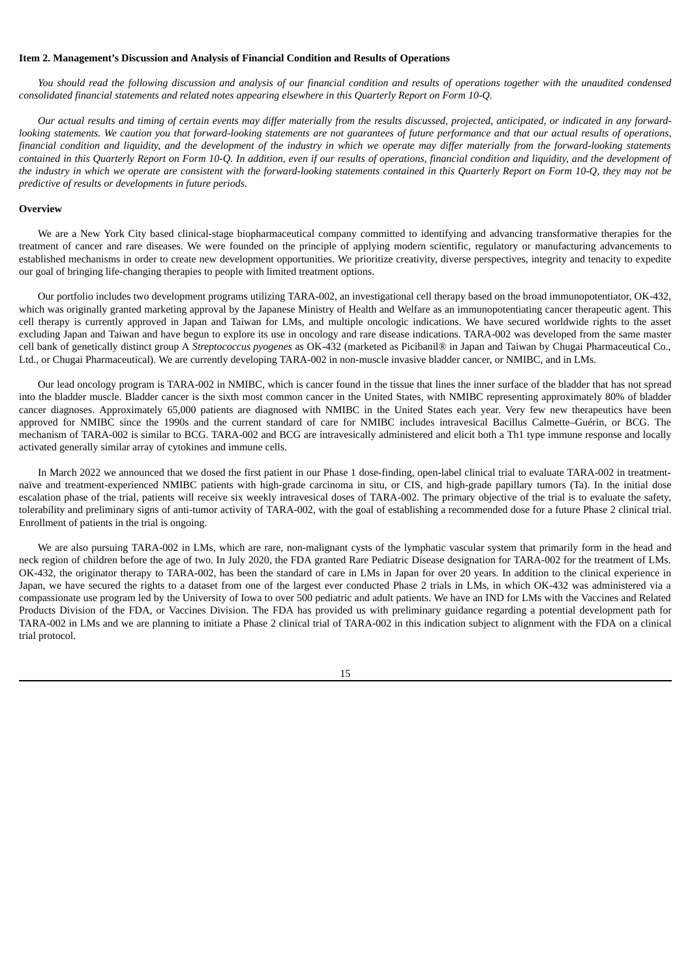#### <span id="page-19-0"></span>**Item 2. Management's Discussion and Analysis of Financial Condition and Results of Operations**

You should read the following discussion and analysis of our financial condition and results of operations together with the unaudited condensed *consolidated financial statements and related notes appearing elsewhere in this Quarterly Report on Form 10-Q.*

Our actual results and timing of certain events may differ materially from the results discussed, projected, anticipated, or indicated in any forwardlooking statements. We caution you that forward-looking statements are not quarantees of future performance and that our actual results of operations, financial condition and liquidity, and the development of the industry in which we operate may differ materially from the forward-looking statements contained in this Quarterly Report on Form 10-Q. In addition, even if our results of operations, financial condition and liquidity, and the development of the industry in which we operate are consistent with the forward-looking statements contained in this Quarterly Report on Form 10-Q, they may not be *predictive of results or developments in future periods.*

#### **Overview**

We are a New York City based clinical-stage biopharmaceutical company committed to identifying and advancing transformative therapies for the treatment of cancer and rare diseases. We were founded on the principle of applying modern scientific, regulatory or manufacturing advancements to established mechanisms in order to create new development opportunities. We prioritize creativity, diverse perspectives, integrity and tenacity to expedite our goal of bringing life-changing therapies to people with limited treatment options.

Our portfolio includes two development programs utilizing TARA-002, an investigational cell therapy based on the broad immunopotentiator, OK-432, which was originally granted marketing approval by the Japanese Ministry of Health and Welfare as an immunopotentiating cancer therapeutic agent. This cell therapy is currently approved in Japan and Taiwan for LMs, and multiple oncologic indications. We have secured worldwide rights to the asset excluding Japan and Taiwan and have begun to explore its use in oncology and rare disease indications. TARA-002 was developed from the same master cell bank of genetically distinct group A *Streptococcus pyogenes* as OK-432 (marketed as Picibanil® in Japan and Taiwan by Chugai Pharmaceutical Co., Ltd., or Chugai Pharmaceutical). We are currently developing TARA-002 in non-muscle invasive bladder cancer, or NMIBC, and in LMs.

Our lead oncology program is TARA-002 in NMIBC, which is cancer found in the tissue that lines the inner surface of the bladder that has not spread into the bladder muscle. Bladder cancer is the sixth most common cancer in the United States, with NMIBC representing approximately 80% of bladder cancer diagnoses. Approximately 65,000 patients are diagnosed with NMIBC in the United States each year. Very few new therapeutics have been approved for NMIBC since the 1990s and the current standard of care for NMIBC includes intravesical Bacillus Calmette–Guérin, or BCG. The mechanism of TARA-002 is similar to BCG. TARA-002 and BCG are intravesically administered and elicit both a Th1 type immune response and locally activated generally similar array of cytokines and immune cells.

In March 2022 we announced that we dosed the first patient in our Phase 1 dose-finding, open-label clinical trial to evaluate TARA-002 in treatmentnaïve and treatment-experienced NMIBC patients with high-grade carcinoma in situ, or CIS, and high-grade papillary tumors (Ta). In the initial dose escalation phase of the trial, patients will receive six weekly intravesical doses of TARA-002. The primary objective of the trial is to evaluate the safety, tolerability and preliminary signs of anti-tumor activity of TARA-002, with the goal of establishing a recommended dose for a future Phase 2 clinical trial. Enrollment of patients in the trial is ongoing.

We are also pursuing TARA-002 in LMs, which are rare, non-malignant cysts of the lymphatic vascular system that primarily form in the head and neck region of children before the age of two. In July 2020, the FDA granted Rare Pediatric Disease designation for TARA-002 for the treatment of LMs. OK-432, the originator therapy to TARA-002, has been the standard of care in LMs in Japan for over 20 years. In addition to the clinical experience in Japan, we have secured the rights to a dataset from one of the largest ever conducted Phase 2 trials in LMs, in which OK-432 was administered via a compassionate use program led by the University of Iowa to over 500 pediatric and adult patients. We have an IND for LMs with the Vaccines and Related Products Division of the FDA, or Vaccines Division. The FDA has provided us with preliminary guidance regarding a potential development path for TARA-002 in LMs and we are planning to initiate a Phase 2 clinical trial of TARA-002 in this indication subject to alignment with the FDA on a clinical trial protocol.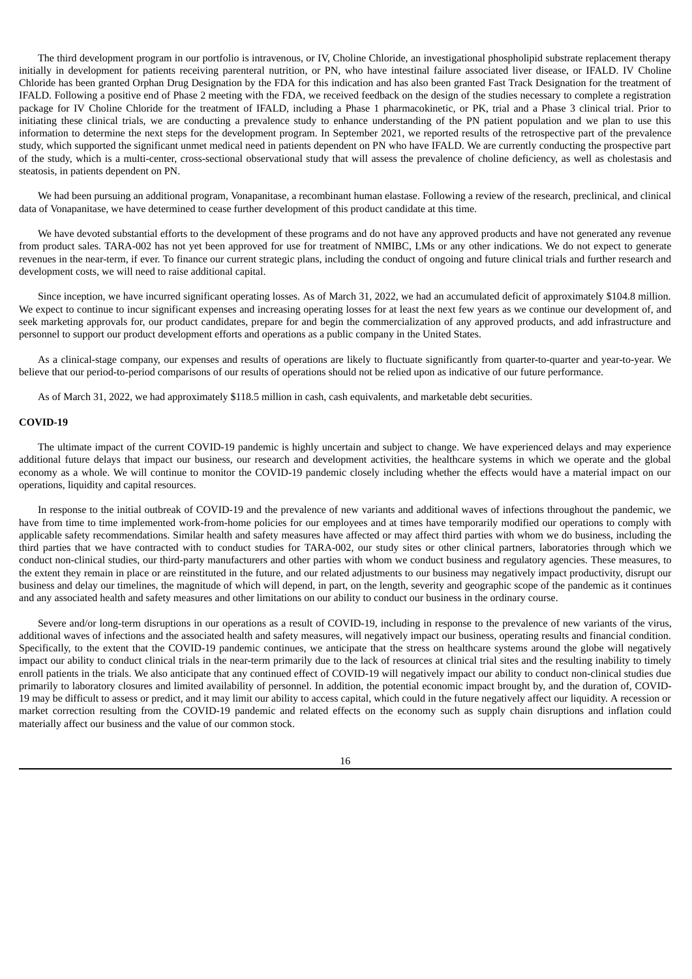The third development program in our portfolio is intravenous, or IV, Choline Chloride, an investigational phospholipid substrate replacement therapy initially in development for patients receiving parenteral nutrition, or PN, who have intestinal failure associated liver disease, or IFALD. IV Choline Chloride has been granted Orphan Drug Designation by the FDA for this indication and has also been granted Fast Track Designation for the treatment of IFALD. Following a positive end of Phase 2 meeting with the FDA, we received feedback on the design of the studies necessary to complete a registration package for IV Choline Chloride for the treatment of IFALD, including a Phase 1 pharmacokinetic, or PK, trial and a Phase 3 clinical trial. Prior to initiating these clinical trials, we are conducting a prevalence study to enhance understanding of the PN patient population and we plan to use this information to determine the next steps for the development program. In September 2021, we reported results of the retrospective part of the prevalence study, which supported the significant unmet medical need in patients dependent on PN who have IFALD. We are currently conducting the prospective part of the study, which is a multi-center, cross-sectional observational study that will assess the prevalence of choline deficiency, as well as cholestasis and steatosis, in patients dependent on PN.

We had been pursuing an additional program, Vonapanitase, a recombinant human elastase. Following a review of the research, preclinical, and clinical data of Vonapanitase, we have determined to cease further development of this product candidate at this time.

We have devoted substantial efforts to the development of these programs and do not have any approved products and have not generated any revenue from product sales. TARA-002 has not yet been approved for use for treatment of NMIBC, LMs or any other indications. We do not expect to generate revenues in the near-term, if ever. To finance our current strategic plans, including the conduct of ongoing and future clinical trials and further research and development costs, we will need to raise additional capital.

Since inception, we have incurred significant operating losses. As of March 31, 2022, we had an accumulated deficit of approximately \$104.8 million. We expect to continue to incur significant expenses and increasing operating losses for at least the next few years as we continue our development of, and seek marketing approvals for, our product candidates, prepare for and begin the commercialization of any approved products, and add infrastructure and personnel to support our product development efforts and operations as a public company in the United States.

As a clinical-stage company, our expenses and results of operations are likely to fluctuate significantly from quarter-to-quarter and year-to-year. We believe that our period-to-period comparisons of our results of operations should not be relied upon as indicative of our future performance.

As of March 31, 2022, we had approximately \$118.5 million in cash, cash equivalents, and marketable debt securities.

#### **COVID-19**

The ultimate impact of the current COVID-19 pandemic is highly uncertain and subject to change. We have experienced delays and may experience additional future delays that impact our business, our research and development activities, the healthcare systems in which we operate and the global economy as a whole. We will continue to monitor the COVID-19 pandemic closely including whether the effects would have a material impact on our operations, liquidity and capital resources.

In response to the initial outbreak of COVID-19 and the prevalence of new variants and additional waves of infections throughout the pandemic, we have from time to time implemented work-from-home policies for our employees and at times have temporarily modified our operations to comply with applicable safety recommendations. Similar health and safety measures have affected or may affect third parties with whom we do business, including the third parties that we have contracted with to conduct studies for TARA-002, our study sites or other clinical partners, laboratories through which we conduct non-clinical studies, our third-party manufacturers and other parties with whom we conduct business and regulatory agencies. These measures, to the extent they remain in place or are reinstituted in the future, and our related adjustments to our business may negatively impact productivity, disrupt our business and delay our timelines, the magnitude of which will depend, in part, on the length, severity and geographic scope of the pandemic as it continues and any associated health and safety measures and other limitations on our ability to conduct our business in the ordinary course.

Severe and/or long-term disruptions in our operations as a result of COVID-19, including in response to the prevalence of new variants of the virus, additional waves of infections and the associated health and safety measures, will negatively impact our business, operating results and financial condition. Specifically, to the extent that the COVID-19 pandemic continues, we anticipate that the stress on healthcare systems around the globe will negatively impact our ability to conduct clinical trials in the near-term primarily due to the lack of resources at clinical trial sites and the resulting inability to timely enroll patients in the trials. We also anticipate that any continued effect of COVID-19 will negatively impact our ability to conduct non-clinical studies due primarily to laboratory closures and limited availability of personnel. In addition, the potential economic impact brought by, and the duration of, COVID-19 may be difficult to assess or predict, and it may limit our ability to access capital, which could in the future negatively affect our liquidity. A recession or market correction resulting from the COVID-19 pandemic and related effects on the economy such as supply chain disruptions and inflation could materially affect our business and the value of our common stock.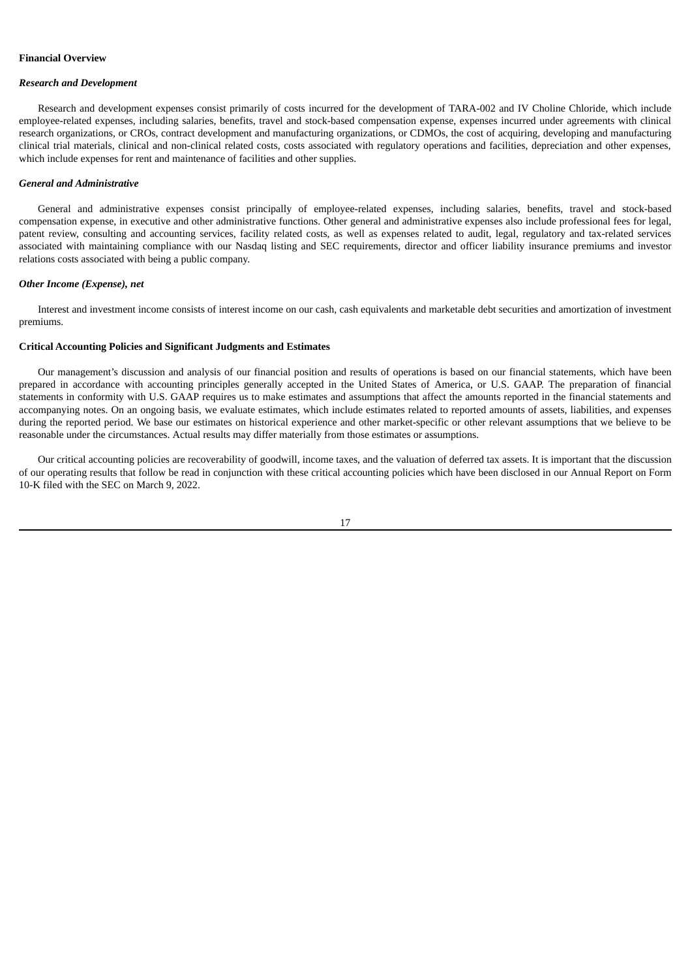### **Financial Overview**

# *Research and Development*

Research and development expenses consist primarily of costs incurred for the development of TARA-002 and IV Choline Chloride, which include employee-related expenses, including salaries, benefits, travel and stock-based compensation expense, expenses incurred under agreements with clinical research organizations, or CROs, contract development and manufacturing organizations, or CDMOs, the cost of acquiring, developing and manufacturing clinical trial materials, clinical and non-clinical related costs, costs associated with regulatory operations and facilities, depreciation and other expenses, which include expenses for rent and maintenance of facilities and other supplies.

#### *General and Administrative*

General and administrative expenses consist principally of employee-related expenses, including salaries, benefits, travel and stock-based compensation expense, in executive and other administrative functions. Other general and administrative expenses also include professional fees for legal, patent review, consulting and accounting services, facility related costs, as well as expenses related to audit, legal, regulatory and tax-related services associated with maintaining compliance with our Nasdaq listing and SEC requirements, director and officer liability insurance premiums and investor relations costs associated with being a public company.

## *Other Income (Expense), net*

Interest and investment income consists of interest income on our cash, cash equivalents and marketable debt securities and amortization of investment premiums.

#### **Critical Accounting Policies and Significant Judgments and Estimates**

Our management's discussion and analysis of our financial position and results of operations is based on our financial statements, which have been prepared in accordance with accounting principles generally accepted in the United States of America, or U.S. GAAP. The preparation of financial statements in conformity with U.S. GAAP requires us to make estimates and assumptions that affect the amounts reported in the financial statements and accompanying notes. On an ongoing basis, we evaluate estimates, which include estimates related to reported amounts of assets, liabilities, and expenses during the reported period. We base our estimates on historical experience and other market-specific or other relevant assumptions that we believe to be reasonable under the circumstances. Actual results may differ materially from those estimates or assumptions.

Our critical accounting policies are recoverability of goodwill, income taxes, and the valuation of deferred tax assets. It is important that the discussion of our operating results that follow be read in conjunction with these critical accounting policies which have been disclosed in our Annual Report on Form 10-K filed with the SEC on March 9, 2022.

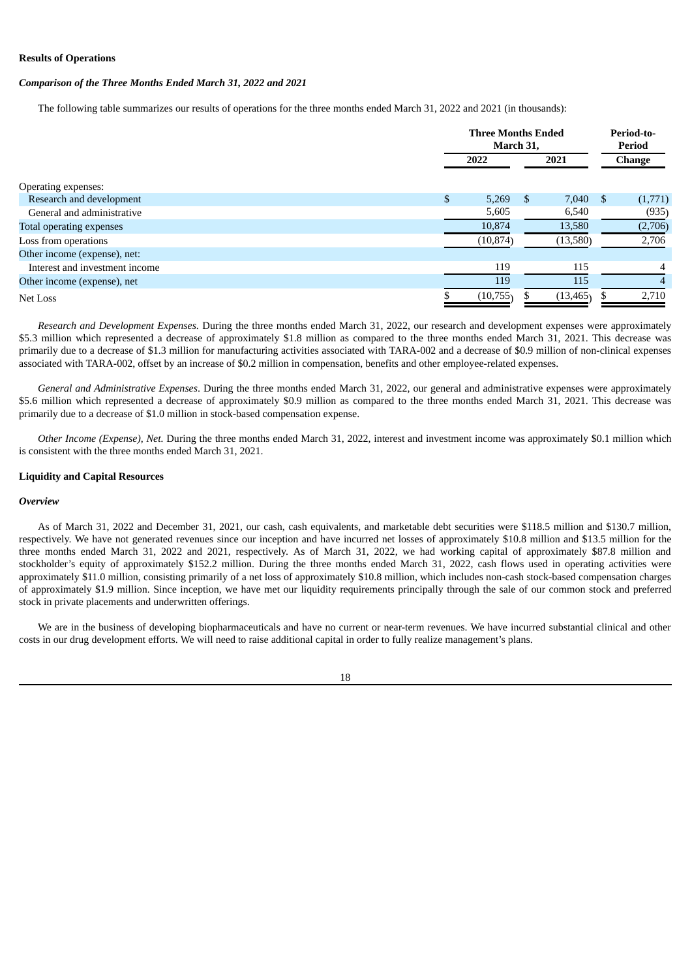## **Results of Operations**

### *Comparison of the Three Months Ended March 31, 2022 and 2021*

The following table summarizes our results of operations for the three months ended March 31, 2022 and 2021 (in thousands):

|                                | <b>Three Months Ended</b><br>March 31, |    |           | Period-to-<br>Period |               |  |
|--------------------------------|----------------------------------------|----|-----------|----------------------|---------------|--|
|                                | 2022<br>2021                           |    |           |                      | <b>Change</b> |  |
| Operating expenses:            |                                        |    |           |                      |               |  |
| Research and development       | \$<br>5,269                            | \$ | 7,040     | S                    | (1,771)       |  |
| General and administrative     | 5,605                                  |    | 6,540     |                      | (935)         |  |
| Total operating expenses       | 10,874                                 |    | 13,580    |                      | (2,706)       |  |
| Loss from operations           | (10, 874)                              |    | (13,580)  |                      | 2,706         |  |
| Other income (expense), net:   |                                        |    |           |                      |               |  |
| Interest and investment income | 119                                    |    | 115       |                      | 4             |  |
| Other income (expense), net    | 119                                    |    | 115       |                      |               |  |
| Net Loss                       | (10,755)                               |    | (13, 465) |                      | 2,710         |  |

*Research and Development Expenses*. During the three months ended March 31, 2022, our research and development expenses were approximately \$5.3 million which represented a decrease of approximately \$1.8 million as compared to the three months ended March 31, 2021. This decrease was primarily due to a decrease of \$1.3 million for manufacturing activities associated with TARA-002 and a decrease of \$0.9 million of non-clinical expenses associated with TARA-002, offset by an increase of \$0.2 million in compensation, benefits and other employee-related expenses.

*General and Administrative Expenses*. During the three months ended March 31, 2022, our general and administrative expenses were approximately \$5.6 million which represented a decrease of approximately \$0.9 million as compared to the three months ended March 31, 2021. This decrease was primarily due to a decrease of \$1.0 million in stock-based compensation expense.

*Other Income (Expense), Net.* During the three months ended March 31, 2022, interest and investment income was approximately \$0.1 million which is consistent with the three months ended March 31, 2021.

## **Liquidity and Capital Resources**

#### *Overview*

As of March 31, 2022 and December 31, 2021, our cash, cash equivalents, and marketable debt securities were \$118.5 million and \$130.7 million, respectively. We have not generated revenues since our inception and have incurred net losses of approximately \$10.8 million and \$13.5 million for the three months ended March 31, 2022 and 2021, respectively. As of March 31, 2022, we had working capital of approximately \$87.8 million and stockholder's equity of approximately \$152.2 million. During the three months ended March 31, 2022, cash flows used in operating activities were approximately \$11.0 million, consisting primarily of a net loss of approximately \$10.8 million, which includes non-cash stock-based compensation charges of approximately \$1.9 million. Since inception, we have met our liquidity requirements principally through the sale of our common stock and preferred stock in private placements and underwritten offerings.

We are in the business of developing biopharmaceuticals and have no current or near-term revenues. We have incurred substantial clinical and other costs in our drug development efforts. We will need to raise additional capital in order to fully realize management's plans.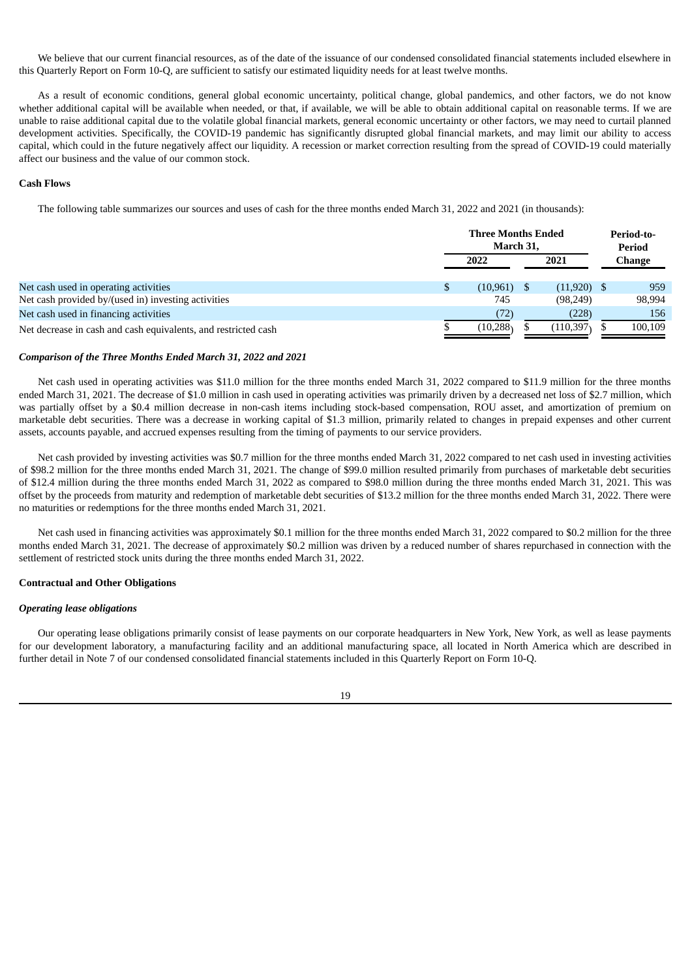We believe that our current financial resources, as of the date of the issuance of our condensed consolidated financial statements included elsewhere in this Quarterly Report on Form 10-Q, are sufficient to satisfy our estimated liquidity needs for at least twelve months.

As a result of economic conditions, general global economic uncertainty, political change, global pandemics, and other factors, we do not know whether additional capital will be available when needed, or that, if available, we will be able to obtain additional capital on reasonable terms. If we are unable to raise additional capital due to the volatile global financial markets, general economic uncertainty or other factors, we may need to curtail planned development activities. Specifically, the COVID-19 pandemic has significantly disrupted global financial markets, and may limit our ability to access capital, which could in the future negatively affect our liquidity. A recession or market correction resulting from the spread of COVID-19 could materially affect our business and the value of our common stock.

# **Cash Flows**

The following table summarizes our sources and uses of cash for the three months ended March 31, 2022 and 2021 (in thousands):

|                                                                | <b>Three Months Ended</b><br>March 31. |  |               | Period-to-<br>Period |         |
|----------------------------------------------------------------|----------------------------------------|--|---------------|----------------------|---------|
|                                                                | 2022                                   |  | 2021          |                      | Change  |
| Net cash used in operating activities                          | (10, 961)                              |  | $(11,920)$ \$ |                      | 959     |
| Net cash provided by/(used in) investing activities            | 745                                    |  | (98,249)      |                      | 98,994  |
| Net cash used in financing activities                          | (72)                                   |  | (228)         |                      | 156     |
| Net decrease in cash and cash equivalents, and restricted cash | (10, 288)                              |  | (110, 397)    |                      | 100,109 |

#### *Comparison of the Three Months Ended March 31, 2022 and 2021*

Net cash used in operating activities was \$11.0 million for the three months ended March 31, 2022 compared to \$11.9 million for the three months ended March 31, 2021. The decrease of \$1.0 million in cash used in operating activities was primarily driven by a decreased net loss of \$2.7 million, which was partially offset by a \$0.4 million decrease in non-cash items including stock-based compensation, ROU asset, and amortization of premium on marketable debt securities. There was a decrease in working capital of \$1.3 million, primarily related to changes in prepaid expenses and other current assets, accounts payable, and accrued expenses resulting from the timing of payments to our service providers.

Net cash provided by investing activities was \$0.7 million for the three months ended March 31, 2022 compared to net cash used in investing activities of \$98.2 million for the three months ended March 31, 2021. The change of \$99.0 million resulted primarily from purchases of marketable debt securities of \$12.4 million during the three months ended March 31, 2022 as compared to \$98.0 million during the three months ended March 31, 2021. This was offset by the proceeds from maturity and redemption of marketable debt securities of \$13.2 million for the three months ended March 31, 2022. There were no maturities or redemptions for the three months ended March 31, 2021.

Net cash used in financing activities was approximately \$0.1 million for the three months ended March 31, 2022 compared to \$0.2 million for the three months ended March 31, 2021. The decrease of approximately \$0.2 million was driven by a reduced number of shares repurchased in connection with the settlement of restricted stock units during the three months ended March 31, 2022.

#### **Contractual and Other Obligations**

#### *Operating lease obligations*

Our operating lease obligations primarily consist of lease payments on our corporate headquarters in New York, New York, as well as lease payments for our development laboratory, a manufacturing facility and an additional manufacturing space, all located in North America which are described in further detail in Note 7 of our condensed consolidated financial statements included in this Quarterly Report on Form 10-Q.

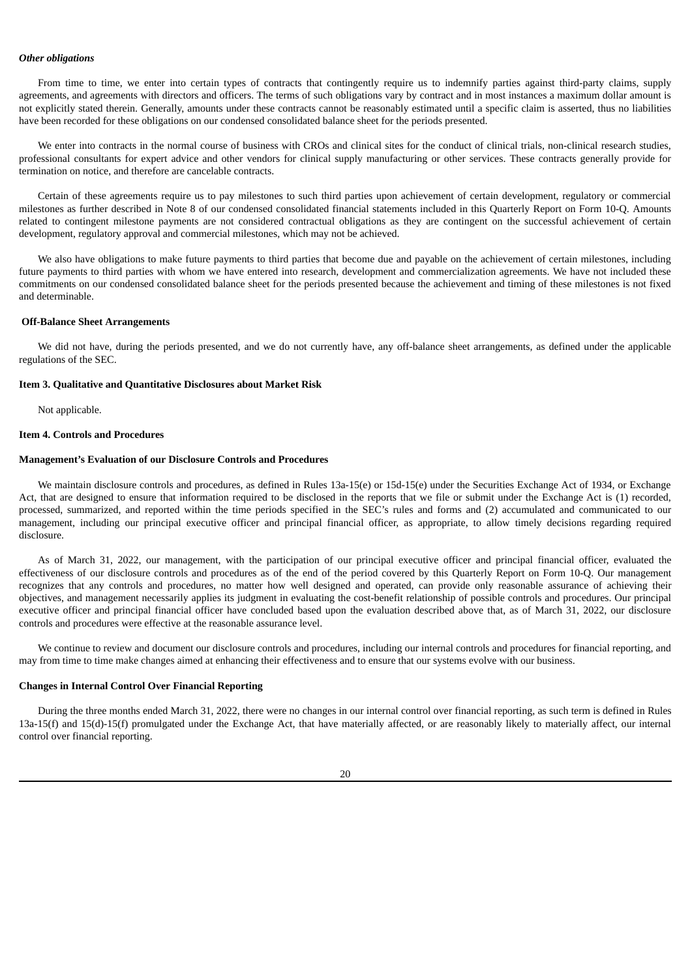## *Other obligations*

From time to time, we enter into certain types of contracts that contingently require us to indemnify parties against third-party claims, supply agreements, and agreements with directors and officers. The terms of such obligations vary by contract and in most instances a maximum dollar amount is not explicitly stated therein. Generally, amounts under these contracts cannot be reasonably estimated until a specific claim is asserted, thus no liabilities have been recorded for these obligations on our condensed consolidated balance sheet for the periods presented.

We enter into contracts in the normal course of business with CROs and clinical sites for the conduct of clinical trials, non-clinical research studies, professional consultants for expert advice and other vendors for clinical supply manufacturing or other services. These contracts generally provide for termination on notice, and therefore are cancelable contracts.

Certain of these agreements require us to pay milestones to such third parties upon achievement of certain development, regulatory or commercial milestones as further described in Note 8 of our condensed consolidated financial statements included in this Quarterly Report on Form 10-Q. Amounts related to contingent milestone payments are not considered contractual obligations as they are contingent on the successful achievement of certain development, regulatory approval and commercial milestones, which may not be achieved.

We also have obligations to make future payments to third parties that become due and payable on the achievement of certain milestones, including future payments to third parties with whom we have entered into research, development and commercialization agreements. We have not included these commitments on our condensed consolidated balance sheet for the periods presented because the achievement and timing of these milestones is not fixed and determinable.

#### **Off-Balance Sheet Arrangements**

We did not have, during the periods presented, and we do not currently have, any off-balance sheet arrangements, as defined under the applicable regulations of the SEC.

#### <span id="page-24-0"></span>**Item 3. Qualitative and Quantitative Disclosures about Market Risk**

Not applicable.

## <span id="page-24-1"></span>**Item 4. Controls and Procedures**

#### **Management's Evaluation of our Disclosure Controls and Procedures**

We maintain disclosure controls and procedures, as defined in Rules 13a-15(e) or 15d-15(e) under the Securities Exchange Act of 1934, or Exchange Act, that are designed to ensure that information required to be disclosed in the reports that we file or submit under the Exchange Act is (1) recorded, processed, summarized, and reported within the time periods specified in the SEC's rules and forms and (2) accumulated and communicated to our management, including our principal executive officer and principal financial officer, as appropriate, to allow timely decisions regarding required disclosure.

As of March 31, 2022, our management, with the participation of our principal executive officer and principal financial officer, evaluated the effectiveness of our disclosure controls and procedures as of the end of the period covered by this Quarterly Report on Form 10-Q. Our management recognizes that any controls and procedures, no matter how well designed and operated, can provide only reasonable assurance of achieving their objectives, and management necessarily applies its judgment in evaluating the cost-benefit relationship of possible controls and procedures. Our principal executive officer and principal financial officer have concluded based upon the evaluation described above that, as of March 31, 2022, our disclosure controls and procedures were effective at the reasonable assurance level.

We continue to review and document our disclosure controls and procedures, including our internal controls and procedures for financial reporting, and may from time to time make changes aimed at enhancing their effectiveness and to ensure that our systems evolve with our business.

### **Changes in Internal Control Over Financial Reporting**

During the three months ended March 31, 2022, there were no changes in our internal control over financial reporting, as such term is defined in Rules 13a-15(f) and 15(d)-15(f) promulgated under the Exchange Act, that have materially affected, or are reasonably likely to materially affect, our internal control over financial reporting.

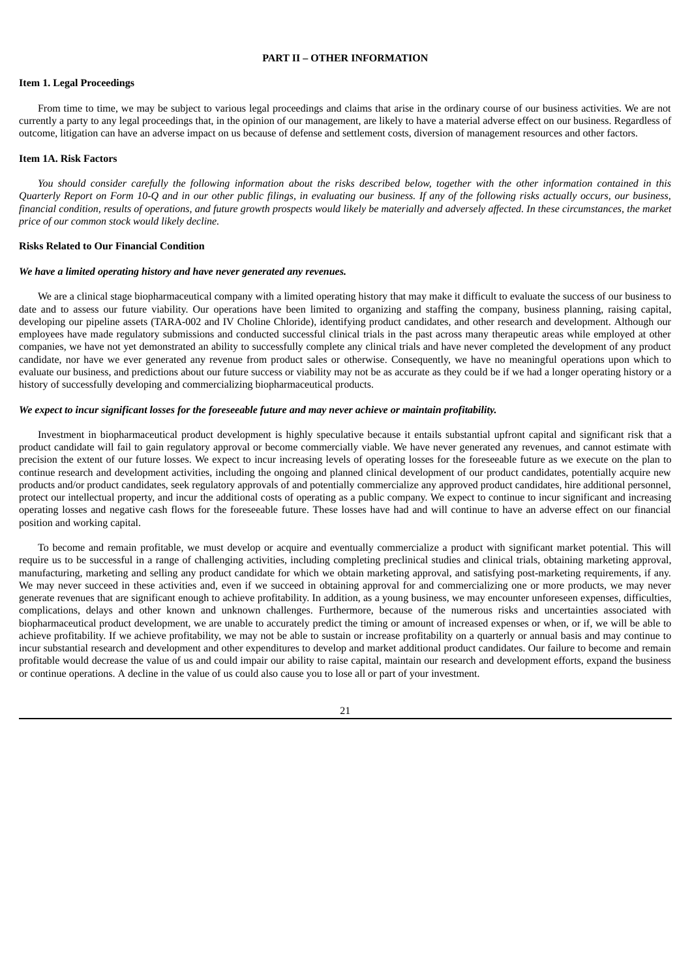### **PART II – OTHER INFORMATION**

#### <span id="page-25-1"></span><span id="page-25-0"></span>**Item 1. Legal Proceedings**

From time to time, we may be subject to various legal proceedings and claims that arise in the ordinary course of our business activities. We are not currently a party to any legal proceedings that, in the opinion of our management, are likely to have a material adverse effect on our business. Regardless of outcome, litigation can have an adverse impact on us because of defense and settlement costs, diversion of management resources and other factors.

#### <span id="page-25-2"></span>**Item 1A. Risk Factors**

You should consider carefully the following information about the risks described below, together with the other information contained in this Quarterly Report on Form 10-Q and in our other public filings, in evaluating our business. If any of the following risks actually occurs, our business, financial condition, results of operations, and future growth prospects would likely be materially and adversely affected. In these circumstances, the market *price of our common stock would likely decline.*

## **Risks Related to Our Financial Condition**

#### *We have a limited operating history and have never generated any revenues.*

We are a clinical stage biopharmaceutical company with a limited operating history that may make it difficult to evaluate the success of our business to date and to assess our future viability. Our operations have been limited to organizing and staffing the company, business planning, raising capital, developing our pipeline assets (TARA-002 and IV Choline Chloride), identifying product candidates, and other research and development. Although our employees have made regulatory submissions and conducted successful clinical trials in the past across many therapeutic areas while employed at other companies, we have not yet demonstrated an ability to successfully complete any clinical trials and have never completed the development of any product candidate, nor have we ever generated any revenue from product sales or otherwise. Consequently, we have no meaningful operations upon which to evaluate our business, and predictions about our future success or viability may not be as accurate as they could be if we had a longer operating history or a history of successfully developing and commercializing biopharmaceutical products.

#### We expect to incur significant losses for the foreseeable future and may never achieve or maintain profitability.

Investment in biopharmaceutical product development is highly speculative because it entails substantial upfront capital and significant risk that a product candidate will fail to gain regulatory approval or become commercially viable. We have never generated any revenues, and cannot estimate with precision the extent of our future losses. We expect to incur increasing levels of operating losses for the foreseeable future as we execute on the plan to continue research and development activities, including the ongoing and planned clinical development of our product candidates, potentially acquire new products and/or product candidates, seek regulatory approvals of and potentially commercialize any approved product candidates, hire additional personnel, protect our intellectual property, and incur the additional costs of operating as a public company. We expect to continue to incur significant and increasing operating losses and negative cash flows for the foreseeable future. These losses have had and will continue to have an adverse effect on our financial position and working capital.

To become and remain profitable, we must develop or acquire and eventually commercialize a product with significant market potential. This will require us to be successful in a range of challenging activities, including completing preclinical studies and clinical trials, obtaining marketing approval, manufacturing, marketing and selling any product candidate for which we obtain marketing approval, and satisfying post-marketing requirements, if any. We may never succeed in these activities and, even if we succeed in obtaining approval for and commercializing one or more products, we may never generate revenues that are significant enough to achieve profitability. In addition, as a young business, we may encounter unforeseen expenses, difficulties, complications, delays and other known and unknown challenges. Furthermore, because of the numerous risks and uncertainties associated with biopharmaceutical product development, we are unable to accurately predict the timing or amount of increased expenses or when, or if, we will be able to achieve profitability. If we achieve profitability, we may not be able to sustain or increase profitability on a quarterly or annual basis and may continue to incur substantial research and development and other expenditures to develop and market additional product candidates. Our failure to become and remain profitable would decrease the value of us and could impair our ability to raise capital, maintain our research and development efforts, expand the business or continue operations. A decline in the value of us could also cause you to lose all or part of your investment.

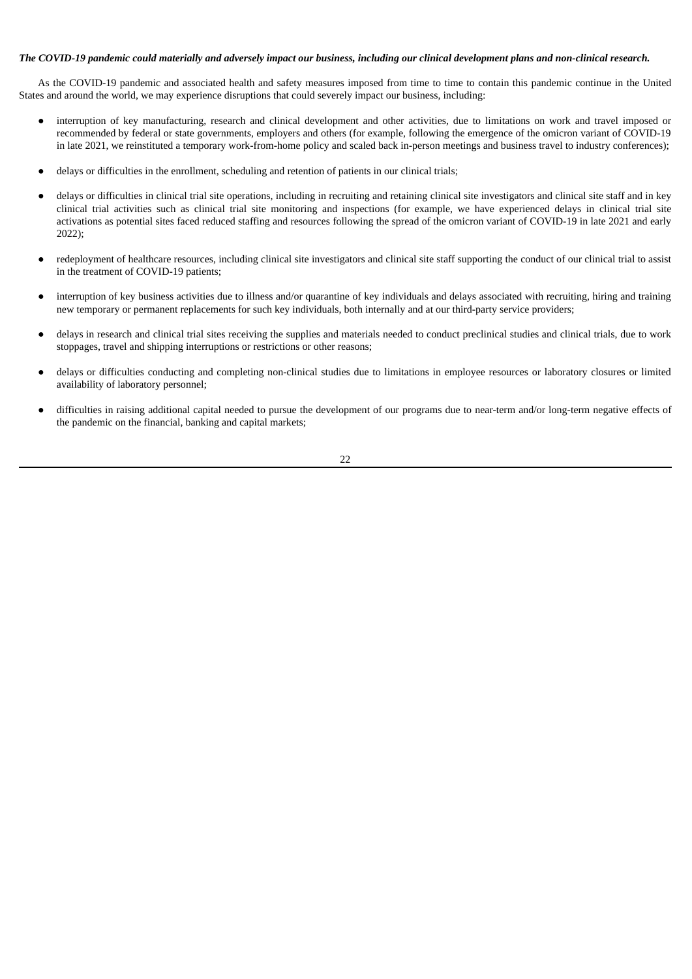## The COVID-19 pandemic could materially and adversely impact our business, including our clinical development plans and non-clinical research.

As the COVID-19 pandemic and associated health and safety measures imposed from time to time to contain this pandemic continue in the United States and around the world, we may experience disruptions that could severely impact our business, including:

- interruption of key manufacturing, research and clinical development and other activities, due to limitations on work and travel imposed or recommended by federal or state governments, employers and others (for example, following the emergence of the omicron variant of COVID-19 in late 2021, we reinstituted a temporary work-from-home policy and scaled back in-person meetings and business travel to industry conferences);
- delays or difficulties in the enrollment, scheduling and retention of patients in our clinical trials;
- delays or difficulties in clinical trial site operations, including in recruiting and retaining clinical site investigators and clinical site staff and in key clinical trial activities such as clinical trial site monitoring and inspections (for example, we have experienced delays in clinical trial site activations as potential sites faced reduced staffing and resources following the spread of the omicron variant of COVID-19 in late 2021 and early 2022);
- redeployment of healthcare resources, including clinical site investigators and clinical site staff supporting the conduct of our clinical trial to assist in the treatment of COVID-19 patients;
- interruption of key business activities due to illness and/or quarantine of key individuals and delays associated with recruiting, hiring and training new temporary or permanent replacements for such key individuals, both internally and at our third-party service providers;
- delays in research and clinical trial sites receiving the supplies and materials needed to conduct preclinical studies and clinical trials, due to work stoppages, travel and shipping interruptions or restrictions or other reasons;
- delays or difficulties conducting and completing non-clinical studies due to limitations in employee resources or laboratory closures or limited availability of laboratory personnel;
- difficulties in raising additional capital needed to pursue the development of our programs due to near-term and/or long-term negative effects of the pandemic on the financial, banking and capital markets;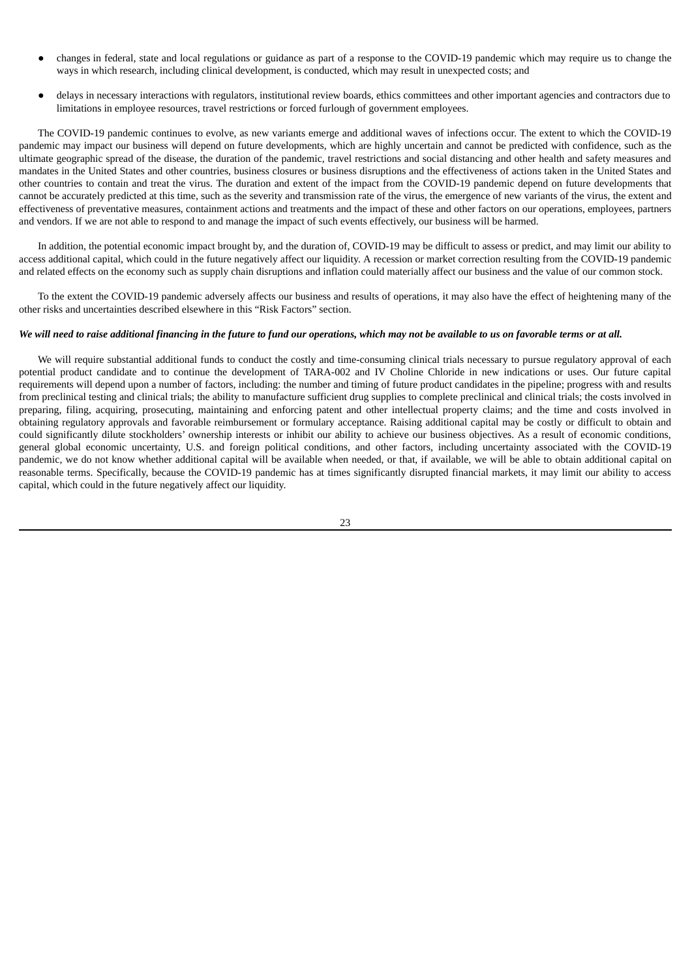- changes in federal, state and local regulations or guidance as part of a response to the COVID-19 pandemic which may require us to change the ways in which research, including clinical development, is conducted, which may result in unexpected costs; and
- delays in necessary interactions with regulators, institutional review boards, ethics committees and other important agencies and contractors due to limitations in employee resources, travel restrictions or forced furlough of government employees.

The COVID-19 pandemic continues to evolve, as new variants emerge and additional waves of infections occur. The extent to which the COVID-19 pandemic may impact our business will depend on future developments, which are highly uncertain and cannot be predicted with confidence, such as the ultimate geographic spread of the disease, the duration of the pandemic, travel restrictions and social distancing and other health and safety measures and mandates in the United States and other countries, business closures or business disruptions and the effectiveness of actions taken in the United States and other countries to contain and treat the virus. The duration and extent of the impact from the COVID-19 pandemic depend on future developments that cannot be accurately predicted at this time, such as the severity and transmission rate of the virus, the emergence of new variants of the virus, the extent and effectiveness of preventative measures, containment actions and treatments and the impact of these and other factors on our operations, employees, partners and vendors. If we are not able to respond to and manage the impact of such events effectively, our business will be harmed.

In addition, the potential economic impact brought by, and the duration of, COVID-19 may be difficult to assess or predict, and may limit our ability to access additional capital, which could in the future negatively affect our liquidity. A recession or market correction resulting from the COVID-19 pandemic and related effects on the economy such as supply chain disruptions and inflation could materially affect our business and the value of our common stock.

To the extent the COVID-19 pandemic adversely affects our business and results of operations, it may also have the effect of heightening many of the other risks and uncertainties described elsewhere in this "Risk Factors" section.

# We will need to raise additional financing in the future to fund our operations, which may not be available to us on favorable terms or at all.

We will require substantial additional funds to conduct the costly and time-consuming clinical trials necessary to pursue regulatory approval of each potential product candidate and to continue the development of TARA-002 and IV Choline Chloride in new indications or uses. Our future capital requirements will depend upon a number of factors, including: the number and timing of future product candidates in the pipeline; progress with and results from preclinical testing and clinical trials; the ability to manufacture sufficient drug supplies to complete preclinical and clinical trials; the costs involved in preparing, filing, acquiring, prosecuting, maintaining and enforcing patent and other intellectual property claims; and the time and costs involved in obtaining regulatory approvals and favorable reimbursement or formulary acceptance. Raising additional capital may be costly or difficult to obtain and could significantly dilute stockholders' ownership interests or inhibit our ability to achieve our business objectives. As a result of economic conditions, general global economic uncertainty, U.S. and foreign political conditions, and other factors, including uncertainty associated with the COVID-19 pandemic, we do not know whether additional capital will be available when needed, or that, if available, we will be able to obtain additional capital on reasonable terms. Specifically, because the COVID-19 pandemic has at times significantly disrupted financial markets, it may limit our ability to access capital, which could in the future negatively affect our liquidity.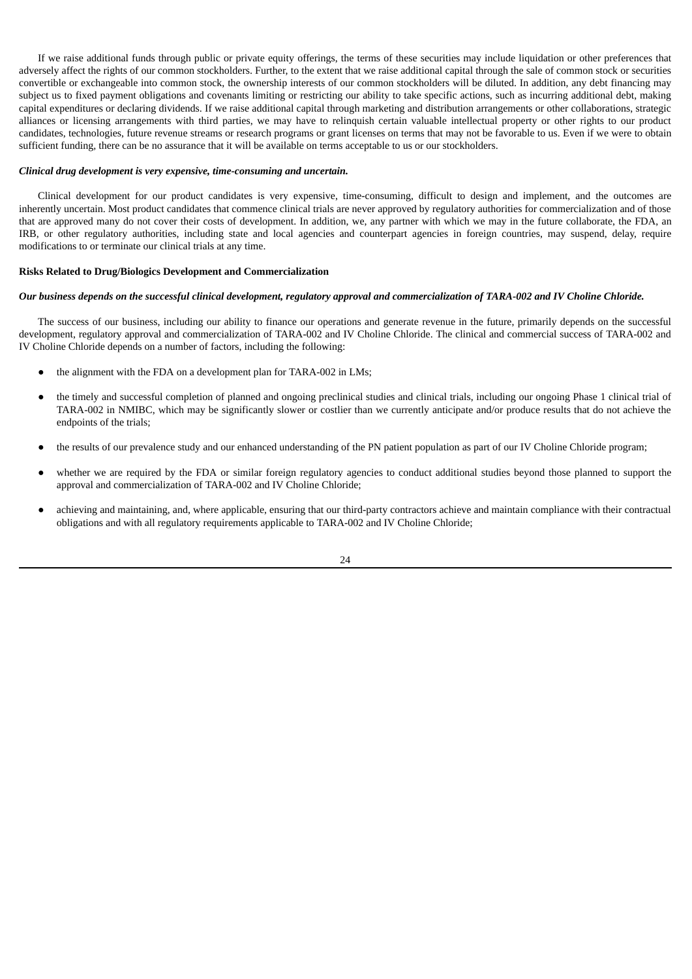If we raise additional funds through public or private equity offerings, the terms of these securities may include liquidation or other preferences that adversely affect the rights of our common stockholders. Further, to the extent that we raise additional capital through the sale of common stock or securities convertible or exchangeable into common stock, the ownership interests of our common stockholders will be diluted. In addition, any debt financing may subject us to fixed payment obligations and covenants limiting or restricting our ability to take specific actions, such as incurring additional debt, making capital expenditures or declaring dividends. If we raise additional capital through marketing and distribution arrangements or other collaborations, strategic alliances or licensing arrangements with third parties, we may have to relinquish certain valuable intellectual property or other rights to our product candidates, technologies, future revenue streams or research programs or grant licenses on terms that may not be favorable to us. Even if we were to obtain sufficient funding, there can be no assurance that it will be available on terms acceptable to us or our stockholders.

### *Clinical drug development is very expensive, time-consuming and uncertain.*

Clinical development for our product candidates is very expensive, time-consuming, difficult to design and implement, and the outcomes are inherently uncertain. Most product candidates that commence clinical trials are never approved by regulatory authorities for commercialization and of those that are approved many do not cover their costs of development. In addition, we, any partner with which we may in the future collaborate, the FDA, an IRB, or other regulatory authorities, including state and local agencies and counterpart agencies in foreign countries, may suspend, delay, require modifications to or terminate our clinical trials at any time.

## **Risks Related to Drug/Biologics Development and Commercialization**

#### Our business depends on the successful clinical development, regulatory approval and commercialization of TARA-002 and IV Choline Chloride.

The success of our business, including our ability to finance our operations and generate revenue in the future, primarily depends on the successful development, regulatory approval and commercialization of TARA-002 and IV Choline Chloride. The clinical and commercial success of TARA-002 and IV Choline Chloride depends on a number of factors, including the following:

- the alignment with the FDA on a development plan for TARA-002 in LMs;
- the timely and successful completion of planned and ongoing preclinical studies and clinical trials, including our ongoing Phase 1 clinical trial of TARA-002 in NMIBC, which may be significantly slower or costlier than we currently anticipate and/or produce results that do not achieve the endpoints of the trials;
- the results of our prevalence study and our enhanced understanding of the PN patient population as part of our IV Choline Chloride program;
- whether we are required by the FDA or similar foreign regulatory agencies to conduct additional studies beyond those planned to support the approval and commercialization of TARA-002 and IV Choline Chloride;
- achieving and maintaining, and, where applicable, ensuring that our third-party contractors achieve and maintain compliance with their contractual obligations and with all regulatory requirements applicable to TARA-002 and IV Choline Chloride;

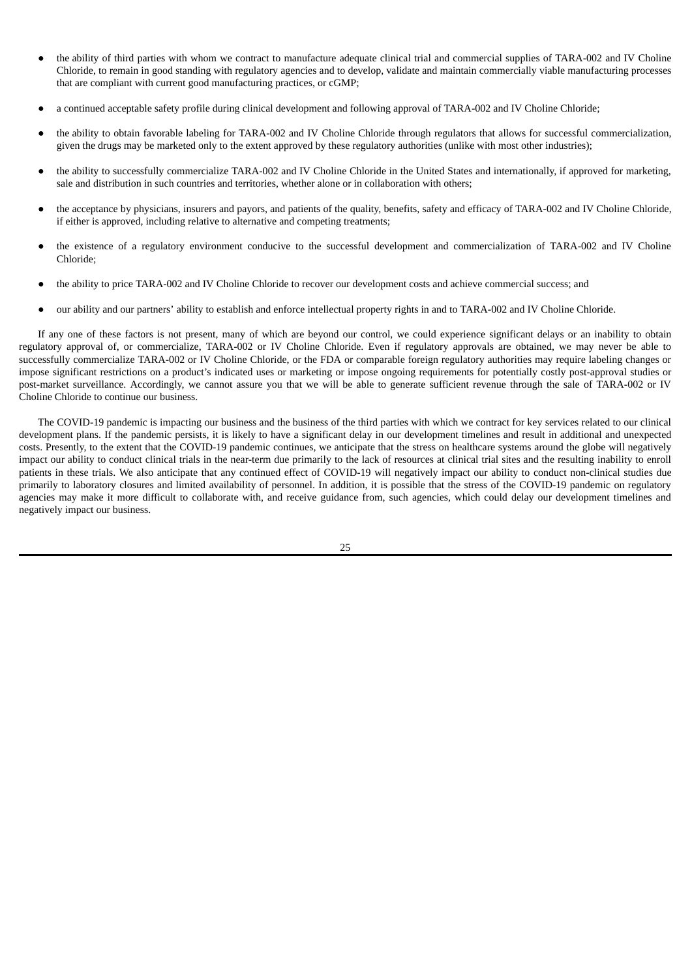- the ability of third parties with whom we contract to manufacture adequate clinical trial and commercial supplies of TARA-002 and IV Choline Chloride, to remain in good standing with regulatory agencies and to develop, validate and maintain commercially viable manufacturing processes that are compliant with current good manufacturing practices, or cGMP;
- a continued acceptable safety profile during clinical development and following approval of TARA-002 and IV Choline Chloride;
- the ability to obtain favorable labeling for TARA-002 and IV Choline Chloride through regulators that allows for successful commercialization, given the drugs may be marketed only to the extent approved by these regulatory authorities (unlike with most other industries);
- the ability to successfully commercialize TARA-002 and IV Choline Chloride in the United States and internationally, if approved for marketing, sale and distribution in such countries and territories, whether alone or in collaboration with others;
- the acceptance by physicians, insurers and payors, and patients of the quality, benefits, safety and efficacy of TARA-002 and IV Choline Chloride, if either is approved, including relative to alternative and competing treatments;
- the existence of a regulatory environment conducive to the successful development and commercialization of TARA-002 and IV Choline Chloride;
- the ability to price TARA-002 and IV Choline Chloride to recover our development costs and achieve commercial success; and
- our ability and our partners' ability to establish and enforce intellectual property rights in and to TARA-002 and IV Choline Chloride.

If any one of these factors is not present, many of which are beyond our control, we could experience significant delays or an inability to obtain regulatory approval of, or commercialize, TARA-002 or IV Choline Chloride. Even if regulatory approvals are obtained, we may never be able to successfully commercialize TARA-002 or IV Choline Chloride, or the FDA or comparable foreign regulatory authorities may require labeling changes or impose significant restrictions on a product's indicated uses or marketing or impose ongoing requirements for potentially costly post-approval studies or post-market surveillance. Accordingly, we cannot assure you that we will be able to generate sufficient revenue through the sale of TARA-002 or IV Choline Chloride to continue our business.

The COVID-19 pandemic is impacting our business and the business of the third parties with which we contract for key services related to our clinical development plans. If the pandemic persists, it is likely to have a significant delay in our development timelines and result in additional and unexpected costs. Presently, to the extent that the COVID-19 pandemic continues, we anticipate that the stress on healthcare systems around the globe will negatively impact our ability to conduct clinical trials in the near-term due primarily to the lack of resources at clinical trial sites and the resulting inability to enroll patients in these trials. We also anticipate that any continued effect of COVID-19 will negatively impact our ability to conduct non-clinical studies due primarily to laboratory closures and limited availability of personnel. In addition, it is possible that the stress of the COVID-19 pandemic on regulatory agencies may make it more difficult to collaborate with, and receive guidance from, such agencies, which could delay our development timelines and negatively impact our business.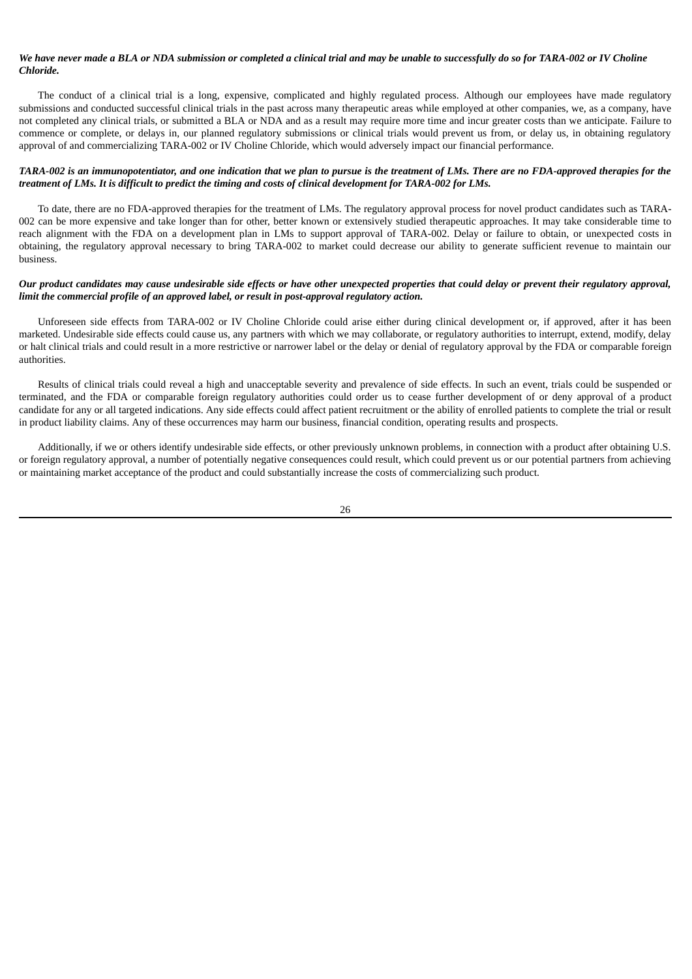# We have never made a BLA or NDA submission or completed a clinical trial and may be unable to successfully do so for TARA-002 or IV Choline *Chloride.*

The conduct of a clinical trial is a long, expensive, complicated and highly regulated process. Although our employees have made regulatory submissions and conducted successful clinical trials in the past across many therapeutic areas while employed at other companies, we, as a company, have not completed any clinical trials, or submitted a BLA or NDA and as a result may require more time and incur greater costs than we anticipate. Failure to commence or complete, or delays in, our planned regulatory submissions or clinical trials would prevent us from, or delay us, in obtaining regulatory approval of and commercializing TARA-002 or IV Choline Chloride, which would adversely impact our financial performance.

# TARA-002 is an immunopotentiator, and one indication that we plan to pursue is the treatment of LMs. There are no FDA-approved therapies for the treatment of LMs. It is difficult to predict the timing and costs of clinical development for TARA-002 for LMs.

To date, there are no FDA-approved therapies for the treatment of LMs. The regulatory approval process for novel product candidates such as TARA-002 can be more expensive and take longer than for other, better known or extensively studied therapeutic approaches. It may take considerable time to reach alignment with the FDA on a development plan in LMs to support approval of TARA-002. Delay or failure to obtain, or unexpected costs in obtaining, the regulatory approval necessary to bring TARA-002 to market could decrease our ability to generate sufficient revenue to maintain our business.

# Our product candidates may cause undesirable side effects or have other unexpected properties that could delay or prevent their requlatory approval, *limit the commercial profile of an approved label, or result in post-approval regulatory action.*

Unforeseen side effects from TARA-002 or IV Choline Chloride could arise either during clinical development or, if approved, after it has been marketed. Undesirable side effects could cause us, any partners with which we may collaborate, or regulatory authorities to interrupt, extend, modify, delay or halt clinical trials and could result in a more restrictive or narrower label or the delay or denial of regulatory approval by the FDA or comparable foreign authorities.

Results of clinical trials could reveal a high and unacceptable severity and prevalence of side effects. In such an event, trials could be suspended or terminated, and the FDA or comparable foreign regulatory authorities could order us to cease further development of or deny approval of a product candidate for any or all targeted indications. Any side effects could affect patient recruitment or the ability of enrolled patients to complete the trial or result in product liability claims. Any of these occurrences may harm our business, financial condition, operating results and prospects.

Additionally, if we or others identify undesirable side effects, or other previously unknown problems, in connection with a product after obtaining U.S. or foreign regulatory approval, a number of potentially negative consequences could result, which could prevent us or our potential partners from achieving or maintaining market acceptance of the product and could substantially increase the costs of commercializing such product.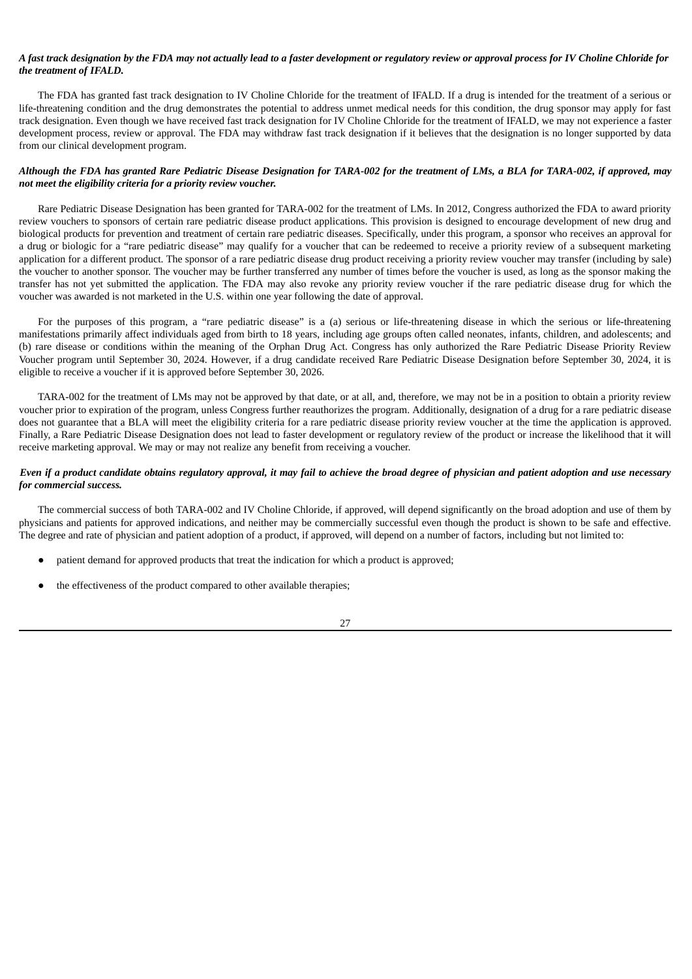# A fast track designation by the FDA may not actually lead to a faster development or regulatory review or approval process for IV Choline Chloride for *the treatment of IFALD.*

The FDA has granted fast track designation to IV Choline Chloride for the treatment of IFALD. If a drug is intended for the treatment of a serious or life-threatening condition and the drug demonstrates the potential to address unmet medical needs for this condition, the drug sponsor may apply for fast track designation. Even though we have received fast track designation for IV Choline Chloride for the treatment of IFALD, we may not experience a faster development process, review or approval. The FDA may withdraw fast track designation if it believes that the designation is no longer supported by data from our clinical development program.

# Although the FDA has granted Rare Pediatric Disease Designation for TARA-002 for the treatment of LMs, a BLA for TARA-002, if approved, may *not meet the eligibility criteria for a priority review voucher.*

Rare Pediatric Disease Designation has been granted for TARA-002 for the treatment of LMs. In 2012, Congress authorized the FDA to award priority review vouchers to sponsors of certain rare pediatric disease product applications. This provision is designed to encourage development of new drug and biological products for prevention and treatment of certain rare pediatric diseases. Specifically, under this program, a sponsor who receives an approval for a drug or biologic for a "rare pediatric disease" may qualify for a voucher that can be redeemed to receive a priority review of a subsequent marketing application for a different product. The sponsor of a rare pediatric disease drug product receiving a priority review voucher may transfer (including by sale) the voucher to another sponsor. The voucher may be further transferred any number of times before the voucher is used, as long as the sponsor making the transfer has not yet submitted the application. The FDA may also revoke any priority review voucher if the rare pediatric disease drug for which the voucher was awarded is not marketed in the U.S. within one year following the date of approval.

For the purposes of this program, a "rare pediatric disease" is a (a) serious or life-threatening disease in which the serious or life-threatening manifestations primarily affect individuals aged from birth to 18 years, including age groups often called neonates, infants, children, and adolescents; and (b) rare disease or conditions within the meaning of the Orphan Drug Act. Congress has only authorized the Rare Pediatric Disease Priority Review Voucher program until September 30, 2024. However, if a drug candidate received Rare Pediatric Disease Designation before September 30, 2024, it is eligible to receive a voucher if it is approved before September 30, 2026.

TARA-002 for the treatment of LMs may not be approved by that date, or at all, and, therefore, we may not be in a position to obtain a priority review voucher prior to expiration of the program, unless Congress further reauthorizes the program. Additionally, designation of a drug for a rare pediatric disease does not guarantee that a BLA will meet the eligibility criteria for a rare pediatric disease priority review voucher at the time the application is approved. Finally, a Rare Pediatric Disease Designation does not lead to faster development or regulatory review of the product or increase the likelihood that it will receive marketing approval. We may or may not realize any benefit from receiving a voucher.

# Even if a product candidate obtains regulatory approval, it may fail to achieve the broad degree of physician and patient adoption and use necessary *for commercial success.*

The commercial success of both TARA-002 and IV Choline Chloride, if approved, will depend significantly on the broad adoption and use of them by physicians and patients for approved indications, and neither may be commercially successful even though the product is shown to be safe and effective. The degree and rate of physician and patient adoption of a product, if approved, will depend on a number of factors, including but not limited to:

- patient demand for approved products that treat the indication for which a product is approved;
- the effectiveness of the product compared to other available therapies;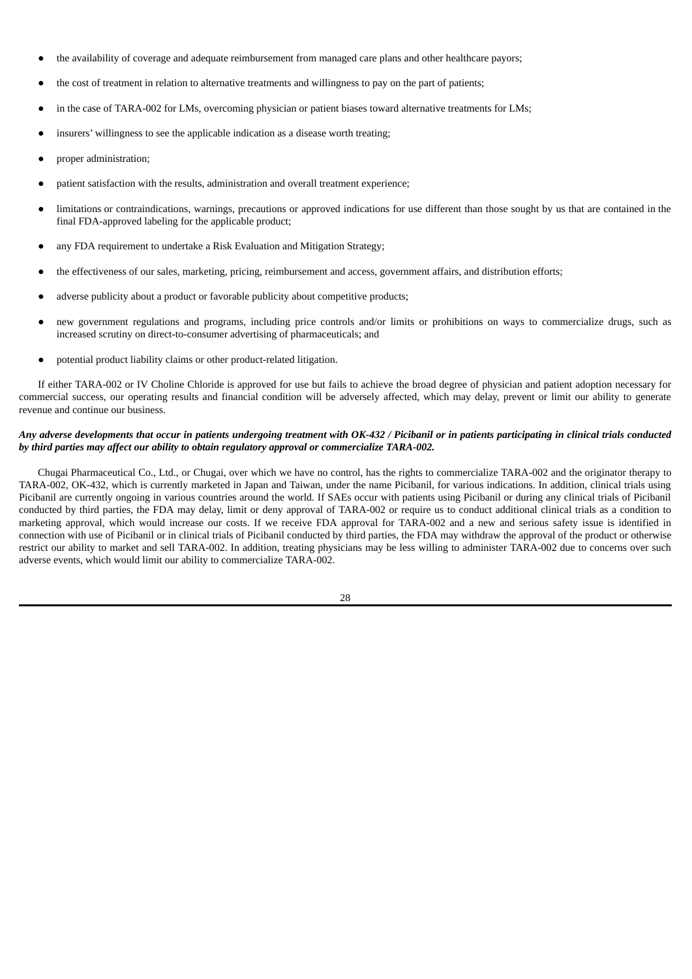- the availability of coverage and adequate reimbursement from managed care plans and other healthcare payors;
- the cost of treatment in relation to alternative treatments and willingness to pay on the part of patients;
- in the case of TARA-002 for LMs, overcoming physician or patient biases toward alternative treatments for LMs;
- insurers' willingness to see the applicable indication as a disease worth treating;
- proper administration;
- patient satisfaction with the results, administration and overall treatment experience;
- limitations or contraindications, warnings, precautions or approved indications for use different than those sought by us that are contained in the final FDA-approved labeling for the applicable product;
- any FDA requirement to undertake a Risk Evaluation and Mitigation Strategy;
- the effectiveness of our sales, marketing, pricing, reimbursement and access, government affairs, and distribution efforts;
- adverse publicity about a product or favorable publicity about competitive products;
- new government regulations and programs, including price controls and/or limits or prohibitions on ways to commercialize drugs, such as increased scrutiny on direct-to-consumer advertising of pharmaceuticals; and
- potential product liability claims or other product-related litigation.

If either TARA-002 or IV Choline Chloride is approved for use but fails to achieve the broad degree of physician and patient adoption necessary for commercial success, our operating results and financial condition will be adversely affected, which may delay, prevent or limit our ability to generate revenue and continue our business.

# Any adverse developments that occur in patients undergoing treatment with OK-432 / Picibanil or in patients participating in clinical trials conducted *by third parties may affect our ability to obtain regulatory approval or commercialize TARA-002.*

Chugai Pharmaceutical Co., Ltd., or Chugai, over which we have no control, has the rights to commercialize TARA-002 and the originator therapy to TARA-002, OK-432, which is currently marketed in Japan and Taiwan, under the name Picibanil, for various indications. In addition, clinical trials using Picibanil are currently ongoing in various countries around the world. If SAEs occur with patients using Picibanil or during any clinical trials of Picibanil conducted by third parties, the FDA may delay, limit or deny approval of TARA-002 or require us to conduct additional clinical trials as a condition to marketing approval, which would increase our costs. If we receive FDA approval for TARA-002 and a new and serious safety issue is identified in connection with use of Picibanil or in clinical trials of Picibanil conducted by third parties, the FDA may withdraw the approval of the product or otherwise restrict our ability to market and sell TARA-002. In addition, treating physicians may be less willing to administer TARA-002 due to concerns over such adverse events, which would limit our ability to commercialize TARA-002.

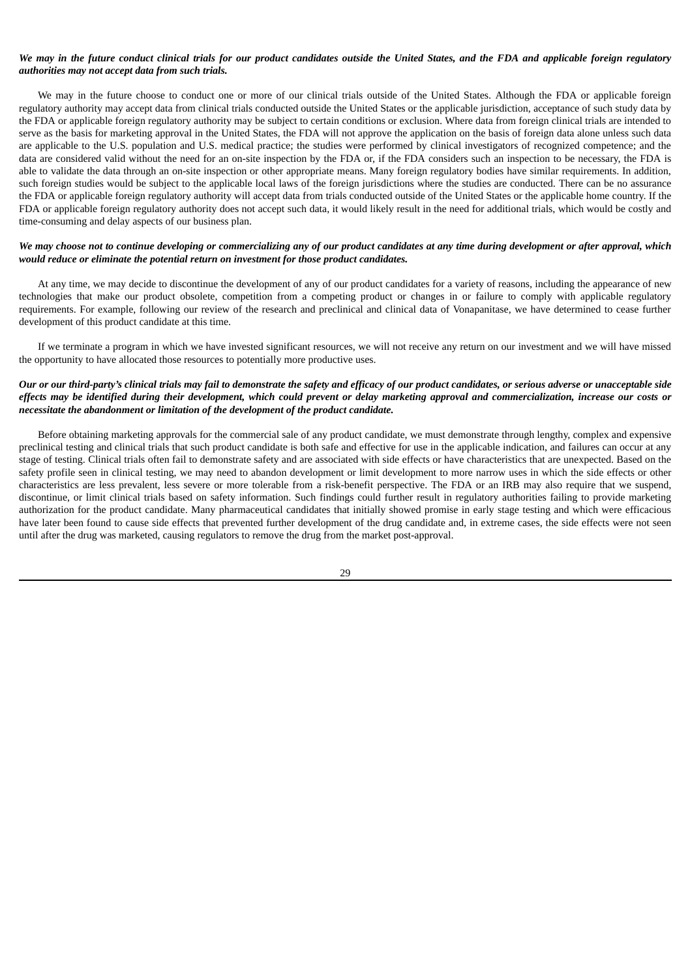# We may in the future conduct clinical trials for our product candidates outside the United States, and the FDA and applicable foreign regulatory *authorities may not accept data from such trials.*

We may in the future choose to conduct one or more of our clinical trials outside of the United States. Although the FDA or applicable foreign regulatory authority may accept data from clinical trials conducted outside the United States or the applicable jurisdiction, acceptance of such study data by the FDA or applicable foreign regulatory authority may be subject to certain conditions or exclusion. Where data from foreign clinical trials are intended to serve as the basis for marketing approval in the United States, the FDA will not approve the application on the basis of foreign data alone unless such data are applicable to the U.S. population and U.S. medical practice; the studies were performed by clinical investigators of recognized competence; and the data are considered valid without the need for an on-site inspection by the FDA or, if the FDA considers such an inspection to be necessary, the FDA is able to validate the data through an on-site inspection or other appropriate means. Many foreign regulatory bodies have similar requirements. In addition, such foreign studies would be subject to the applicable local laws of the foreign jurisdictions where the studies are conducted. There can be no assurance the FDA or applicable foreign regulatory authority will accept data from trials conducted outside of the United States or the applicable home country. If the FDA or applicable foreign regulatory authority does not accept such data, it would likely result in the need for additional trials, which would be costly and time-consuming and delay aspects of our business plan.

## We may choose not to continue developing or commercializing any of our product candidates at any time during development or after approval, which *would reduce or eliminate the potential return on investment for those product candidates.*

At any time, we may decide to discontinue the development of any of our product candidates for a variety of reasons, including the appearance of new technologies that make our product obsolete, competition from a competing product or changes in or failure to comply with applicable regulatory requirements. For example, following our review of the research and preclinical and clinical data of Vonapanitase, we have determined to cease further development of this product candidate at this time.

If we terminate a program in which we have invested significant resources, we will not receive any return on our investment and we will have missed the opportunity to have allocated those resources to potentially more productive uses.

# Our or our third-party's clinical trials may fail to demonstrate the safety and efficacy of our product candidates, or serious adverse or unacceptable side effects may be identified during their development, which could prevent or delay marketing approval and commercialization, increase our costs or *necessitate the abandonment or limitation of the development of the product candidate.*

Before obtaining marketing approvals for the commercial sale of any product candidate, we must demonstrate through lengthy, complex and expensive preclinical testing and clinical trials that such product candidate is both safe and effective for use in the applicable indication, and failures can occur at any stage of testing. Clinical trials often fail to demonstrate safety and are associated with side effects or have characteristics that are unexpected. Based on the safety profile seen in clinical testing, we may need to abandon development or limit development to more narrow uses in which the side effects or other characteristics are less prevalent, less severe or more tolerable from a risk-benefit perspective. The FDA or an IRB may also require that we suspend, discontinue, or limit clinical trials based on safety information. Such findings could further result in regulatory authorities failing to provide marketing authorization for the product candidate. Many pharmaceutical candidates that initially showed promise in early stage testing and which were efficacious have later been found to cause side effects that prevented further development of the drug candidate and, in extreme cases, the side effects were not seen until after the drug was marketed, causing regulators to remove the drug from the market post-approval.

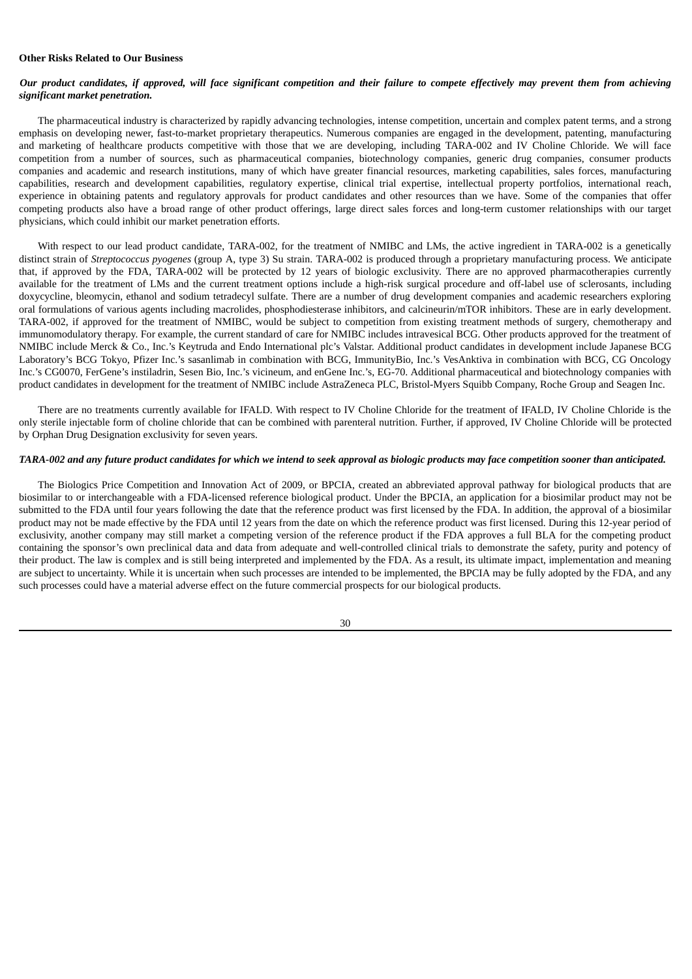### **Other Risks Related to Our Business**

# Our product candidates, if approved, will face significant competition and their failure to compete effectively may prevent them from achieving *significant market penetration.*

The pharmaceutical industry is characterized by rapidly advancing technologies, intense competition, uncertain and complex patent terms, and a strong emphasis on developing newer, fast-to-market proprietary therapeutics. Numerous companies are engaged in the development, patenting, manufacturing and marketing of healthcare products competitive with those that we are developing, including TARA-002 and IV Choline Chloride. We will face competition from a number of sources, such as pharmaceutical companies, biotechnology companies, generic drug companies, consumer products companies and academic and research institutions, many of which have greater financial resources, marketing capabilities, sales forces, manufacturing capabilities, research and development capabilities, regulatory expertise, clinical trial expertise, intellectual property portfolios, international reach, experience in obtaining patents and regulatory approvals for product candidates and other resources than we have. Some of the companies that offer competing products also have a broad range of other product offerings, large direct sales forces and long-term customer relationships with our target physicians, which could inhibit our market penetration efforts.

With respect to our lead product candidate, TARA-002, for the treatment of NMIBC and LMs, the active ingredient in TARA-002 is a genetically distinct strain of *Streptococcus pyogenes* (group A, type 3) Su strain. TARA-002 is produced through a proprietary manufacturing process. We anticipate that, if approved by the FDA, TARA-002 will be protected by 12 years of biologic exclusivity. There are no approved pharmacotherapies currently available for the treatment of LMs and the current treatment options include a high-risk surgical procedure and off-label use of sclerosants, including doxycycline, bleomycin, ethanol and sodium tetradecyl sulfate. There are a number of drug development companies and academic researchers exploring oral formulations of various agents including macrolides, phosphodiesterase inhibitors, and calcineurin/mTOR inhibitors. These are in early development. TARA-002, if approved for the treatment of NMIBC, would be subject to competition from existing treatment methods of surgery, chemotherapy and immunomodulatory therapy. For example, the current standard of care for NMIBC includes intravesical BCG. Other products approved for the treatment of NMIBC include Merck & Co., Inc.'s Keytruda and Endo International plc's Valstar. Additional product candidates in development include Japanese BCG Laboratory's BCG Tokyo, Pfizer Inc.'s sasanlimab in combination with BCG, ImmunityBio, Inc.'s VesAnktiva in combination with BCG, CG Oncology Inc.'s CG0070, FerGene's instiladrin, Sesen Bio, Inc.'s vicineum, and enGene Inc.'s, EG-70. Additional pharmaceutical and biotechnology companies with product candidates in development for the treatment of NMIBC include AstraZeneca PLC, Bristol-Myers Squibb Company, Roche Group and Seagen Inc.

There are no treatments currently available for IFALD. With respect to IV Choline Chloride for the treatment of IFALD, IV Choline Chloride is the only sterile injectable form of choline chloride that can be combined with parenteral nutrition. Further, if approved, IV Choline Chloride will be protected by Orphan Drug Designation exclusivity for seven years.

#### TARA-002 and any future product candidates for which we intend to seek approval as biologic products may face competition sooner than anticipated.

The Biologics Price Competition and Innovation Act of 2009, or BPCIA, created an abbreviated approval pathway for biological products that are biosimilar to or interchangeable with a FDA-licensed reference biological product. Under the BPCIA, an application for a biosimilar product may not be submitted to the FDA until four years following the date that the reference product was first licensed by the FDA. In addition, the approval of a biosimilar product may not be made effective by the FDA until 12 years from the date on which the reference product was first licensed. During this 12-year period of exclusivity, another company may still market a competing version of the reference product if the FDA approves a full BLA for the competing product containing the sponsor's own preclinical data and data from adequate and well-controlled clinical trials to demonstrate the safety, purity and potency of their product. The law is complex and is still being interpreted and implemented by the FDA. As a result, its ultimate impact, implementation and meaning are subject to uncertainty. While it is uncertain when such processes are intended to be implemented, the BPCIA may be fully adopted by the FDA, and any such processes could have a material adverse effect on the future commercial prospects for our biological products.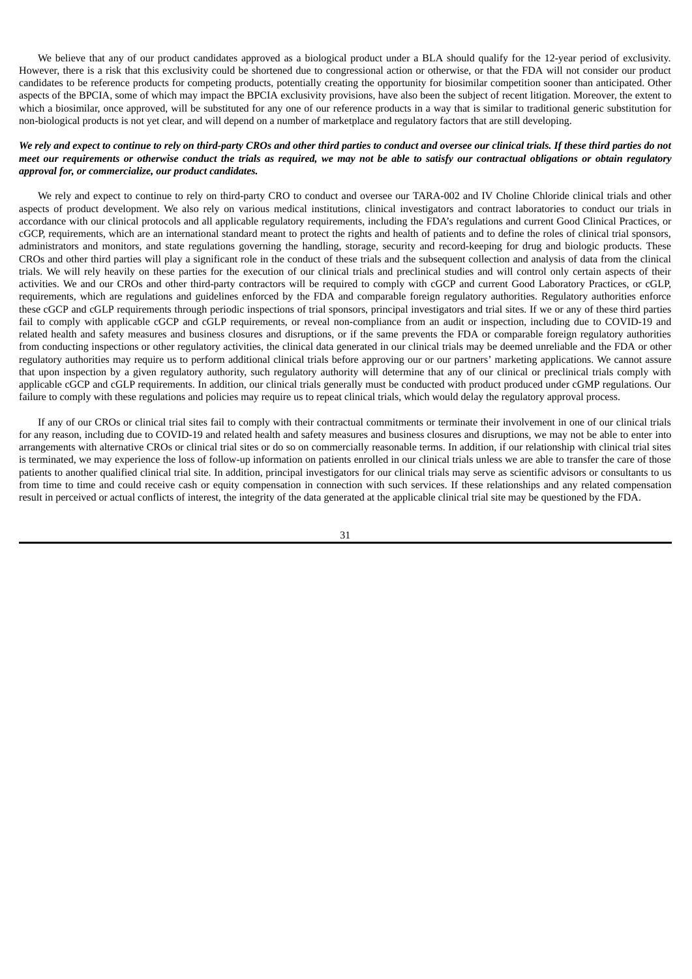We believe that any of our product candidates approved as a biological product under a BLA should qualify for the 12-year period of exclusivity. However, there is a risk that this exclusivity could be shortened due to congressional action or otherwise, or that the FDA will not consider our product candidates to be reference products for competing products, potentially creating the opportunity for biosimilar competition sooner than anticipated. Other aspects of the BPCIA, some of which may impact the BPCIA exclusivity provisions, have also been the subject of recent litigation. Moreover, the extent to which a biosimilar, once approved, will be substituted for any one of our reference products in a way that is similar to traditional generic substitution for non-biological products is not yet clear, and will depend on a number of marketplace and regulatory factors that are still developing.

# We rely and expect to continue to rely on third-party CROs and other third parties to conduct and oversee our clinical trials. If these third parties do not meet our requirements or otherwise conduct the trials as required, we may not be able to satisfy our contractual obligations or obtain regulatory *approval for, or commercialize, our product candidates.*

We rely and expect to continue to rely on third-party CRO to conduct and oversee our TARA-002 and IV Choline Chloride clinical trials and other aspects of product development. We also rely on various medical institutions, clinical investigators and contract laboratories to conduct our trials in accordance with our clinical protocols and all applicable regulatory requirements, including the FDA's regulations and current Good Clinical Practices, or cGCP, requirements, which are an international standard meant to protect the rights and health of patients and to define the roles of clinical trial sponsors, administrators and monitors, and state regulations governing the handling, storage, security and record-keeping for drug and biologic products. These CROs and other third parties will play a significant role in the conduct of these trials and the subsequent collection and analysis of data from the clinical trials. We will rely heavily on these parties for the execution of our clinical trials and preclinical studies and will control only certain aspects of their activities. We and our CROs and other third-party contractors will be required to comply with cGCP and current Good Laboratory Practices, or cGLP, requirements, which are regulations and guidelines enforced by the FDA and comparable foreign regulatory authorities. Regulatory authorities enforce these cGCP and cGLP requirements through periodic inspections of trial sponsors, principal investigators and trial sites. If we or any of these third parties fail to comply with applicable cGCP and cGLP requirements, or reveal non-compliance from an audit or inspection, including due to COVID-19 and related health and safety measures and business closures and disruptions, or if the same prevents the FDA or comparable foreign regulatory authorities from conducting inspections or other regulatory activities, the clinical data generated in our clinical trials may be deemed unreliable and the FDA or other regulatory authorities may require us to perform additional clinical trials before approving our or our partners' marketing applications. We cannot assure that upon inspection by a given regulatory authority, such regulatory authority will determine that any of our clinical or preclinical trials comply with applicable cGCP and cGLP requirements. In addition, our clinical trials generally must be conducted with product produced under cGMP regulations. Our failure to comply with these regulations and policies may require us to repeat clinical trials, which would delay the regulatory approval process.

If any of our CROs or clinical trial sites fail to comply with their contractual commitments or terminate their involvement in one of our clinical trials for any reason, including due to COVID-19 and related health and safety measures and business closures and disruptions, we may not be able to enter into arrangements with alternative CROs or clinical trial sites or do so on commercially reasonable terms. In addition, if our relationship with clinical trial sites is terminated, we may experience the loss of follow-up information on patients enrolled in our clinical trials unless we are able to transfer the care of those patients to another qualified clinical trial site. In addition, principal investigators for our clinical trials may serve as scientific advisors or consultants to us from time to time and could receive cash or equity compensation in connection with such services. If these relationships and any related compensation result in perceived or actual conflicts of interest, the integrity of the data generated at the applicable clinical trial site may be questioned by the FDA.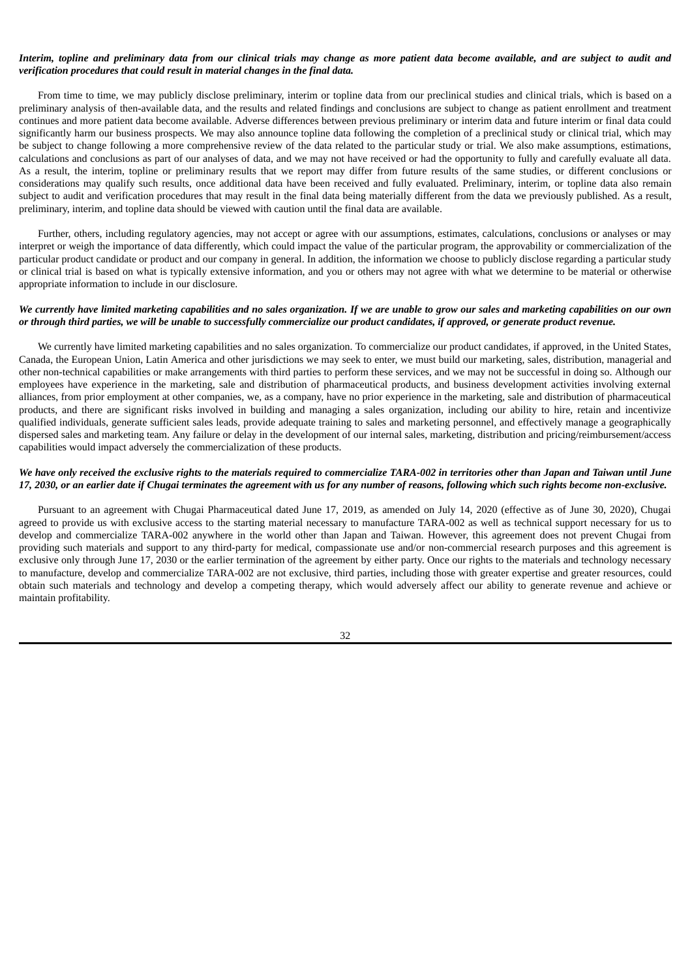# Interim, topline and preliminary data from our clinical trials may change as more patient data become available, and are subject to audit and *verification procedures that could result in material changes in the final data.*

From time to time, we may publicly disclose preliminary, interim or topline data from our preclinical studies and clinical trials, which is based on a preliminary analysis of then-available data, and the results and related findings and conclusions are subject to change as patient enrollment and treatment continues and more patient data become available. Adverse differences between previous preliminary or interim data and future interim or final data could significantly harm our business prospects. We may also announce topline data following the completion of a preclinical study or clinical trial, which may be subject to change following a more comprehensive review of the data related to the particular study or trial. We also make assumptions, estimations, calculations and conclusions as part of our analyses of data, and we may not have received or had the opportunity to fully and carefully evaluate all data. As a result, the interim, topline or preliminary results that we report may differ from future results of the same studies, or different conclusions or considerations may qualify such results, once additional data have been received and fully evaluated. Preliminary, interim, or topline data also remain subject to audit and verification procedures that may result in the final data being materially different from the data we previously published. As a result, preliminary, interim, and topline data should be viewed with caution until the final data are available.

Further, others, including regulatory agencies, may not accept or agree with our assumptions, estimates, calculations, conclusions or analyses or may interpret or weigh the importance of data differently, which could impact the value of the particular program, the approvability or commercialization of the particular product candidate or product and our company in general. In addition, the information we choose to publicly disclose regarding a particular study or clinical trial is based on what is typically extensive information, and you or others may not agree with what we determine to be material or otherwise appropriate information to include in our disclosure.

### We currently have limited marketing capabilities and no sales organization. If we are unable to grow our sales and marketing capabilities on our own or through third parties, we will be unable to successfully commercialize our product candidates, if approved, or generate product revenue.

We currently have limited marketing capabilities and no sales organization. To commercialize our product candidates, if approved, in the United States, Canada, the European Union, Latin America and other jurisdictions we may seek to enter, we must build our marketing, sales, distribution, managerial and other non-technical capabilities or make arrangements with third parties to perform these services, and we may not be successful in doing so. Although our employees have experience in the marketing, sale and distribution of pharmaceutical products, and business development activities involving external alliances, from prior employment at other companies, we, as a company, have no prior experience in the marketing, sale and distribution of pharmaceutical products, and there are significant risks involved in building and managing a sales organization, including our ability to hire, retain and incentivize qualified individuals, generate sufficient sales leads, provide adequate training to sales and marketing personnel, and effectively manage a geographically dispersed sales and marketing team. Any failure or delay in the development of our internal sales, marketing, distribution and pricing/reimbursement/access capabilities would impact adversely the commercialization of these products.

# We have only received the exclusive rights to the materials required to commercialize TARA-002 in territories other than Japan and Taiwan until June 17, 2030, or an earlier date if Chugai terminates the agreement with us for any number of reasons, following which such rights become non-exclusive.

Pursuant to an agreement with Chugai Pharmaceutical dated June 17, 2019, as amended on July 14, 2020 (effective as of June 30, 2020), Chugai agreed to provide us with exclusive access to the starting material necessary to manufacture TARA-002 as well as technical support necessary for us to develop and commercialize TARA-002 anywhere in the world other than Japan and Taiwan. However, this agreement does not prevent Chugai from providing such materials and support to any third-party for medical, compassionate use and/or non-commercial research purposes and this agreement is exclusive only through June 17, 2030 or the earlier termination of the agreement by either party. Once our rights to the materials and technology necessary to manufacture, develop and commercialize TARA-002 are not exclusive, third parties, including those with greater expertise and greater resources, could obtain such materials and technology and develop a competing therapy, which would adversely affect our ability to generate revenue and achieve or maintain profitability.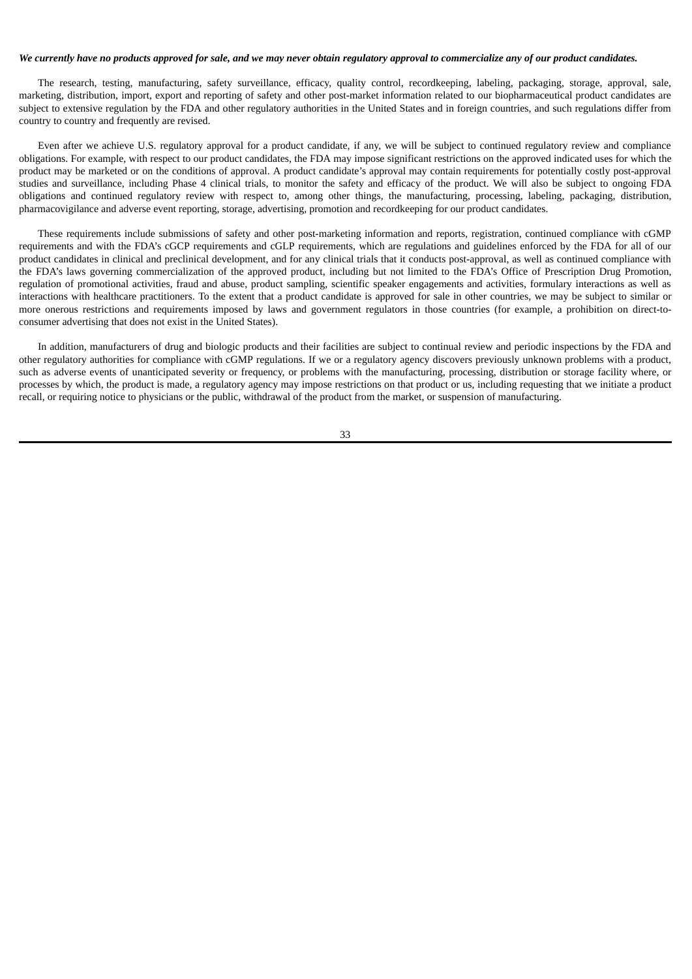### We currently have no products approved for sale, and we may never obtain regulatory approval to commercialize any of our product candidates.

The research, testing, manufacturing, safety surveillance, efficacy, quality control, recordkeeping, labeling, packaging, storage, approval, sale, marketing, distribution, import, export and reporting of safety and other post-market information related to our biopharmaceutical product candidates are subject to extensive regulation by the FDA and other regulatory authorities in the United States and in foreign countries, and such regulations differ from country to country and frequently are revised.

Even after we achieve U.S. regulatory approval for a product candidate, if any, we will be subject to continued regulatory review and compliance obligations. For example, with respect to our product candidates, the FDA may impose significant restrictions on the approved indicated uses for which the product may be marketed or on the conditions of approval. A product candidate's approval may contain requirements for potentially costly post-approval studies and surveillance, including Phase 4 clinical trials, to monitor the safety and efficacy of the product. We will also be subject to ongoing FDA obligations and continued regulatory review with respect to, among other things, the manufacturing, processing, labeling, packaging, distribution, pharmacovigilance and adverse event reporting, storage, advertising, promotion and recordkeeping for our product candidates.

These requirements include submissions of safety and other post-marketing information and reports, registration, continued compliance with cGMP requirements and with the FDA's cGCP requirements and cGLP requirements, which are regulations and guidelines enforced by the FDA for all of our product candidates in clinical and preclinical development, and for any clinical trials that it conducts post-approval, as well as continued compliance with the FDA's laws governing commercialization of the approved product, including but not limited to the FDA's Office of Prescription Drug Promotion, regulation of promotional activities, fraud and abuse, product sampling, scientific speaker engagements and activities, formulary interactions as well as interactions with healthcare practitioners. To the extent that a product candidate is approved for sale in other countries, we may be subject to similar or more onerous restrictions and requirements imposed by laws and government regulators in those countries (for example, a prohibition on direct-toconsumer advertising that does not exist in the United States).

In addition, manufacturers of drug and biologic products and their facilities are subject to continual review and periodic inspections by the FDA and other regulatory authorities for compliance with cGMP regulations. If we or a regulatory agency discovers previously unknown problems with a product, such as adverse events of unanticipated severity or frequency, or problems with the manufacturing, processing, distribution or storage facility where, or processes by which, the product is made, a regulatory agency may impose restrictions on that product or us, including requesting that we initiate a product recall, or requiring notice to physicians or the public, withdrawal of the product from the market, or suspension of manufacturing.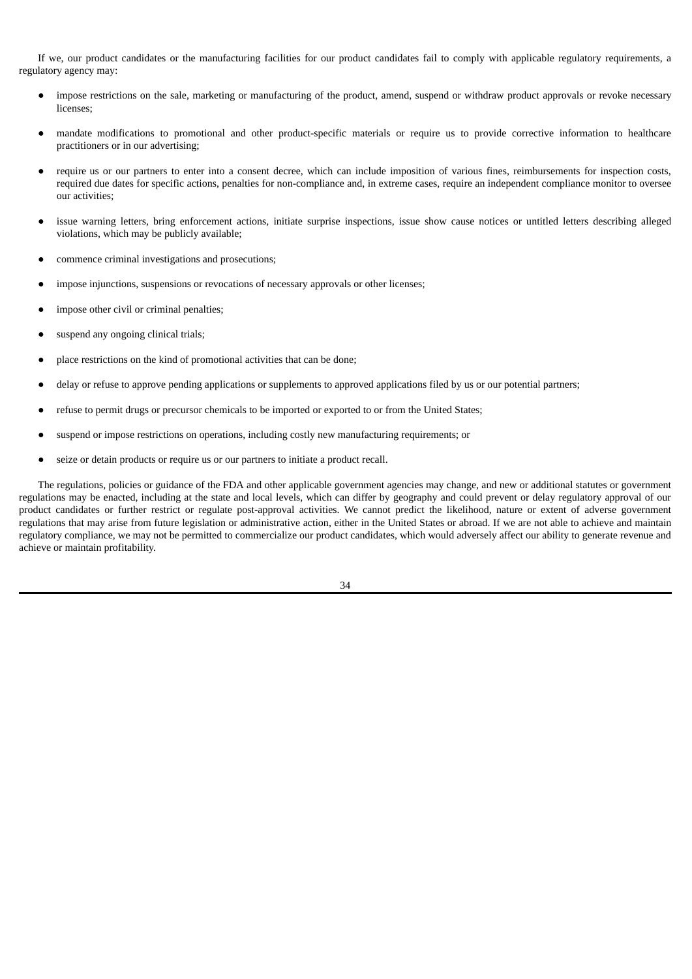If we, our product candidates or the manufacturing facilities for our product candidates fail to comply with applicable regulatory requirements, a regulatory agency may:

- impose restrictions on the sale, marketing or manufacturing of the product, amend, suspend or withdraw product approvals or revoke necessary licenses;
- mandate modifications to promotional and other product-specific materials or require us to provide corrective information to healthcare practitioners or in our advertising;
- require us or our partners to enter into a consent decree, which can include imposition of various fines, reimbursements for inspection costs, required due dates for specific actions, penalties for non-compliance and, in extreme cases, require an independent compliance monitor to oversee our activities;
- issue warning letters, bring enforcement actions, initiate surprise inspections, issue show cause notices or untitled letters describing alleged violations, which may be publicly available;
- commence criminal investigations and prosecutions;
- impose injunctions, suspensions or revocations of necessary approvals or other licenses;
- impose other civil or criminal penalties;
- suspend any ongoing clinical trials;
- place restrictions on the kind of promotional activities that can be done;
- delay or refuse to approve pending applications or supplements to approved applications filed by us or our potential partners;
- refuse to permit drugs or precursor chemicals to be imported or exported to or from the United States;
- suspend or impose restrictions on operations, including costly new manufacturing requirements; or
- seize or detain products or require us or our partners to initiate a product recall.

The regulations, policies or guidance of the FDA and other applicable government agencies may change, and new or additional statutes or government regulations may be enacted, including at the state and local levels, which can differ by geography and could prevent or delay regulatory approval of our product candidates or further restrict or regulate post-approval activities. We cannot predict the likelihood, nature or extent of adverse government regulations that may arise from future legislation or administrative action, either in the United States or abroad. If we are not able to achieve and maintain regulatory compliance, we may not be permitted to commercialize our product candidates, which would adversely affect our ability to generate revenue and achieve or maintain profitability.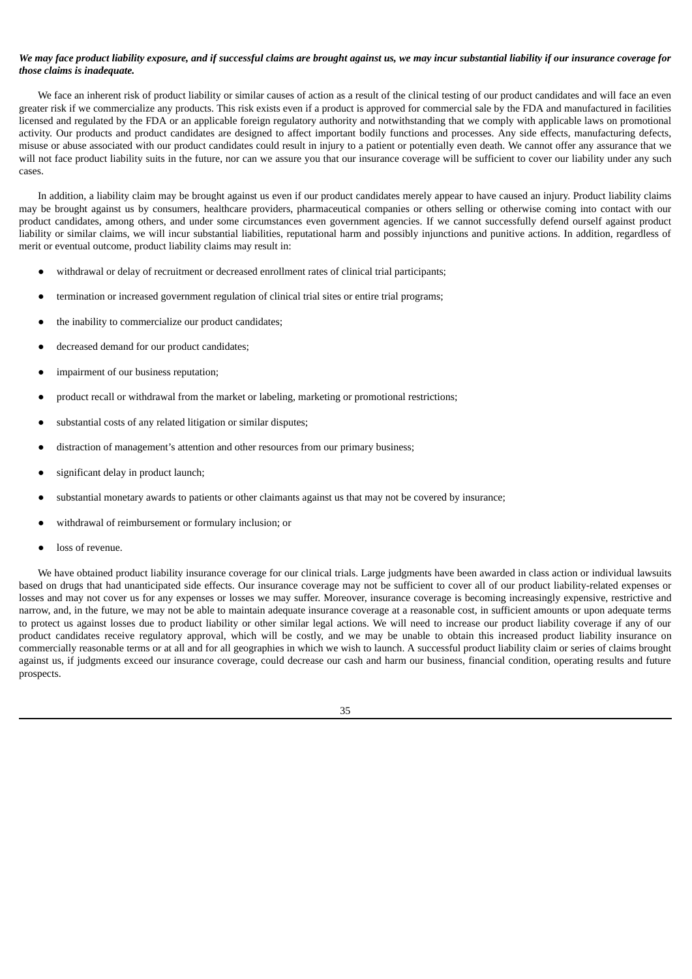# We may face product liability exposure, and if successful claims are brought against us, we may incur substantial liability if our insurance coverage for *those claims is inadequate.*

We face an inherent risk of product liability or similar causes of action as a result of the clinical testing of our product candidates and will face an even greater risk if we commercialize any products. This risk exists even if a product is approved for commercial sale by the FDA and manufactured in facilities licensed and regulated by the FDA or an applicable foreign regulatory authority and notwithstanding that we comply with applicable laws on promotional activity. Our products and product candidates are designed to affect important bodily functions and processes. Any side effects, manufacturing defects, misuse or abuse associated with our product candidates could result in injury to a patient or potentially even death. We cannot offer any assurance that we will not face product liability suits in the future, nor can we assure you that our insurance coverage will be sufficient to cover our liability under any such cases.

In addition, a liability claim may be brought against us even if our product candidates merely appear to have caused an injury. Product liability claims may be brought against us by consumers, healthcare providers, pharmaceutical companies or others selling or otherwise coming into contact with our product candidates, among others, and under some circumstances even government agencies. If we cannot successfully defend ourself against product liability or similar claims, we will incur substantial liabilities, reputational harm and possibly injunctions and punitive actions. In addition, regardless of merit or eventual outcome, product liability claims may result in:

- withdrawal or delay of recruitment or decreased enrollment rates of clinical trial participants;
- termination or increased government regulation of clinical trial sites or entire trial programs;
- the inability to commercialize our product candidates;
- decreased demand for our product candidates;
- impairment of our business reputation;
- product recall or withdrawal from the market or labeling, marketing or promotional restrictions;
- substantial costs of any related litigation or similar disputes;
- distraction of management's attention and other resources from our primary business;
- significant delay in product launch;
- substantial monetary awards to patients or other claimants against us that may not be covered by insurance;
- withdrawal of reimbursement or formulary inclusion; or
- loss of revenue.

We have obtained product liability insurance coverage for our clinical trials. Large judgments have been awarded in class action or individual lawsuits based on drugs that had unanticipated side effects. Our insurance coverage may not be sufficient to cover all of our product liability-related expenses or losses and may not cover us for any expenses or losses we may suffer. Moreover, insurance coverage is becoming increasingly expensive, restrictive and narrow, and, in the future, we may not be able to maintain adequate insurance coverage at a reasonable cost, in sufficient amounts or upon adequate terms to protect us against losses due to product liability or other similar legal actions. We will need to increase our product liability coverage if any of our product candidates receive regulatory approval, which will be costly, and we may be unable to obtain this increased product liability insurance on commercially reasonable terms or at all and for all geographies in which we wish to launch. A successful product liability claim or series of claims brought against us, if judgments exceed our insurance coverage, could decrease our cash and harm our business, financial condition, operating results and future prospects.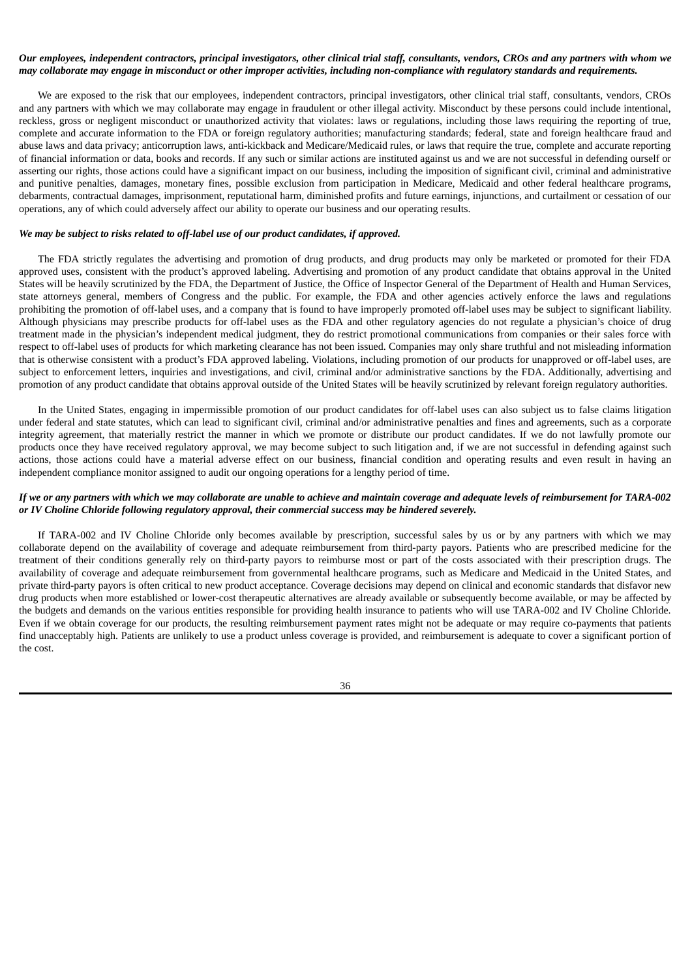# Our employees, independent contractors, principal investigators, other clinical trial staff, consultants, vendors, CROs and any partners with whom we may collaborate may engage in misconduct or other improper activities, including non-compliance with regulatory standards and requirements.

We are exposed to the risk that our employees, independent contractors, principal investigators, other clinical trial staff, consultants, vendors, CROs and any partners with which we may collaborate may engage in fraudulent or other illegal activity. Misconduct by these persons could include intentional, reckless, gross or negligent misconduct or unauthorized activity that violates: laws or regulations, including those laws requiring the reporting of true, complete and accurate information to the FDA or foreign regulatory authorities; manufacturing standards; federal, state and foreign healthcare fraud and abuse laws and data privacy; anticorruption laws, anti-kickback and Medicare/Medicaid rules, or laws that require the true, complete and accurate reporting of financial information or data, books and records. If any such or similar actions are instituted against us and we are not successful in defending ourself or asserting our rights, those actions could have a significant impact on our business, including the imposition of significant civil, criminal and administrative and punitive penalties, damages, monetary fines, possible exclusion from participation in Medicare, Medicaid and other federal healthcare programs, debarments, contractual damages, imprisonment, reputational harm, diminished profits and future earnings, injunctions, and curtailment or cessation of our operations, any of which could adversely affect our ability to operate our business and our operating results.

# *We may be subject to risks related to off-label use of our product candidates, if approved.*

The FDA strictly regulates the advertising and promotion of drug products, and drug products may only be marketed or promoted for their FDA approved uses, consistent with the product's approved labeling. Advertising and promotion of any product candidate that obtains approval in the United States will be heavily scrutinized by the FDA, the Department of Justice, the Office of Inspector General of the Department of Health and Human Services, state attorneys general, members of Congress and the public. For example, the FDA and other agencies actively enforce the laws and regulations prohibiting the promotion of off-label uses, and a company that is found to have improperly promoted off-label uses may be subject to significant liability. Although physicians may prescribe products for off-label uses as the FDA and other regulatory agencies do not regulate a physician's choice of drug treatment made in the physician's independent medical judgment, they do restrict promotional communications from companies or their sales force with respect to off-label uses of products for which marketing clearance has not been issued. Companies may only share truthful and not misleading information that is otherwise consistent with a product's FDA approved labeling. Violations, including promotion of our products for unapproved or off-label uses, are subject to enforcement letters, inquiries and investigations, and civil, criminal and/or administrative sanctions by the FDA. Additionally, advertising and promotion of any product candidate that obtains approval outside of the United States will be heavily scrutinized by relevant foreign regulatory authorities.

In the United States, engaging in impermissible promotion of our product candidates for off-label uses can also subject us to false claims litigation under federal and state statutes, which can lead to significant civil, criminal and/or administrative penalties and fines and agreements, such as a corporate integrity agreement, that materially restrict the manner in which we promote or distribute our product candidates. If we do not lawfully promote our products once they have received regulatory approval, we may become subject to such litigation and, if we are not successful in defending against such actions, those actions could have a material adverse effect on our business, financial condition and operating results and even result in having an independent compliance monitor assigned to audit our ongoing operations for a lengthy period of time.

# If we or any partners with which we may collaborate are unable to achieve and maintain coverage and adequate levels of reimbursement for TARA-002 *or IV Choline Chloride following regulatory approval, their commercial success may be hindered severely.*

If TARA-002 and IV Choline Chloride only becomes available by prescription, successful sales by us or by any partners with which we may collaborate depend on the availability of coverage and adequate reimbursement from third-party payors. Patients who are prescribed medicine for the treatment of their conditions generally rely on third-party payors to reimburse most or part of the costs associated with their prescription drugs. The availability of coverage and adequate reimbursement from governmental healthcare programs, such as Medicare and Medicaid in the United States, and private third-party payors is often critical to new product acceptance. Coverage decisions may depend on clinical and economic standards that disfavor new drug products when more established or lower-cost therapeutic alternatives are already available or subsequently become available, or may be affected by the budgets and demands on the various entities responsible for providing health insurance to patients who will use TARA-002 and IV Choline Chloride. Even if we obtain coverage for our products, the resulting reimbursement payment rates might not be adequate or may require co-payments that patients find unacceptably high. Patients are unlikely to use a product unless coverage is provided, and reimbursement is adequate to cover a significant portion of the cost.

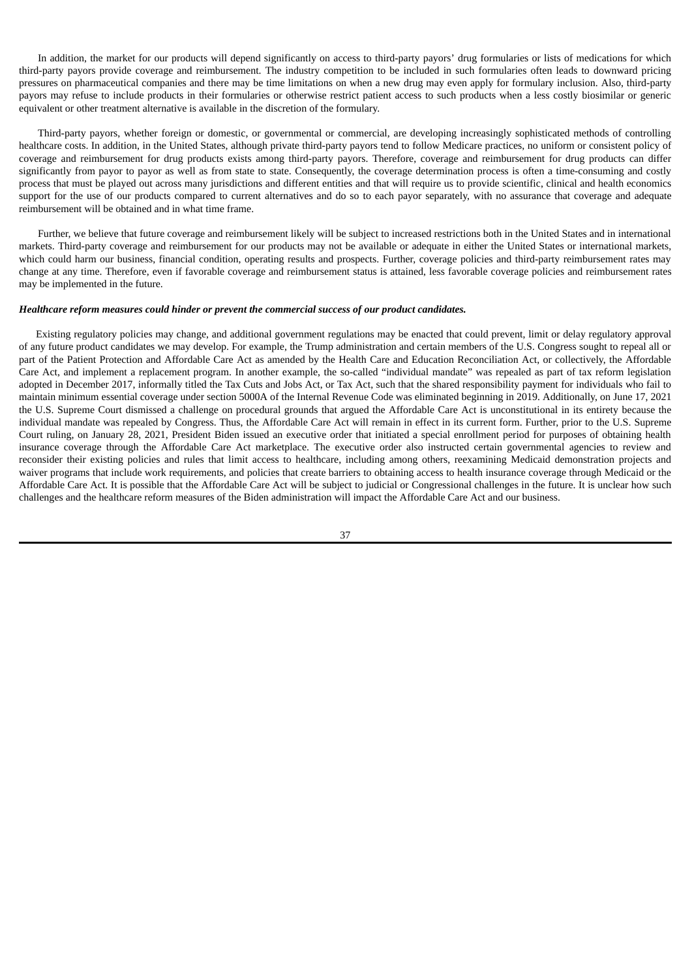In addition, the market for our products will depend significantly on access to third-party payors' drug formularies or lists of medications for which third-party payors provide coverage and reimbursement. The industry competition to be included in such formularies often leads to downward pricing pressures on pharmaceutical companies and there may be time limitations on when a new drug may even apply for formulary inclusion. Also, third-party payors may refuse to include products in their formularies or otherwise restrict patient access to such products when a less costly biosimilar or generic equivalent or other treatment alternative is available in the discretion of the formulary.

Third-party payors, whether foreign or domestic, or governmental or commercial, are developing increasingly sophisticated methods of controlling healthcare costs. In addition, in the United States, although private third-party payors tend to follow Medicare practices, no uniform or consistent policy of coverage and reimbursement for drug products exists among third-party payors. Therefore, coverage and reimbursement for drug products can differ significantly from payor to payor as well as from state to state. Consequently, the coverage determination process is often a time-consuming and costly process that must be played out across many jurisdictions and different entities and that will require us to provide scientific, clinical and health economics support for the use of our products compared to current alternatives and do so to each payor separately, with no assurance that coverage and adequate reimbursement will be obtained and in what time frame.

Further, we believe that future coverage and reimbursement likely will be subject to increased restrictions both in the United States and in international markets. Third-party coverage and reimbursement for our products may not be available or adequate in either the United States or international markets, which could harm our business, financial condition, operating results and prospects. Further, coverage policies and third-party reimbursement rates may change at any time. Therefore, even if favorable coverage and reimbursement status is attained, less favorable coverage policies and reimbursement rates may be implemented in the future.

#### *Healthcare reform measures could hinder or prevent the commercial success of our product candidates.*

Existing regulatory policies may change, and additional government regulations may be enacted that could prevent, limit or delay regulatory approval of any future product candidates we may develop. For example, the Trump administration and certain members of the U.S. Congress sought to repeal all or part of the Patient Protection and Affordable Care Act as amended by the Health Care and Education Reconciliation Act, or collectively, the Affordable Care Act, and implement a replacement program. In another example, the so-called "individual mandate" was repealed as part of tax reform legislation adopted in December 2017, informally titled the Tax Cuts and Jobs Act, or Tax Act, such that the shared responsibility payment for individuals who fail to maintain minimum essential coverage under section 5000A of the Internal Revenue Code was eliminated beginning in 2019. Additionally, on June 17, 2021 the U.S. Supreme Court dismissed a challenge on procedural grounds that argued the Affordable Care Act is unconstitutional in its entirety because the individual mandate was repealed by Congress. Thus, the Affordable Care Act will remain in effect in its current form. Further, prior to the U.S. Supreme Court ruling, on January 28, 2021, President Biden issued an executive order that initiated a special enrollment period for purposes of obtaining health insurance coverage through the Affordable Care Act marketplace. The executive order also instructed certain governmental agencies to review and reconsider their existing policies and rules that limit access to healthcare, including among others, reexamining Medicaid demonstration projects and waiver programs that include work requirements, and policies that create barriers to obtaining access to health insurance coverage through Medicaid or the Affordable Care Act. It is possible that the Affordable Care Act will be subject to judicial or Congressional challenges in the future. It is unclear how such challenges and the healthcare reform measures of the Biden administration will impact the Affordable Care Act and our business.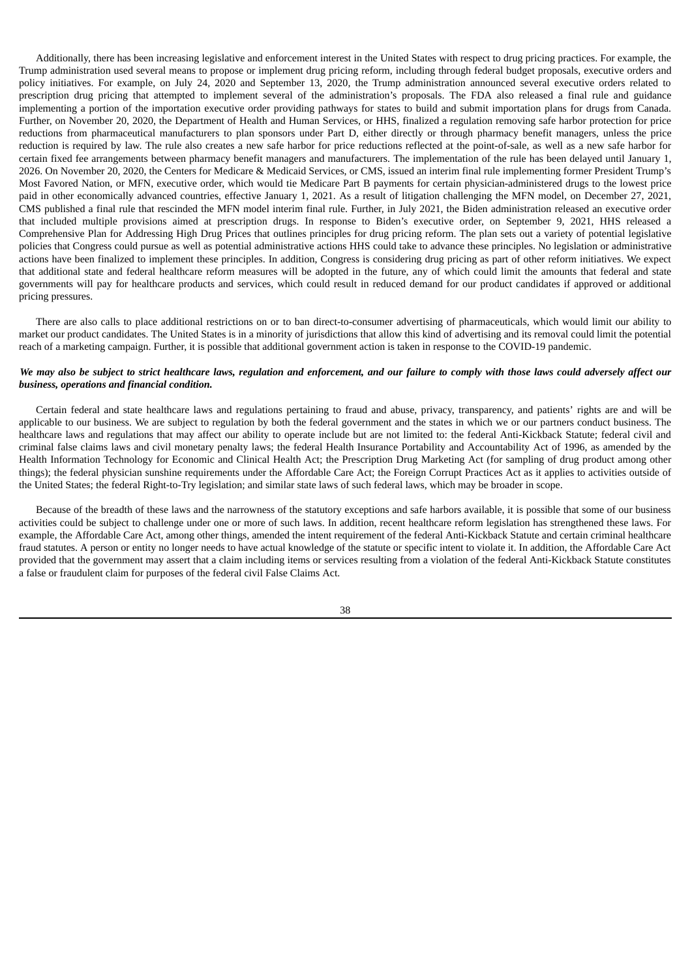Additionally, there has been increasing legislative and enforcement interest in the United States with respect to drug pricing practices. For example, the Trump administration used several means to propose or implement drug pricing reform, including through federal budget proposals, executive orders and policy initiatives. For example, on July 24, 2020 and September 13, 2020, the Trump administration announced several executive orders related to prescription drug pricing that attempted to implement several of the administration's proposals. The FDA also released a final rule and guidance implementing a portion of the importation executive order providing pathways for states to build and submit importation plans for drugs from Canada. Further, on November 20, 2020, the Department of Health and Human Services, or HHS, finalized a regulation removing safe harbor protection for price reductions from pharmaceutical manufacturers to plan sponsors under Part D, either directly or through pharmacy benefit managers, unless the price reduction is required by law. The rule also creates a new safe harbor for price reductions reflected at the point-of-sale, as well as a new safe harbor for certain fixed fee arrangements between pharmacy benefit managers and manufacturers. The implementation of the rule has been delayed until January 1, 2026. On November 20, 2020, the Centers for Medicare & Medicaid Services, or CMS, issued an interim final rule implementing former President Trump's Most Favored Nation, or MFN, executive order, which would tie Medicare Part B payments for certain physician-administered drugs to the lowest price paid in other economically advanced countries, effective January 1, 2021. As a result of litigation challenging the MFN model, on December 27, 2021, CMS published a final rule that rescinded the MFN model interim final rule. Further, in July 2021, the Biden administration released an executive order that included multiple provisions aimed at prescription drugs. In response to Biden's executive order, on September 9, 2021, HHS released a Comprehensive Plan for Addressing High Drug Prices that outlines principles for drug pricing reform. The plan sets out a variety of potential legislative policies that Congress could pursue as well as potential administrative actions HHS could take to advance these principles. No legislation or administrative actions have been finalized to implement these principles. In addition, Congress is considering drug pricing as part of other reform initiatives. We expect that additional state and federal healthcare reform measures will be adopted in the future, any of which could limit the amounts that federal and state governments will pay for healthcare products and services, which could result in reduced demand for our product candidates if approved or additional pricing pressures.

There are also calls to place additional restrictions on or to ban direct-to-consumer advertising of pharmaceuticals, which would limit our ability to market our product candidates. The United States is in a minority of jurisdictions that allow this kind of advertising and its removal could limit the potential reach of a marketing campaign. Further, it is possible that additional government action is taken in response to the COVID-19 pandemic.

# We may also be subject to strict healthcare laws, regulation and enforcement, and our failure to comply with those laws could adversely affect our *business, operations and financial condition.*

Certain federal and state healthcare laws and regulations pertaining to fraud and abuse, privacy, transparency, and patients' rights are and will be applicable to our business. We are subject to regulation by both the federal government and the states in which we or our partners conduct business. The healthcare laws and regulations that may affect our ability to operate include but are not limited to: the federal Anti-Kickback Statute; federal civil and criminal false claims laws and civil monetary penalty laws; the federal Health Insurance Portability and Accountability Act of 1996, as amended by the Health Information Technology for Economic and Clinical Health Act; the Prescription Drug Marketing Act (for sampling of drug product among other things); the federal physician sunshine requirements under the Affordable Care Act; the Foreign Corrupt Practices Act as it applies to activities outside of the United States; the federal Right-to-Try legislation; and similar state laws of such federal laws, which may be broader in scope.

Because of the breadth of these laws and the narrowness of the statutory exceptions and safe harbors available, it is possible that some of our business activities could be subject to challenge under one or more of such laws. In addition, recent healthcare reform legislation has strengthened these laws. For example, the Affordable Care Act, among other things, amended the intent requirement of the federal Anti-Kickback Statute and certain criminal healthcare fraud statutes. A person or entity no longer needs to have actual knowledge of the statute or specific intent to violate it. In addition, the Affordable Care Act provided that the government may assert that a claim including items or services resulting from a violation of the federal Anti-Kickback Statute constitutes a false or fraudulent claim for purposes of the federal civil False Claims Act.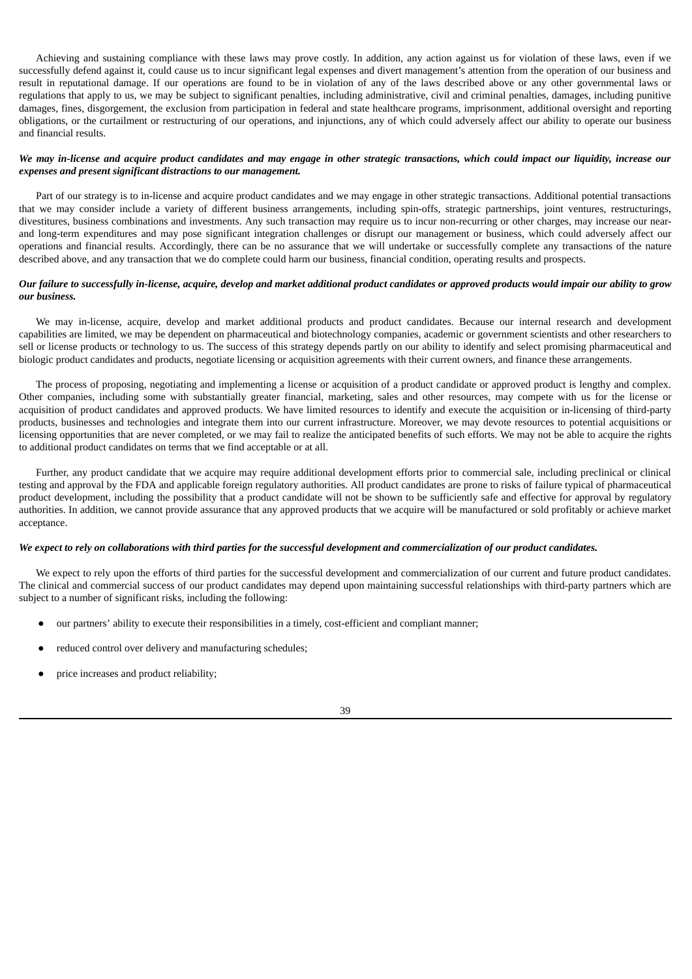Achieving and sustaining compliance with these laws may prove costly. In addition, any action against us for violation of these laws, even if we successfully defend against it, could cause us to incur significant legal expenses and divert management's attention from the operation of our business and result in reputational damage. If our operations are found to be in violation of any of the laws described above or any other governmental laws or regulations that apply to us, we may be subject to significant penalties, including administrative, civil and criminal penalties, damages, including punitive damages, fines, disgorgement, the exclusion from participation in federal and state healthcare programs, imprisonment, additional oversight and reporting obligations, or the curtailment or restructuring of our operations, and injunctions, any of which could adversely affect our ability to operate our business and financial results.

# We may in-license and acquire product candidates and may engage in other strategic transactions, which could impact our liquidity, increase our *expenses and present significant distractions to our management.*

Part of our strategy is to in-license and acquire product candidates and we may engage in other strategic transactions. Additional potential transactions that we may consider include a variety of different business arrangements, including spin-offs, strategic partnerships, joint ventures, restructurings, divestitures, business combinations and investments. Any such transaction may require us to incur non-recurring or other charges, may increase our nearand long-term expenditures and may pose significant integration challenges or disrupt our management or business, which could adversely affect our operations and financial results. Accordingly, there can be no assurance that we will undertake or successfully complete any transactions of the nature described above, and any transaction that we do complete could harm our business, financial condition, operating results and prospects.

# Our failure to successfully in-license, acquire, develop and market additional product candidates or approved products would impair our ability to grow *our business.*

We may in-license, acquire, develop and market additional products and product candidates. Because our internal research and development capabilities are limited, we may be dependent on pharmaceutical and biotechnology companies, academic or government scientists and other researchers to sell or license products or technology to us. The success of this strategy depends partly on our ability to identify and select promising pharmaceutical and biologic product candidates and products, negotiate licensing or acquisition agreements with their current owners, and finance these arrangements.

The process of proposing, negotiating and implementing a license or acquisition of a product candidate or approved product is lengthy and complex. Other companies, including some with substantially greater financial, marketing, sales and other resources, may compete with us for the license or acquisition of product candidates and approved products. We have limited resources to identify and execute the acquisition or in-licensing of third-party products, businesses and technologies and integrate them into our current infrastructure. Moreover, we may devote resources to potential acquisitions or licensing opportunities that are never completed, or we may fail to realize the anticipated benefits of such efforts. We may not be able to acquire the rights to additional product candidates on terms that we find acceptable or at all.

Further, any product candidate that we acquire may require additional development efforts prior to commercial sale, including preclinical or clinical testing and approval by the FDA and applicable foreign regulatory authorities. All product candidates are prone to risks of failure typical of pharmaceutical product development, including the possibility that a product candidate will not be shown to be sufficiently safe and effective for approval by regulatory authorities. In addition, we cannot provide assurance that any approved products that we acquire will be manufactured or sold profitably or achieve market acceptance.

#### We expect to rely on collaborations with third parties for the successful development and commercialization of our product candidates.

We expect to rely upon the efforts of third parties for the successful development and commercialization of our current and future product candidates. The clinical and commercial success of our product candidates may depend upon maintaining successful relationships with third-party partners which are subject to a number of significant risks, including the following:

- our partners' ability to execute their responsibilities in a timely, cost-efficient and compliant manner;
- reduced control over delivery and manufacturing schedules;
- price increases and product reliability;

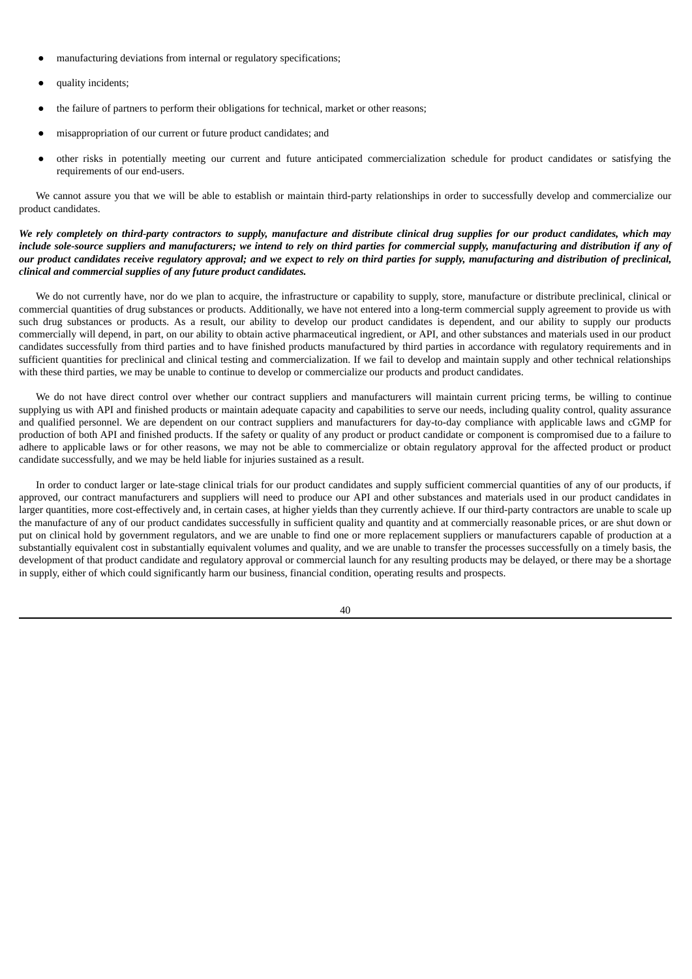- manufacturing deviations from internal or regulatory specifications;
- quality incidents;
- the failure of partners to perform their obligations for technical, market or other reasons;
- misappropriation of our current or future product candidates; and
- other risks in potentially meeting our current and future anticipated commercialization schedule for product candidates or satisfying the requirements of our end-users.

We cannot assure you that we will be able to establish or maintain third-party relationships in order to successfully develop and commercialize our product candidates.

# We rely completely on third-party contractors to supply, manufacture and distribute clinical drug supplies for our product candidates, which may include sole-source suppliers and manufacturers; we intend to rely on third parties for commercial supply, manufacturing and distribution if any of our product candidates receive regulatory approval; and we expect to rely on third parties for supply, manufacturing and distribution of preclinical, *clinical and commercial supplies of any future product candidates.*

We do not currently have, nor do we plan to acquire, the infrastructure or capability to supply, store, manufacture or distribute preclinical, clinical or commercial quantities of drug substances or products. Additionally, we have not entered into a long-term commercial supply agreement to provide us with such drug substances or products. As a result, our ability to develop our product candidates is dependent, and our ability to supply our products commercially will depend, in part, on our ability to obtain active pharmaceutical ingredient, or API, and other substances and materials used in our product candidates successfully from third parties and to have finished products manufactured by third parties in accordance with regulatory requirements and in sufficient quantities for preclinical and clinical testing and commercialization. If we fail to develop and maintain supply and other technical relationships with these third parties, we may be unable to continue to develop or commercialize our products and product candidates.

We do not have direct control over whether our contract suppliers and manufacturers will maintain current pricing terms, be willing to continue supplying us with API and finished products or maintain adequate capacity and capabilities to serve our needs, including quality control, quality assurance and qualified personnel. We are dependent on our contract suppliers and manufacturers for day-to-day compliance with applicable laws and cGMP for production of both API and finished products. If the safety or quality of any product or product candidate or component is compromised due to a failure to adhere to applicable laws or for other reasons, we may not be able to commercialize or obtain regulatory approval for the affected product or product candidate successfully, and we may be held liable for injuries sustained as a result.

In order to conduct larger or late-stage clinical trials for our product candidates and supply sufficient commercial quantities of any of our products, if approved, our contract manufacturers and suppliers will need to produce our API and other substances and materials used in our product candidates in larger quantities, more cost-effectively and, in certain cases, at higher yields than they currently achieve. If our third-party contractors are unable to scale up the manufacture of any of our product candidates successfully in sufficient quality and quantity and at commercially reasonable prices, or are shut down or put on clinical hold by government regulators, and we are unable to find one or more replacement suppliers or manufacturers capable of production at a substantially equivalent cost in substantially equivalent volumes and quality, and we are unable to transfer the processes successfully on a timely basis, the development of that product candidate and regulatory approval or commercial launch for any resulting products may be delayed, or there may be a shortage in supply, either of which could significantly harm our business, financial condition, operating results and prospects.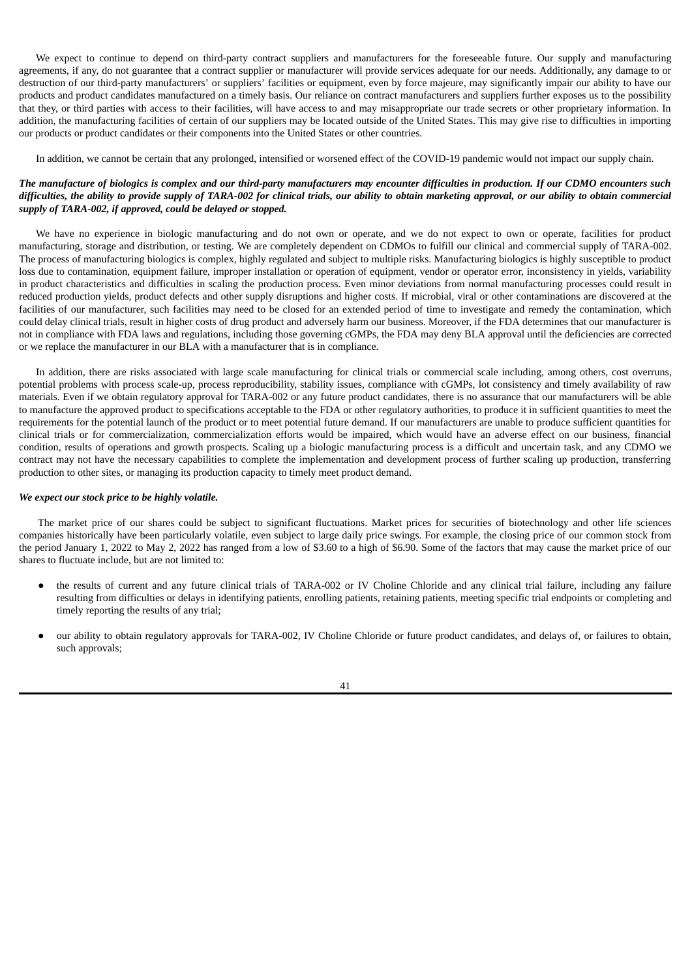We expect to continue to depend on third-party contract suppliers and manufacturers for the foreseeable future. Our supply and manufacturing agreements, if any, do not guarantee that a contract supplier or manufacturer will provide services adequate for our needs. Additionally, any damage to or destruction of our third-party manufacturers' or suppliers' facilities or equipment, even by force majeure, may significantly impair our ability to have our products and product candidates manufactured on a timely basis. Our reliance on contract manufacturers and suppliers further exposes us to the possibility that they, or third parties with access to their facilities, will have access to and may misappropriate our trade secrets or other proprietary information. In addition, the manufacturing facilities of certain of our suppliers may be located outside of the United States. This may give rise to difficulties in importing our products or product candidates or their components into the United States or other countries.

In addition, we cannot be certain that any prolonged, intensified or worsened effect of the COVID-19 pandemic would not impact our supply chain.

# The manufacture of biologics is complex and our third-party manufacturers may encounter difficulties in production. If our CDMO encounters such difficulties, the ability to provide supply of TARA-002 for clinical trials, our ability to obtain marketing approval, or our ability to obtain commercial *supply of TARA-002, if approved, could be delayed or stopped.*

We have no experience in biologic manufacturing and do not own or operate, and we do not expect to own or operate, facilities for product manufacturing, storage and distribution, or testing. We are completely dependent on CDMOs to fulfill our clinical and commercial supply of TARA-002. The process of manufacturing biologics is complex, highly regulated and subject to multiple risks. Manufacturing biologics is highly susceptible to product loss due to contamination, equipment failure, improper installation or operation of equipment, vendor or operator error, inconsistency in yields, variability in product characteristics and difficulties in scaling the production process. Even minor deviations from normal manufacturing processes could result in reduced production yields, product defects and other supply disruptions and higher costs. If microbial, viral or other contaminations are discovered at the facilities of our manufacturer, such facilities may need to be closed for an extended period of time to investigate and remedy the contamination, which could delay clinical trials, result in higher costs of drug product and adversely harm our business. Moreover, if the FDA determines that our manufacturer is not in compliance with FDA laws and regulations, including those governing cGMPs, the FDA may deny BLA approval until the deficiencies are corrected or we replace the manufacturer in our BLA with a manufacturer that is in compliance.

In addition, there are risks associated with large scale manufacturing for clinical trials or commercial scale including, among others, cost overruns, potential problems with process scale-up, process reproducibility, stability issues, compliance with cGMPs, lot consistency and timely availability of raw materials. Even if we obtain regulatory approval for TARA-002 or any future product candidates, there is no assurance that our manufacturers will be able to manufacture the approved product to specifications acceptable to the FDA or other regulatory authorities, to produce it in sufficient quantities to meet the requirements for the potential launch of the product or to meet potential future demand. If our manufacturers are unable to produce sufficient quantities for clinical trials or for commercialization, commercialization efforts would be impaired, which would have an adverse effect on our business, financial condition, results of operations and growth prospects. Scaling up a biologic manufacturing process is a difficult and uncertain task, and any CDMO we contract may not have the necessary capabilities to complete the implementation and development process of further scaling up production, transferring production to other sites, or managing its production capacity to timely meet product demand.

#### *We expect our stock price to be highly volatile.*

The market price of our shares could be subject to significant fluctuations. Market prices for securities of biotechnology and other life sciences companies historically have been particularly volatile, even subject to large daily price swings. For example, the closing price of our common stock from the period January 1, 2022 to May 2, 2022 has ranged from a low of \$3.60 to a high of \$6.90. Some of the factors that may cause the market price of our shares to fluctuate include, but are not limited to:

- the results of current and any future clinical trials of TARA-002 or IV Choline Chloride and any clinical trial failure, including any failure resulting from difficulties or delays in identifying patients, enrolling patients, retaining patients, meeting specific trial endpoints or completing and timely reporting the results of any trial;
- our ability to obtain regulatory approvals for TARA-002, IV Choline Chloride or future product candidates, and delays of, or failures to obtain, such approvals;

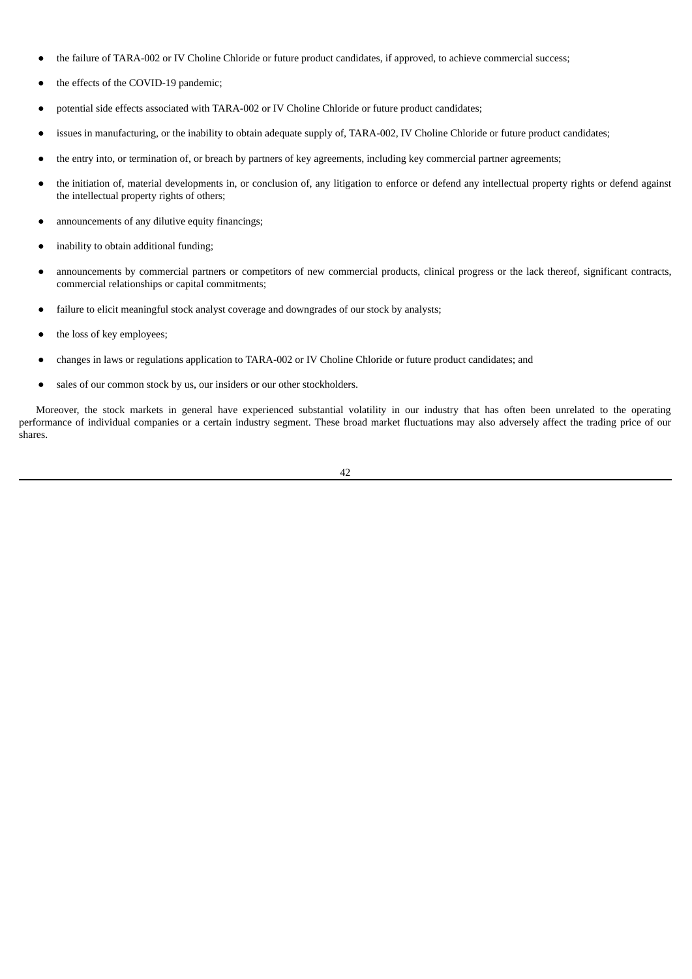- the failure of TARA-002 or IV Choline Chloride or future product candidates, if approved, to achieve commercial success;
- the effects of the COVID-19 pandemic;
- potential side effects associated with TARA-002 or IV Choline Chloride or future product candidates;
- issues in manufacturing, or the inability to obtain adequate supply of, TARA-002, IV Choline Chloride or future product candidates;
- the entry into, or termination of, or breach by partners of key agreements, including key commercial partner agreements;
- the initiation of, material developments in, or conclusion of, any litigation to enforce or defend any intellectual property rights or defend against the intellectual property rights of others;
- announcements of any dilutive equity financings;
- inability to obtain additional funding;
- announcements by commercial partners or competitors of new commercial products, clinical progress or the lack thereof, significant contracts, commercial relationships or capital commitments;
- failure to elicit meaningful stock analyst coverage and downgrades of our stock by analysts;
- the loss of key employees;
- changes in laws or regulations application to TARA-002 or IV Choline Chloride or future product candidates; and
- sales of our common stock by us, our insiders or our other stockholders.

Moreover, the stock markets in general have experienced substantial volatility in our industry that has often been unrelated to the operating performance of individual companies or a certain industry segment. These broad market fluctuations may also adversely affect the trading price of our shares.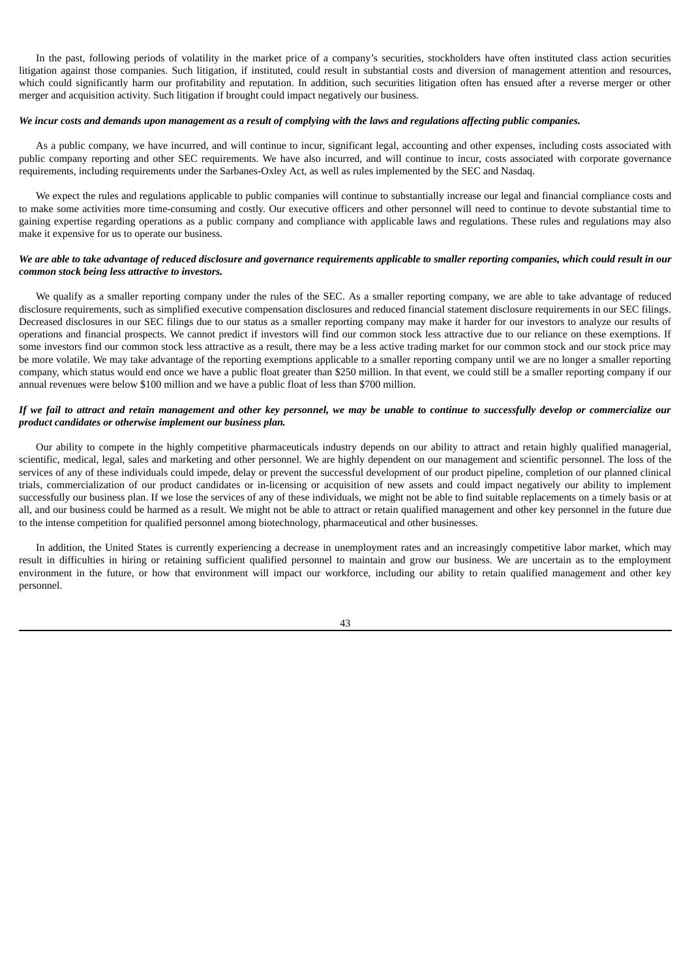In the past, following periods of volatility in the market price of a company's securities, stockholders have often instituted class action securities litigation against those companies. Such litigation, if instituted, could result in substantial costs and diversion of management attention and resources, which could significantly harm our profitability and reputation. In addition, such securities litigation often has ensued after a reverse merger or other merger and acquisition activity. Such litigation if brought could impact negatively our business.

# We incur costs and demands upon management as a result of complying with the laws and regulations affecting public companies.

As a public company, we have incurred, and will continue to incur, significant legal, accounting and other expenses, including costs associated with public company reporting and other SEC requirements. We have also incurred, and will continue to incur, costs associated with corporate governance requirements, including requirements under the Sarbanes-Oxley Act, as well as rules implemented by the SEC and Nasdaq.

We expect the rules and regulations applicable to public companies will continue to substantially increase our legal and financial compliance costs and to make some activities more time-consuming and costly. Our executive officers and other personnel will need to continue to devote substantial time to gaining expertise regarding operations as a public company and compliance with applicable laws and regulations. These rules and regulations may also make it expensive for us to operate our business.

# We are able to take advantage of reduced disclosure and governance requirements applicable to smaller reporting companies, which could result in our *common stock being less attractive to investors.*

We qualify as a smaller reporting company under the rules of the SEC. As a smaller reporting company, we are able to take advantage of reduced disclosure requirements, such as simplified executive compensation disclosures and reduced financial statement disclosure requirements in our SEC filings. Decreased disclosures in our SEC filings due to our status as a smaller reporting company may make it harder for our investors to analyze our results of operations and financial prospects. We cannot predict if investors will find our common stock less attractive due to our reliance on these exemptions. If some investors find our common stock less attractive as a result, there may be a less active trading market for our common stock and our stock price may be more volatile. We may take advantage of the reporting exemptions applicable to a smaller reporting company until we are no longer a smaller reporting company, which status would end once we have a public float greater than \$250 million. In that event, we could still be a smaller reporting company if our annual revenues were below \$100 million and we have a public float of less than \$700 million.

# If we fail to attract and retain management and other key personnel, we may be unable to continue to successfully develop or commercialize our *product candidates or otherwise implement our business plan.*

Our ability to compete in the highly competitive pharmaceuticals industry depends on our ability to attract and retain highly qualified managerial, scientific, medical, legal, sales and marketing and other personnel. We are highly dependent on our management and scientific personnel. The loss of the services of any of these individuals could impede, delay or prevent the successful development of our product pipeline, completion of our planned clinical trials, commercialization of our product candidates or in-licensing or acquisition of new assets and could impact negatively our ability to implement successfully our business plan. If we lose the services of any of these individuals, we might not be able to find suitable replacements on a timely basis or at all, and our business could be harmed as a result. We might not be able to attract or retain qualified management and other key personnel in the future due to the intense competition for qualified personnel among biotechnology, pharmaceutical and other businesses.

In addition, the United States is currently experiencing a decrease in unemployment rates and an increasingly competitive labor market, which may result in difficulties in hiring or retaining sufficient qualified personnel to maintain and grow our business. We are uncertain as to the employment environment in the future, or how that environment will impact our workforce, including our ability to retain qualified management and other key personnel.

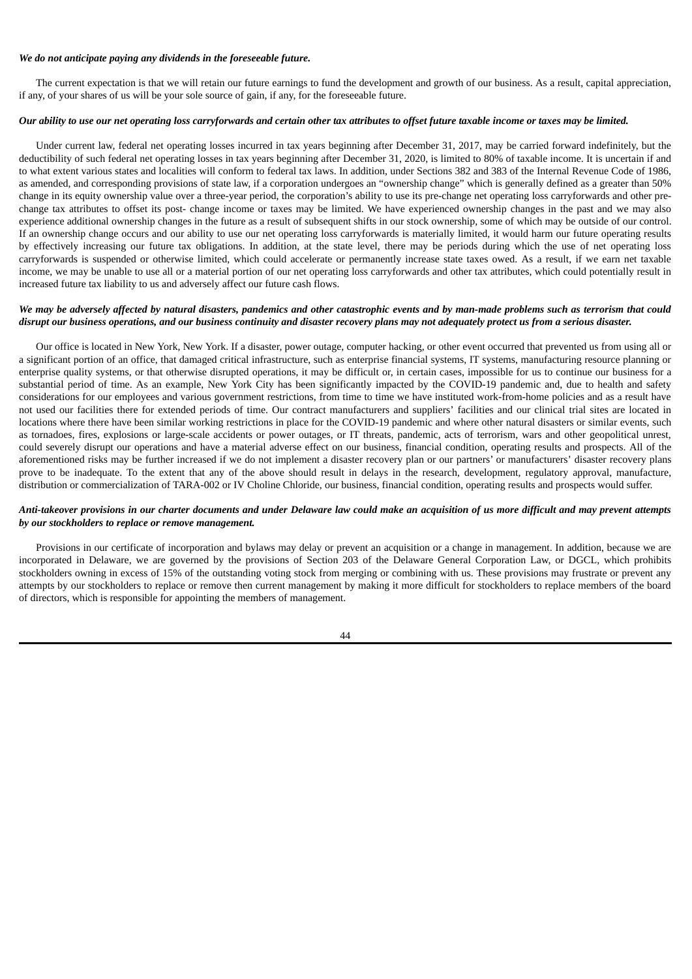# *We do not anticipate paying any dividends in the foreseeable future.*

The current expectation is that we will retain our future earnings to fund the development and growth of our business. As a result, capital appreciation, if any, of your shares of us will be your sole source of gain, if any, for the foreseeable future.

# Our ability to use our net operating loss carryforwards and certain other tax attributes to offset future taxable income or taxes may be limited.

Under current law, federal net operating losses incurred in tax years beginning after December 31, 2017, may be carried forward indefinitely, but the deductibility of such federal net operating losses in tax years beginning after December 31, 2020, is limited to 80% of taxable income. It is uncertain if and to what extent various states and localities will conform to federal tax laws. In addition, under Sections 382 and 383 of the Internal Revenue Code of 1986, as amended, and corresponding provisions of state law, if a corporation undergoes an "ownership change" which is generally defined as a greater than 50% change in its equity ownership value over a three-year period, the corporation's ability to use its pre-change net operating loss carryforwards and other prechange tax attributes to offset its post- change income or taxes may be limited. We have experienced ownership changes in the past and we may also experience additional ownership changes in the future as a result of subsequent shifts in our stock ownership, some of which may be outside of our control. If an ownership change occurs and our ability to use our net operating loss carryforwards is materially limited, it would harm our future operating results by effectively increasing our future tax obligations. In addition, at the state level, there may be periods during which the use of net operating loss carryforwards is suspended or otherwise limited, which could accelerate or permanently increase state taxes owed. As a result, if we earn net taxable income, we may be unable to use all or a material portion of our net operating loss carryforwards and other tax attributes, which could potentially result in increased future tax liability to us and adversely affect our future cash flows.

#### We may be adversely affected by natural disasters, pandemics and other catastrophic events and by man-made problems such as terrorism that could disrupt our business operations, and our business continuity and disaster recovery plans may not adequately protect us from a serious disaster.

Our office is located in New York, New York. If a disaster, power outage, computer hacking, or other event occurred that prevented us from using all or a significant portion of an office, that damaged critical infrastructure, such as enterprise financial systems, IT systems, manufacturing resource planning or enterprise quality systems, or that otherwise disrupted operations, it may be difficult or, in certain cases, impossible for us to continue our business for a substantial period of time. As an example, New York City has been significantly impacted by the COVID-19 pandemic and, due to health and safety considerations for our employees and various government restrictions, from time to time we have instituted work-from-home policies and as a result have not used our facilities there for extended periods of time. Our contract manufacturers and suppliers' facilities and our clinical trial sites are located in locations where there have been similar working restrictions in place for the COVID-19 pandemic and where other natural disasters or similar events, such as tornadoes, fires, explosions or large-scale accidents or power outages, or IT threats, pandemic, acts of terrorism, wars and other geopolitical unrest, could severely disrupt our operations and have a material adverse effect on our business, financial condition, operating results and prospects. All of the aforementioned risks may be further increased if we do not implement a disaster recovery plan or our partners' or manufacturers' disaster recovery plans prove to be inadequate. To the extent that any of the above should result in delays in the research, development, regulatory approval, manufacture, distribution or commercialization of TARA-002 or IV Choline Chloride, our business, financial condition, operating results and prospects would suffer.

# Anti-takeover provisions in our charter documents and under Delaware law could make an acquisition of us more difficult and may prevent attempts *by our stockholders to replace or remove management.*

Provisions in our certificate of incorporation and bylaws may delay or prevent an acquisition or a change in management. In addition, because we are incorporated in Delaware, we are governed by the provisions of Section 203 of the Delaware General Corporation Law, or DGCL, which prohibits stockholders owning in excess of 15% of the outstanding voting stock from merging or combining with us. These provisions may frustrate or prevent any attempts by our stockholders to replace or remove then current management by making it more difficult for stockholders to replace members of the board of directors, which is responsible for appointing the members of management.

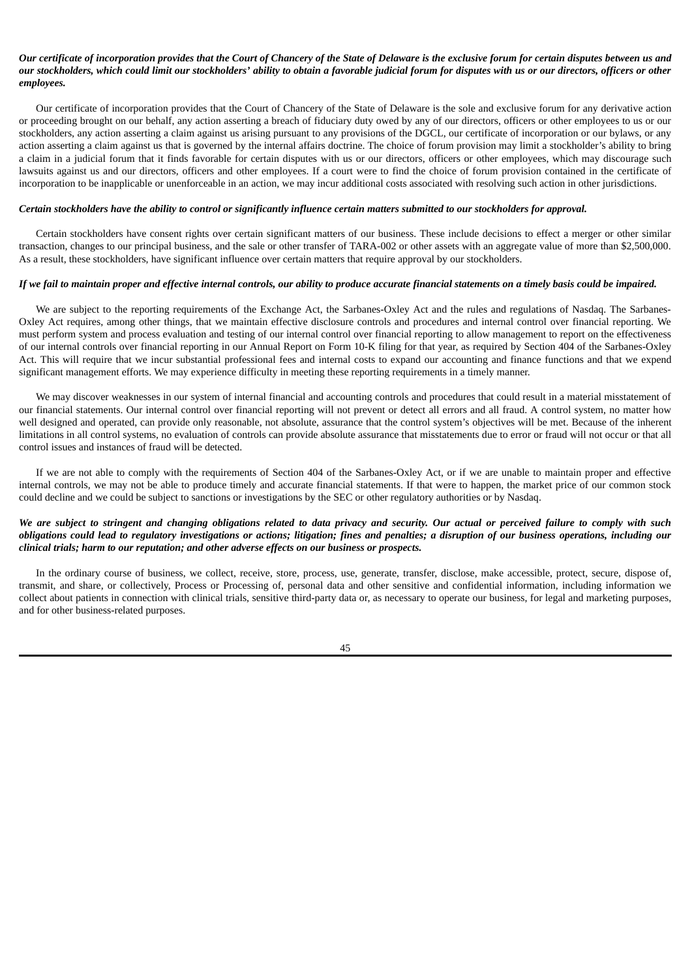# Our certificate of incorporation provides that the Court of Chancery of the State of Delaware is the exclusive forum for certain disputes between us and our stockholders, which could limit our stockholders' ability to obtain a favorable judicial forum for disputes with us or our directors, officers or other *employees.*

Our certificate of incorporation provides that the Court of Chancery of the State of Delaware is the sole and exclusive forum for any derivative action or proceeding brought on our behalf, any action asserting a breach of fiduciary duty owed by any of our directors, officers or other employees to us or our stockholders, any action asserting a claim against us arising pursuant to any provisions of the DGCL, our certificate of incorporation or our bylaws, or any action asserting a claim against us that is governed by the internal affairs doctrine. The choice of forum provision may limit a stockholder's ability to bring a claim in a judicial forum that it finds favorable for certain disputes with us or our directors, officers or other employees, which may discourage such lawsuits against us and our directors, officers and other employees. If a court were to find the choice of forum provision contained in the certificate of incorporation to be inapplicable or unenforceable in an action, we may incur additional costs associated with resolving such action in other jurisdictions.

#### Certain stockholders have the ability to control or significantly influence certain matters submitted to our stockholders for approval.

Certain stockholders have consent rights over certain significant matters of our business. These include decisions to effect a merger or other similar transaction, changes to our principal business, and the sale or other transfer of TARA-002 or other assets with an aggregate value of more than \$2,500,000. As a result, these stockholders, have significant influence over certain matters that require approval by our stockholders.

# If we fail to maintain proper and effective internal controls, our ability to produce accurate financial statements on a timely basis could be impaired.

We are subject to the reporting requirements of the Exchange Act, the Sarbanes-Oxley Act and the rules and regulations of Nasdaq. The Sarbanes-Oxley Act requires, among other things, that we maintain effective disclosure controls and procedures and internal control over financial reporting. We must perform system and process evaluation and testing of our internal control over financial reporting to allow management to report on the effectiveness of our internal controls over financial reporting in our Annual Report on Form 10-K filing for that year, as required by Section 404 of the Sarbanes-Oxley Act. This will require that we incur substantial professional fees and internal costs to expand our accounting and finance functions and that we expend significant management efforts. We may experience difficulty in meeting these reporting requirements in a timely manner.

We may discover weaknesses in our system of internal financial and accounting controls and procedures that could result in a material misstatement of our financial statements. Our internal control over financial reporting will not prevent or detect all errors and all fraud. A control system, no matter how well designed and operated, can provide only reasonable, not absolute, assurance that the control system's objectives will be met. Because of the inherent limitations in all control systems, no evaluation of controls can provide absolute assurance that misstatements due to error or fraud will not occur or that all control issues and instances of fraud will be detected.

If we are not able to comply with the requirements of Section 404 of the Sarbanes-Oxley Act, or if we are unable to maintain proper and effective internal controls, we may not be able to produce timely and accurate financial statements. If that were to happen, the market price of our common stock could decline and we could be subject to sanctions or investigations by the SEC or other regulatory authorities or by Nasdaq.

# We are subject to stringent and changing obligations related to data privacy and security. Our actual or perceived failure to comply with such obligations could lead to regulatory investigations or actions; litigation; fines and penalties; a disruption of our business operations, including our *clinical trials; harm to our reputation; and other adverse effects on our business or prospects.*

In the ordinary course of business, we collect, receive, store, process, use, generate, transfer, disclose, make accessible, protect, secure, dispose of, transmit, and share, or collectively, Process or Processing of, personal data and other sensitive and confidential information, including information we collect about patients in connection with clinical trials, sensitive third-party data or, as necessary to operate our business, for legal and marketing purposes, and for other business-related purposes.

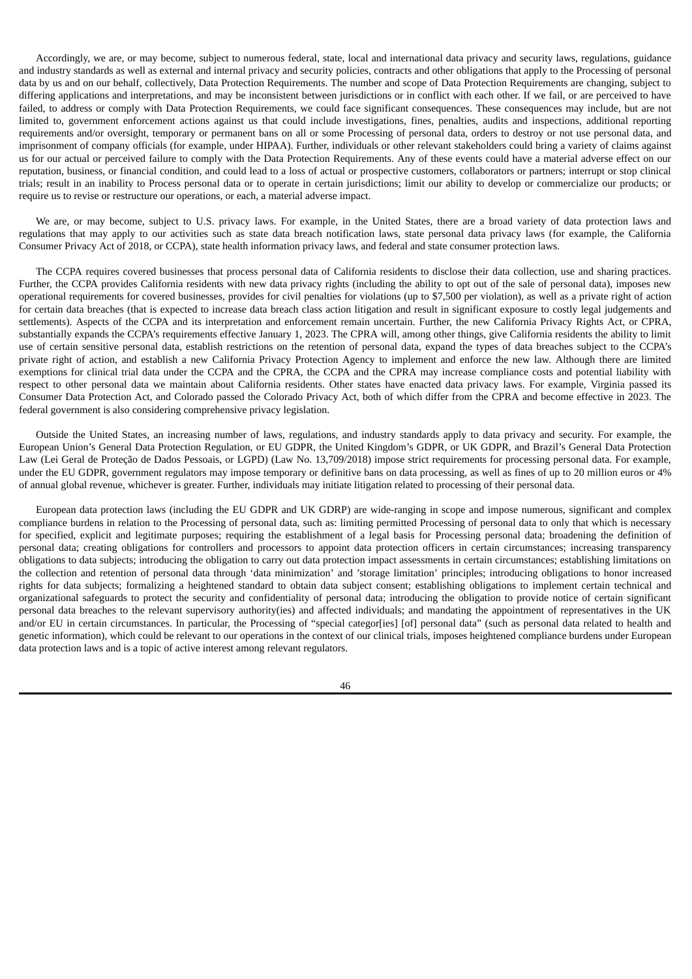Accordingly, we are, or may become, subject to numerous federal, state, local and international data privacy and security laws, regulations, guidance and industry standards as well as external and internal privacy and security policies, contracts and other obligations that apply to the Processing of personal data by us and on our behalf, collectively, Data Protection Requirements. The number and scope of Data Protection Requirements are changing, subject to differing applications and interpretations, and may be inconsistent between jurisdictions or in conflict with each other. If we fail, or are perceived to have failed, to address or comply with Data Protection Requirements, we could face significant consequences. These consequences may include, but are not limited to, government enforcement actions against us that could include investigations, fines, penalties, audits and inspections, additional reporting requirements and/or oversight, temporary or permanent bans on all or some Processing of personal data, orders to destroy or not use personal data, and imprisonment of company officials (for example, under HIPAA). Further, individuals or other relevant stakeholders could bring a variety of claims against us for our actual or perceived failure to comply with the Data Protection Requirements. Any of these events could have a material adverse effect on our reputation, business, or financial condition, and could lead to a loss of actual or prospective customers, collaborators or partners; interrupt or stop clinical trials; result in an inability to Process personal data or to operate in certain jurisdictions; limit our ability to develop or commercialize our products; or require us to revise or restructure our operations, or each, a material adverse impact.

We are, or may become, subject to U.S. privacy laws. For example, in the United States, there are a broad variety of data protection laws and regulations that may apply to our activities such as state data breach notification laws, state personal data privacy laws (for example, the California Consumer Privacy Act of 2018, or CCPA), state health information privacy laws, and federal and state consumer protection laws.

The CCPA requires covered businesses that process personal data of California residents to disclose their data collection, use and sharing practices. Further, the CCPA provides California residents with new data privacy rights (including the ability to opt out of the sale of personal data), imposes new operational requirements for covered businesses, provides for civil penalties for violations (up to \$7,500 per violation), as well as a private right of action for certain data breaches (that is expected to increase data breach class action litigation and result in significant exposure to costly legal judgements and settlements). Aspects of the CCPA and its interpretation and enforcement remain uncertain. Further, the new California Privacy Rights Act, or CPRA, substantially expands the CCPA's requirements effective January 1, 2023. The CPRA will, among other things, give California residents the ability to limit use of certain sensitive personal data, establish restrictions on the retention of personal data, expand the types of data breaches subject to the CCPA's private right of action, and establish a new California Privacy Protection Agency to implement and enforce the new law. Although there are limited exemptions for clinical trial data under the CCPA and the CPRA, the CCPA and the CPRA may increase compliance costs and potential liability with respect to other personal data we maintain about California residents. Other states have enacted data privacy laws. For example, Virginia passed its Consumer Data Protection Act, and Colorado passed the Colorado Privacy Act, both of which differ from the CPRA and become effective in 2023. The federal government is also considering comprehensive privacy legislation.

Outside the United States, an increasing number of laws, regulations, and industry standards apply to data privacy and security. For example, the European Union's General Data Protection Regulation, or EU GDPR, the United Kingdom's GDPR, or UK GDPR, and Brazil's General Data Protection Law (Lei Geral de Proteção de Dados Pessoais, or LGPD) (Law No. 13,709/2018) impose strict requirements for processing personal data. For example, under the EU GDPR, government regulators may impose temporary or definitive bans on data processing, as well as fines of up to 20 million euros or 4% of annual global revenue, whichever is greater. Further, individuals may initiate litigation related to processing of their personal data.

European data protection laws (including the EU GDPR and UK GDRP) are wide-ranging in scope and impose numerous, significant and complex compliance burdens in relation to the Processing of personal data, such as: limiting permitted Processing of personal data to only that which is necessary for specified, explicit and legitimate purposes; requiring the establishment of a legal basis for Processing personal data; broadening the definition of personal data; creating obligations for controllers and processors to appoint data protection officers in certain circumstances; increasing transparency obligations to data subjects; introducing the obligation to carry out data protection impact assessments in certain circumstances; establishing limitations on the collection and retention of personal data through 'data minimization' and 'storage limitation' principles; introducing obligations to honor increased rights for data subjects; formalizing a heightened standard to obtain data subject consent; establishing obligations to implement certain technical and organizational safeguards to protect the security and confidentiality of personal data; introducing the obligation to provide notice of certain significant personal data breaches to the relevant supervisory authority(ies) and affected individuals; and mandating the appointment of representatives in the UK and/or EU in certain circumstances. In particular, the Processing of "special categor[ies] [of] personal data" (such as personal data related to health and genetic information), which could be relevant to our operations in the context of our clinical trials, imposes heightened compliance burdens under European data protection laws and is a topic of active interest among relevant regulators.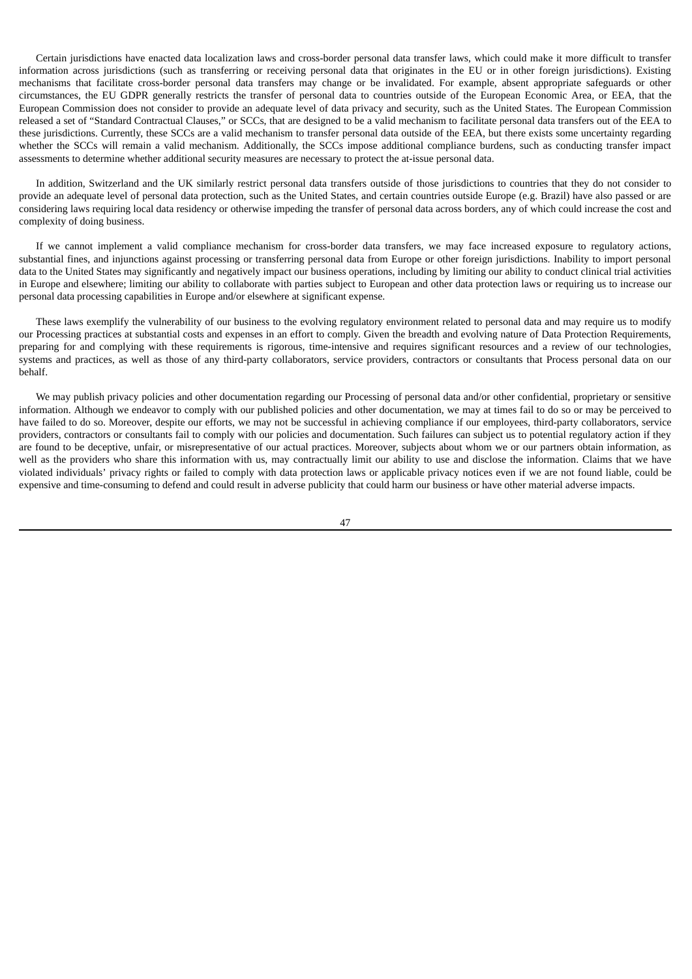Certain jurisdictions have enacted data localization laws and cross-border personal data transfer laws, which could make it more difficult to transfer information across jurisdictions (such as transferring or receiving personal data that originates in the EU or in other foreign jurisdictions). Existing mechanisms that facilitate cross-border personal data transfers may change or be invalidated. For example, absent appropriate safeguards or other circumstances, the EU GDPR generally restricts the transfer of personal data to countries outside of the European Economic Area, or EEA, that the European Commission does not consider to provide an adequate level of data privacy and security, such as the United States. The European Commission released a set of "Standard Contractual Clauses," or SCCs, that are designed to be a valid mechanism to facilitate personal data transfers out of the EEA to these jurisdictions. Currently, these SCCs are a valid mechanism to transfer personal data outside of the EEA, but there exists some uncertainty regarding whether the SCCs will remain a valid mechanism. Additionally, the SCCs impose additional compliance burdens, such as conducting transfer impact assessments to determine whether additional security measures are necessary to protect the at-issue personal data.

In addition, Switzerland and the UK similarly restrict personal data transfers outside of those jurisdictions to countries that they do not consider to provide an adequate level of personal data protection, such as the United States, and certain countries outside Europe (e.g. Brazil) have also passed or are considering laws requiring local data residency or otherwise impeding the transfer of personal data across borders, any of which could increase the cost and complexity of doing business.

If we cannot implement a valid compliance mechanism for cross-border data transfers, we may face increased exposure to regulatory actions, substantial fines, and injunctions against processing or transferring personal data from Europe or other foreign jurisdictions. Inability to import personal data to the United States may significantly and negatively impact our business operations, including by limiting our ability to conduct clinical trial activities in Europe and elsewhere; limiting our ability to collaborate with parties subject to European and other data protection laws or requiring us to increase our personal data processing capabilities in Europe and/or elsewhere at significant expense.

These laws exemplify the vulnerability of our business to the evolving regulatory environment related to personal data and may require us to modify our Processing practices at substantial costs and expenses in an effort to comply. Given the breadth and evolving nature of Data Protection Requirements, preparing for and complying with these requirements is rigorous, time-intensive and requires significant resources and a review of our technologies, systems and practices, as well as those of any third-party collaborators, service providers, contractors or consultants that Process personal data on our behalf.

We may publish privacy policies and other documentation regarding our Processing of personal data and/or other confidential, proprietary or sensitive information. Although we endeavor to comply with our published policies and other documentation, we may at times fail to do so or may be perceived to have failed to do so. Moreover, despite our efforts, we may not be successful in achieving compliance if our employees, third-party collaborators, service providers, contractors or consultants fail to comply with our policies and documentation. Such failures can subject us to potential regulatory action if they are found to be deceptive, unfair, or misrepresentative of our actual practices. Moreover, subjects about whom we or our partners obtain information, as well as the providers who share this information with us, may contractually limit our ability to use and disclose the information. Claims that we have violated individuals' privacy rights or failed to comply with data protection laws or applicable privacy notices even if we are not found liable, could be expensive and time-consuming to defend and could result in adverse publicity that could harm our business or have other material adverse impacts.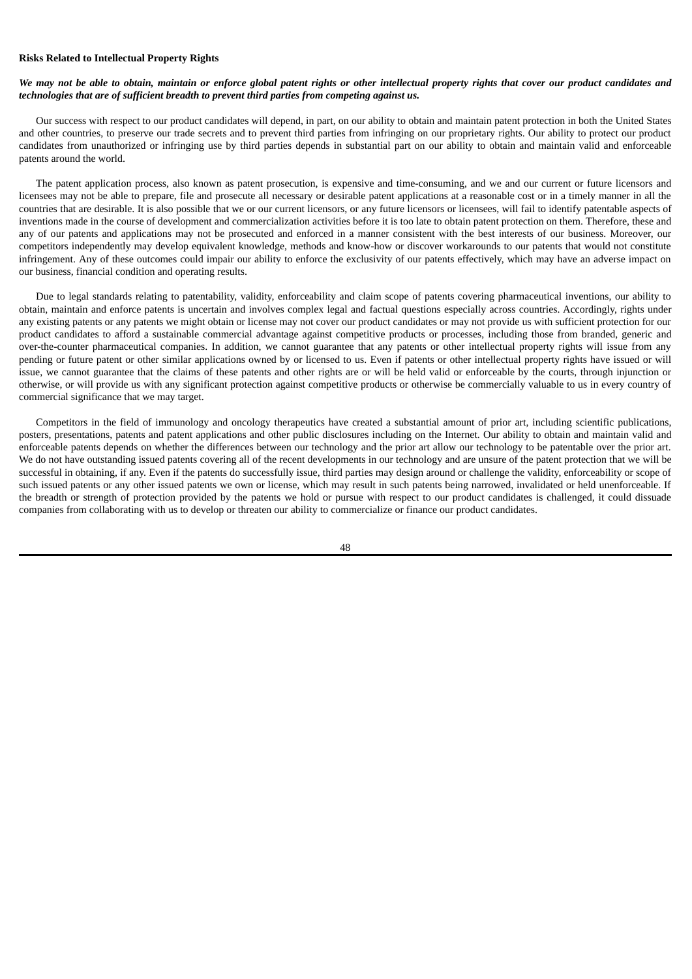### **Risks Related to Intellectual Property Rights**

# We may not be able to obtain, maintain or enforce global patent rights or other intellectual property rights that cover our product candidates and *technologies that are of sufficient breadth to prevent third parties from competing against us.*

Our success with respect to our product candidates will depend, in part, on our ability to obtain and maintain patent protection in both the United States and other countries, to preserve our trade secrets and to prevent third parties from infringing on our proprietary rights. Our ability to protect our product candidates from unauthorized or infringing use by third parties depends in substantial part on our ability to obtain and maintain valid and enforceable patents around the world.

The patent application process, also known as patent prosecution, is expensive and time-consuming, and we and our current or future licensors and licensees may not be able to prepare, file and prosecute all necessary or desirable patent applications at a reasonable cost or in a timely manner in all the countries that are desirable. It is also possible that we or our current licensors, or any future licensors or licensees, will fail to identify patentable aspects of inventions made in the course of development and commercialization activities before it is too late to obtain patent protection on them. Therefore, these and any of our patents and applications may not be prosecuted and enforced in a manner consistent with the best interests of our business. Moreover, our competitors independently may develop equivalent knowledge, methods and know-how or discover workarounds to our patents that would not constitute infringement. Any of these outcomes could impair our ability to enforce the exclusivity of our patents effectively, which may have an adverse impact on our business, financial condition and operating results.

Due to legal standards relating to patentability, validity, enforceability and claim scope of patents covering pharmaceutical inventions, our ability to obtain, maintain and enforce patents is uncertain and involves complex legal and factual questions especially across countries. Accordingly, rights under any existing patents or any patents we might obtain or license may not cover our product candidates or may not provide us with sufficient protection for our product candidates to afford a sustainable commercial advantage against competitive products or processes, including those from branded, generic and over-the-counter pharmaceutical companies. In addition, we cannot guarantee that any patents or other intellectual property rights will issue from any pending or future patent or other similar applications owned by or licensed to us. Even if patents or other intellectual property rights have issued or will issue, we cannot guarantee that the claims of these patents and other rights are or will be held valid or enforceable by the courts, through injunction or otherwise, or will provide us with any significant protection against competitive products or otherwise be commercially valuable to us in every country of commercial significance that we may target.

Competitors in the field of immunology and oncology therapeutics have created a substantial amount of prior art, including scientific publications, posters, presentations, patents and patent applications and other public disclosures including on the Internet. Our ability to obtain and maintain valid and enforceable patents depends on whether the differences between our technology and the prior art allow our technology to be patentable over the prior art. We do not have outstanding issued patents covering all of the recent developments in our technology and are unsure of the patent protection that we will be successful in obtaining, if any. Even if the patents do successfully issue, third parties may design around or challenge the validity, enforceability or scope of such issued patents or any other issued patents we own or license, which may result in such patents being narrowed, invalidated or held unenforceable. If the breadth or strength of protection provided by the patents we hold or pursue with respect to our product candidates is challenged, it could dissuade companies from collaborating with us to develop or threaten our ability to commercialize or finance our product candidates.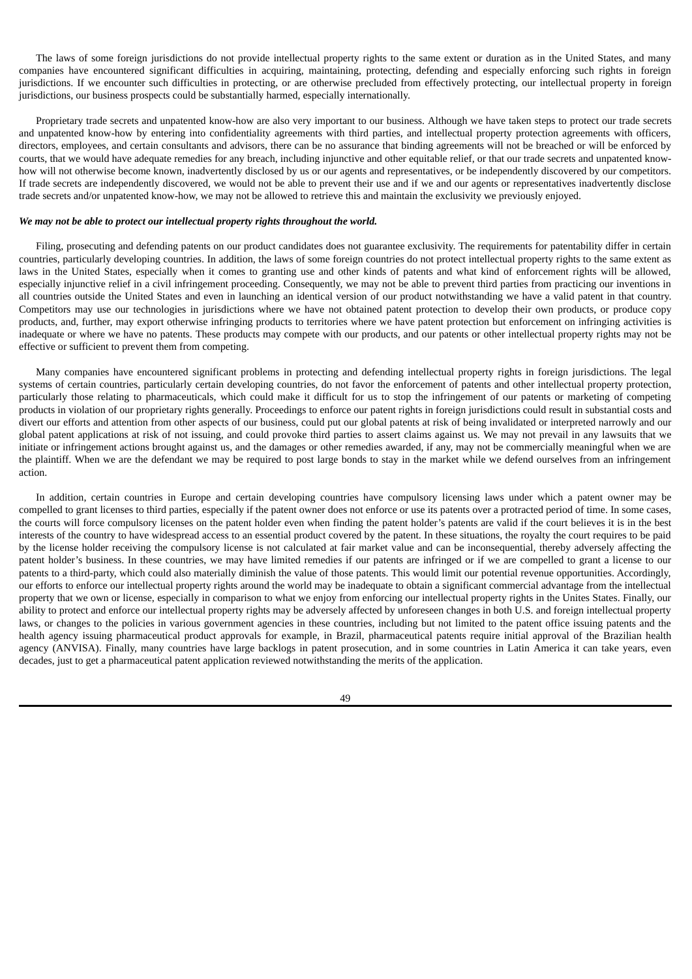The laws of some foreign jurisdictions do not provide intellectual property rights to the same extent or duration as in the United States, and many companies have encountered significant difficulties in acquiring, maintaining, protecting, defending and especially enforcing such rights in foreign jurisdictions. If we encounter such difficulties in protecting, or are otherwise precluded from effectively protecting, our intellectual property in foreign jurisdictions, our business prospects could be substantially harmed, especially internationally.

Proprietary trade secrets and unpatented know-how are also very important to our business. Although we have taken steps to protect our trade secrets and unpatented know-how by entering into confidentiality agreements with third parties, and intellectual property protection agreements with officers, directors, employees, and certain consultants and advisors, there can be no assurance that binding agreements will not be breached or will be enforced by courts, that we would have adequate remedies for any breach, including injunctive and other equitable relief, or that our trade secrets and unpatented knowhow will not otherwise become known, inadvertently disclosed by us or our agents and representatives, or be independently discovered by our competitors. If trade secrets are independently discovered, we would not be able to prevent their use and if we and our agents or representatives inadvertently disclose trade secrets and/or unpatented know-how, we may not be allowed to retrieve this and maintain the exclusivity we previously enjoyed.

### *We may not be able to protect our intellectual property rights throughout the world.*

Filing, prosecuting and defending patents on our product candidates does not guarantee exclusivity. The requirements for patentability differ in certain countries, particularly developing countries. In addition, the laws of some foreign countries do not protect intellectual property rights to the same extent as laws in the United States, especially when it comes to granting use and other kinds of patents and what kind of enforcement rights will be allowed, especially injunctive relief in a civil infringement proceeding. Consequently, we may not be able to prevent third parties from practicing our inventions in all countries outside the United States and even in launching an identical version of our product notwithstanding we have a valid patent in that country. Competitors may use our technologies in jurisdictions where we have not obtained patent protection to develop their own products, or produce copy products, and, further, may export otherwise infringing products to territories where we have patent protection but enforcement on infringing activities is inadequate or where we have no patents. These products may compete with our products, and our patents or other intellectual property rights may not be effective or sufficient to prevent them from competing.

Many companies have encountered significant problems in protecting and defending intellectual property rights in foreign jurisdictions. The legal systems of certain countries, particularly certain developing countries, do not favor the enforcement of patents and other intellectual property protection, particularly those relating to pharmaceuticals, which could make it difficult for us to stop the infringement of our patents or marketing of competing products in violation of our proprietary rights generally. Proceedings to enforce our patent rights in foreign jurisdictions could result in substantial costs and divert our efforts and attention from other aspects of our business, could put our global patents at risk of being invalidated or interpreted narrowly and our global patent applications at risk of not issuing, and could provoke third parties to assert claims against us. We may not prevail in any lawsuits that we initiate or infringement actions brought against us, and the damages or other remedies awarded, if any, may not be commercially meaningful when we are the plaintiff. When we are the defendant we may be required to post large bonds to stay in the market while we defend ourselves from an infringement action.

In addition, certain countries in Europe and certain developing countries have compulsory licensing laws under which a patent owner may be compelled to grant licenses to third parties, especially if the patent owner does not enforce or use its patents over a protracted period of time. In some cases, the courts will force compulsory licenses on the patent holder even when finding the patent holder's patents are valid if the court believes it is in the best interests of the country to have widespread access to an essential product covered by the patent. In these situations, the royalty the court requires to be paid by the license holder receiving the compulsory license is not calculated at fair market value and can be inconsequential, thereby adversely affecting the patent holder's business. In these countries, we may have limited remedies if our patents are infringed or if we are compelled to grant a license to our patents to a third-party, which could also materially diminish the value of those patents. This would limit our potential revenue opportunities. Accordingly, our efforts to enforce our intellectual property rights around the world may be inadequate to obtain a significant commercial advantage from the intellectual property that we own or license, especially in comparison to what we enjoy from enforcing our intellectual property rights in the Unites States. Finally, our ability to protect and enforce our intellectual property rights may be adversely affected by unforeseen changes in both U.S. and foreign intellectual property laws, or changes to the policies in various government agencies in these countries, including but not limited to the patent office issuing patents and the health agency issuing pharmaceutical product approvals for example, in Brazil, pharmaceutical patents require initial approval of the Brazilian health agency (ANVISA). Finally, many countries have large backlogs in patent prosecution, and in some countries in Latin America it can take years, even decades, just to get a pharmaceutical patent application reviewed notwithstanding the merits of the application.

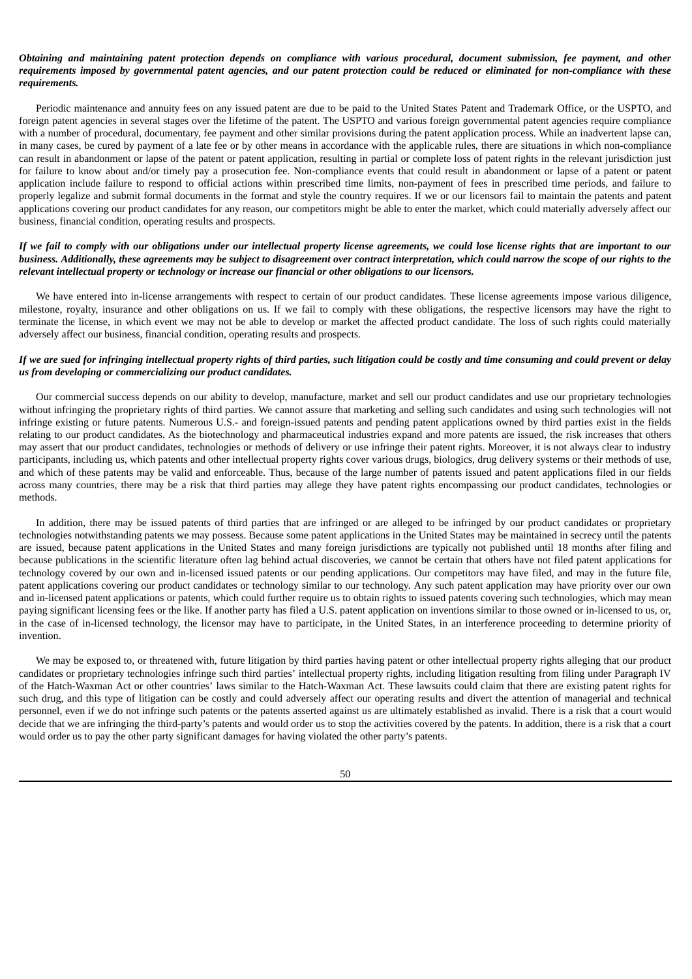# Obtaining and maintaining patent protection depends on compliance with various procedural, document submission, fee payment, and other requirements imposed by governmental patent agencies, and our patent protection could be reduced or eliminated for non-compliance with these *requirements.*

Periodic maintenance and annuity fees on any issued patent are due to be paid to the United States Patent and Trademark Office, or the USPTO, and foreign patent agencies in several stages over the lifetime of the patent. The USPTO and various foreign governmental patent agencies require compliance with a number of procedural, documentary, fee payment and other similar provisions during the patent application process. While an inadvertent lapse can, in many cases, be cured by payment of a late fee or by other means in accordance with the applicable rules, there are situations in which non-compliance can result in abandonment or lapse of the patent or patent application, resulting in partial or complete loss of patent rights in the relevant jurisdiction just for failure to know about and/or timely pay a prosecution fee. Non-compliance events that could result in abandonment or lapse of a patent or patent application include failure to respond to official actions within prescribed time limits, non-payment of fees in prescribed time periods, and failure to properly legalize and submit formal documents in the format and style the country requires. If we or our licensors fail to maintain the patents and patent applications covering our product candidates for any reason, our competitors might be able to enter the market, which could materially adversely affect our business, financial condition, operating results and prospects.

# If we fail to comply with our obligations under our intellectual property license agreements, we could lose license rights that are important to our business. Additionally, these agreements may be subject to disagreement over contract interpretation, which could narrow the scope of our rights to the *relevant intellectual property or technology or increase our financial or other obligations to our licensors.*

We have entered into in-license arrangements with respect to certain of our product candidates. These license agreements impose various diligence, milestone, royalty, insurance and other obligations on us. If we fail to comply with these obligations, the respective licensors may have the right to terminate the license, in which event we may not be able to develop or market the affected product candidate. The loss of such rights could materially adversely affect our business, financial condition, operating results and prospects.

# If we are sued for infringing intellectual property rights of third parties, such litigation could be costly and time consuming and could prevent or delay *us from developing or commercializing our product candidates.*

Our commercial success depends on our ability to develop, manufacture, market and sell our product candidates and use our proprietary technologies without infringing the proprietary rights of third parties. We cannot assure that marketing and selling such candidates and using such technologies will not infringe existing or future patents. Numerous U.S.- and foreign-issued patents and pending patent applications owned by third parties exist in the fields relating to our product candidates. As the biotechnology and pharmaceutical industries expand and more patents are issued, the risk increases that others may assert that our product candidates, technologies or methods of delivery or use infringe their patent rights. Moreover, it is not always clear to industry participants, including us, which patents and other intellectual property rights cover various drugs, biologics, drug delivery systems or their methods of use, and which of these patents may be valid and enforceable. Thus, because of the large number of patents issued and patent applications filed in our fields across many countries, there may be a risk that third parties may allege they have patent rights encompassing our product candidates, technologies or methods.

In addition, there may be issued patents of third parties that are infringed or are alleged to be infringed by our product candidates or proprietary technologies notwithstanding patents we may possess. Because some patent applications in the United States may be maintained in secrecy until the patents are issued, because patent applications in the United States and many foreign jurisdictions are typically not published until 18 months after filing and because publications in the scientific literature often lag behind actual discoveries, we cannot be certain that others have not filed patent applications for technology covered by our own and in-licensed issued patents or our pending applications. Our competitors may have filed, and may in the future file, patent applications covering our product candidates or technology similar to our technology. Any such patent application may have priority over our own and in-licensed patent applications or patents, which could further require us to obtain rights to issued patents covering such technologies, which may mean paying significant licensing fees or the like. If another party has filed a U.S. patent application on inventions similar to those owned or in-licensed to us, or, in the case of in-licensed technology, the licensor may have to participate, in the United States, in an interference proceeding to determine priority of invention.

We may be exposed to, or threatened with, future litigation by third parties having patent or other intellectual property rights alleging that our product candidates or proprietary technologies infringe such third parties' intellectual property rights, including litigation resulting from filing under Paragraph IV of the Hatch-Waxman Act or other countries' laws similar to the Hatch-Waxman Act. These lawsuits could claim that there are existing patent rights for such drug, and this type of litigation can be costly and could adversely affect our operating results and divert the attention of managerial and technical personnel, even if we do not infringe such patents or the patents asserted against us are ultimately established as invalid. There is a risk that a court would decide that we are infringing the third-party's patents and would order us to stop the activities covered by the patents. In addition, there is a risk that a court would order us to pay the other party significant damages for having violated the other party's patents.

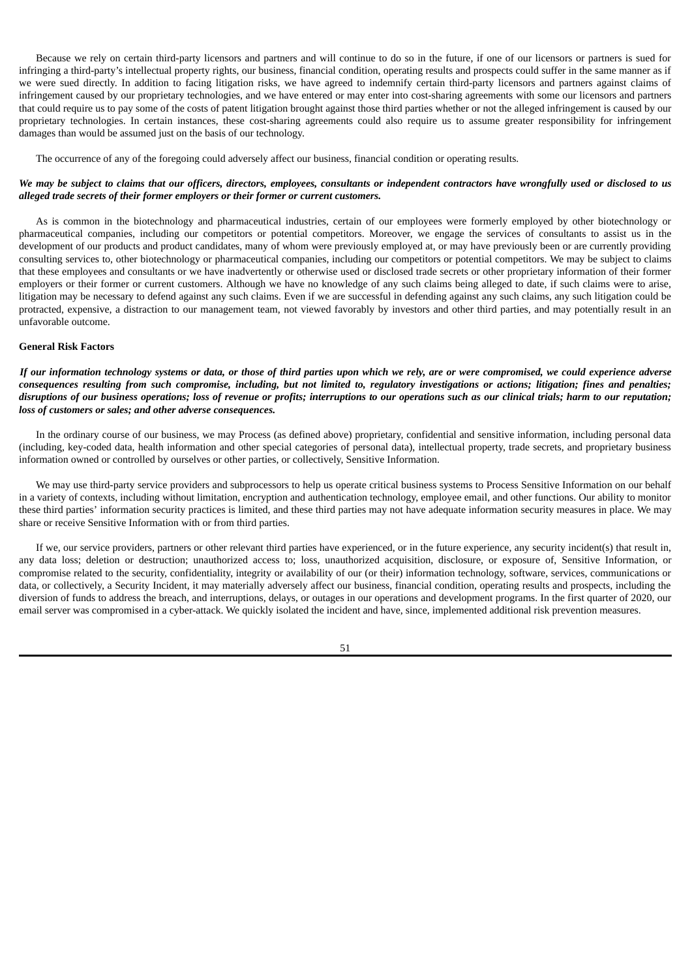Because we rely on certain third-party licensors and partners and will continue to do so in the future, if one of our licensors or partners is sued for infringing a third-party's intellectual property rights, our business, financial condition, operating results and prospects could suffer in the same manner as if we were sued directly. In addition to facing litigation risks, we have agreed to indemnify certain third-party licensors and partners against claims of infringement caused by our proprietary technologies, and we have entered or may enter into cost-sharing agreements with some our licensors and partners that could require us to pay some of the costs of patent litigation brought against those third parties whether or not the alleged infringement is caused by our proprietary technologies. In certain instances, these cost-sharing agreements could also require us to assume greater responsibility for infringement damages than would be assumed just on the basis of our technology.

The occurrence of any of the foregoing could adversely affect our business, financial condition or operating results.

# We may be subject to claims that our officers, directors, employees, consultants or independent contractors have wrongfully used or disclosed to us *alleged trade secrets of their former employers or their former or current customers.*

As is common in the biotechnology and pharmaceutical industries, certain of our employees were formerly employed by other biotechnology or pharmaceutical companies, including our competitors or potential competitors. Moreover, we engage the services of consultants to assist us in the development of our products and product candidates, many of whom were previously employed at, or may have previously been or are currently providing consulting services to, other biotechnology or pharmaceutical companies, including our competitors or potential competitors. We may be subject to claims that these employees and consultants or we have inadvertently or otherwise used or disclosed trade secrets or other proprietary information of their former employers or their former or current customers. Although we have no knowledge of any such claims being alleged to date, if such claims were to arise, litigation may be necessary to defend against any such claims. Even if we are successful in defending against any such claims, any such litigation could be protracted, expensive, a distraction to our management team, not viewed favorably by investors and other third parties, and may potentially result in an unfavorable outcome.

# **General Risk Factors**

If our information technology systems or data, or those of third parties upon which we rely, are or were compromised, we could experience adverse consequences resulting from such compromise, including, but not limited to, regulatory investigations or actions; litigation; fines and penalties; disruptions of our business operations; loss of revenue or profits; interruptions to our operations such as our clinical trials; harm to our reputation; *loss of customers or sales; and other adverse consequences.*

In the ordinary course of our business, we may Process (as defined above) proprietary, confidential and sensitive information, including personal data (including, key-coded data, health information and other special categories of personal data), intellectual property, trade secrets, and proprietary business information owned or controlled by ourselves or other parties, or collectively, Sensitive Information.

We may use third-party service providers and subprocessors to help us operate critical business systems to Process Sensitive Information on our behalf in a variety of contexts, including without limitation, encryption and authentication technology, employee email, and other functions. Our ability to monitor these third parties' information security practices is limited, and these third parties may not have adequate information security measures in place. We may share or receive Sensitive Information with or from third parties.

If we, our service providers, partners or other relevant third parties have experienced, or in the future experience, any security incident(s) that result in, any data loss; deletion or destruction; unauthorized access to; loss, unauthorized acquisition, disclosure, or exposure of, Sensitive Information, or compromise related to the security, confidentiality, integrity or availability of our (or their) information technology, software, services, communications or data, or collectively, a Security Incident, it may materially adversely affect our business, financial condition, operating results and prospects, including the diversion of funds to address the breach, and interruptions, delays, or outages in our operations and development programs. In the first quarter of 2020, our email server was compromised in a cyber-attack. We quickly isolated the incident and have, since, implemented additional risk prevention measures.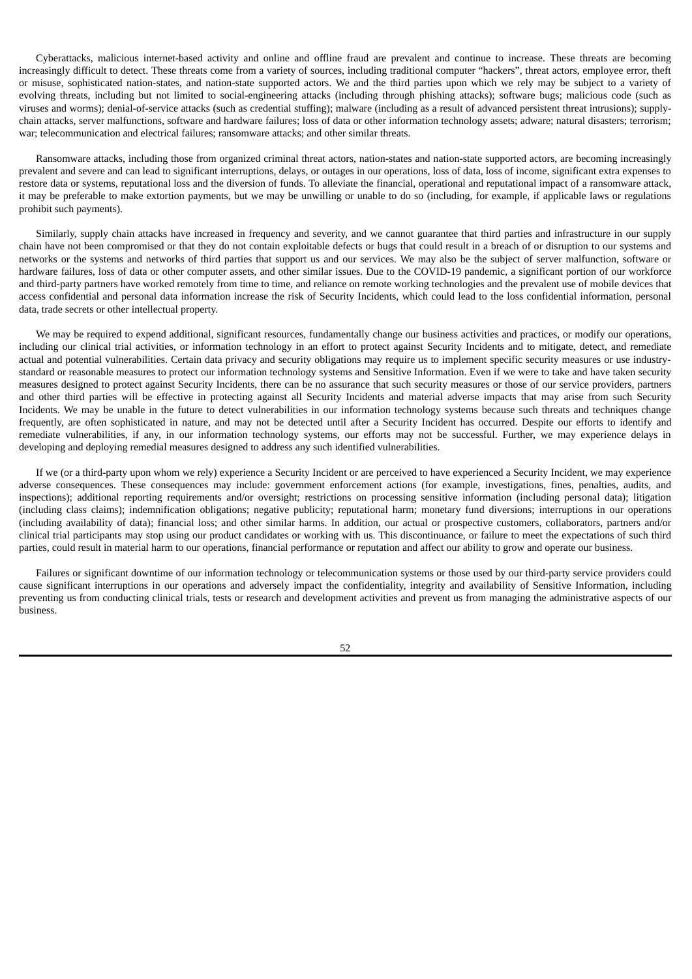Cyberattacks, malicious internet-based activity and online and offline fraud are prevalent and continue to increase. These threats are becoming increasingly difficult to detect. These threats come from a variety of sources, including traditional computer "hackers", threat actors, employee error, theft or misuse, sophisticated nation-states, and nation-state supported actors. We and the third parties upon which we rely may be subject to a variety of evolving threats, including but not limited to social-engineering attacks (including through phishing attacks); software bugs; malicious code (such as viruses and worms); denial-of-service attacks (such as credential stuffing); malware (including as a result of advanced persistent threat intrusions); supplychain attacks, server malfunctions, software and hardware failures; loss of data or other information technology assets; adware; natural disasters; terrorism; war; telecommunication and electrical failures; ransomware attacks; and other similar threats.

Ransomware attacks, including those from organized criminal threat actors, nation-states and nation-state supported actors, are becoming increasingly prevalent and severe and can lead to significant interruptions, delays, or outages in our operations, loss of data, loss of income, significant extra expenses to restore data or systems, reputational loss and the diversion of funds. To alleviate the financial, operational and reputational impact of a ransomware attack, it may be preferable to make extortion payments, but we may be unwilling or unable to do so (including, for example, if applicable laws or regulations prohibit such payments).

Similarly, supply chain attacks have increased in frequency and severity, and we cannot guarantee that third parties and infrastructure in our supply chain have not been compromised or that they do not contain exploitable defects or bugs that could result in a breach of or disruption to our systems and networks or the systems and networks of third parties that support us and our services. We may also be the subject of server malfunction, software or hardware failures, loss of data or other computer assets, and other similar issues. Due to the COVID-19 pandemic, a significant portion of our workforce and third-party partners have worked remotely from time to time, and reliance on remote working technologies and the prevalent use of mobile devices that access confidential and personal data information increase the risk of Security Incidents, which could lead to the loss confidential information, personal data, trade secrets or other intellectual property.

We may be required to expend additional, significant resources, fundamentally change our business activities and practices, or modify our operations, including our clinical trial activities, or information technology in an effort to protect against Security Incidents and to mitigate, detect, and remediate actual and potential vulnerabilities. Certain data privacy and security obligations may require us to implement specific security measures or use industrystandard or reasonable measures to protect our information technology systems and Sensitive Information. Even if we were to take and have taken security measures designed to protect against Security Incidents, there can be no assurance that such security measures or those of our service providers, partners and other third parties will be effective in protecting against all Security Incidents and material adverse impacts that may arise from such Security Incidents. We may be unable in the future to detect vulnerabilities in our information technology systems because such threats and techniques change frequently, are often sophisticated in nature, and may not be detected until after a Security Incident has occurred. Despite our efforts to identify and remediate vulnerabilities, if any, in our information technology systems, our efforts may not be successful. Further, we may experience delays in developing and deploying remedial measures designed to address any such identified vulnerabilities.

If we (or a third-party upon whom we rely) experience a Security Incident or are perceived to have experienced a Security Incident, we may experience adverse consequences. These consequences may include: government enforcement actions (for example, investigations, fines, penalties, audits, and inspections); additional reporting requirements and/or oversight; restrictions on processing sensitive information (including personal data); litigation (including class claims); indemnification obligations; negative publicity; reputational harm; monetary fund diversions; interruptions in our operations (including availability of data); financial loss; and other similar harms. In addition, our actual or prospective customers, collaborators, partners and/or clinical trial participants may stop using our product candidates or working with us. This discontinuance, or failure to meet the expectations of such third parties, could result in material harm to our operations, financial performance or reputation and affect our ability to grow and operate our business.

Failures or significant downtime of our information technology or telecommunication systems or those used by our third-party service providers could cause significant interruptions in our operations and adversely impact the confidentiality, integrity and availability of Sensitive Information, including preventing us from conducting clinical trials, tests or research and development activities and prevent us from managing the administrative aspects of our business.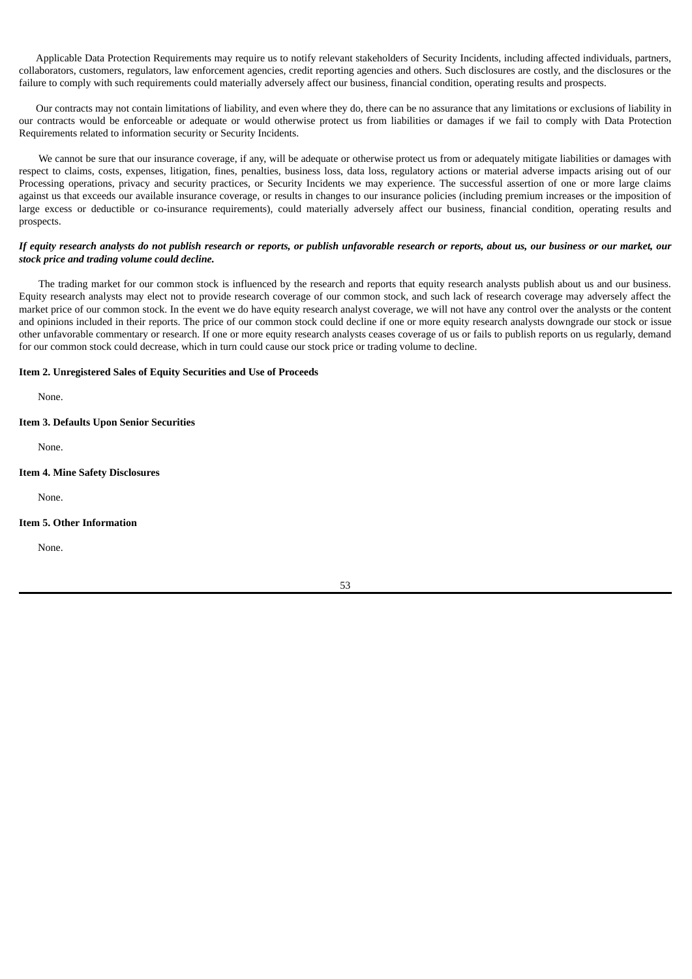Applicable Data Protection Requirements may require us to notify relevant stakeholders of Security Incidents, including affected individuals, partners, collaborators, customers, regulators, law enforcement agencies, credit reporting agencies and others. Such disclosures are costly, and the disclosures or the failure to comply with such requirements could materially adversely affect our business, financial condition, operating results and prospects.

Our contracts may not contain limitations of liability, and even where they do, there can be no assurance that any limitations or exclusions of liability in our contracts would be enforceable or adequate or would otherwise protect us from liabilities or damages if we fail to comply with Data Protection Requirements related to information security or Security Incidents.

We cannot be sure that our insurance coverage, if any, will be adequate or otherwise protect us from or adequately mitigate liabilities or damages with respect to claims, costs, expenses, litigation, fines, penalties, business loss, data loss, regulatory actions or material adverse impacts arising out of our Processing operations, privacy and security practices, or Security Incidents we may experience. The successful assertion of one or more large claims against us that exceeds our available insurance coverage, or results in changes to our insurance policies (including premium increases or the imposition of large excess or deductible or co-insurance requirements), could materially adversely affect our business, financial condition, operating results and prospects.

## If equity research analysts do not publish research or reports, or publish unfavorable research or reports, about us, our business or our market, our *stock price and trading volume could decline.*

The trading market for our common stock is influenced by the research and reports that equity research analysts publish about us and our business. Equity research analysts may elect not to provide research coverage of our common stock, and such lack of research coverage may adversely affect the market price of our common stock. In the event we do have equity research analyst coverage, we will not have any control over the analysts or the content and opinions included in their reports. The price of our common stock could decline if one or more equity research analysts downgrade our stock or issue other unfavorable commentary or research. If one or more equity research analysts ceases coverage of us or fails to publish reports on us regularly, demand for our common stock could decrease, which in turn could cause our stock price or trading volume to decline.

# **Item 2. Unregistered Sales of Equity Securities and Use of Proceeds**

None.

### **Item 3. Defaults Upon Senior Securities**

None.

#### **Item 4. Mine Safety Disclosures**

None.

### **Item 5. Other Information**

None.

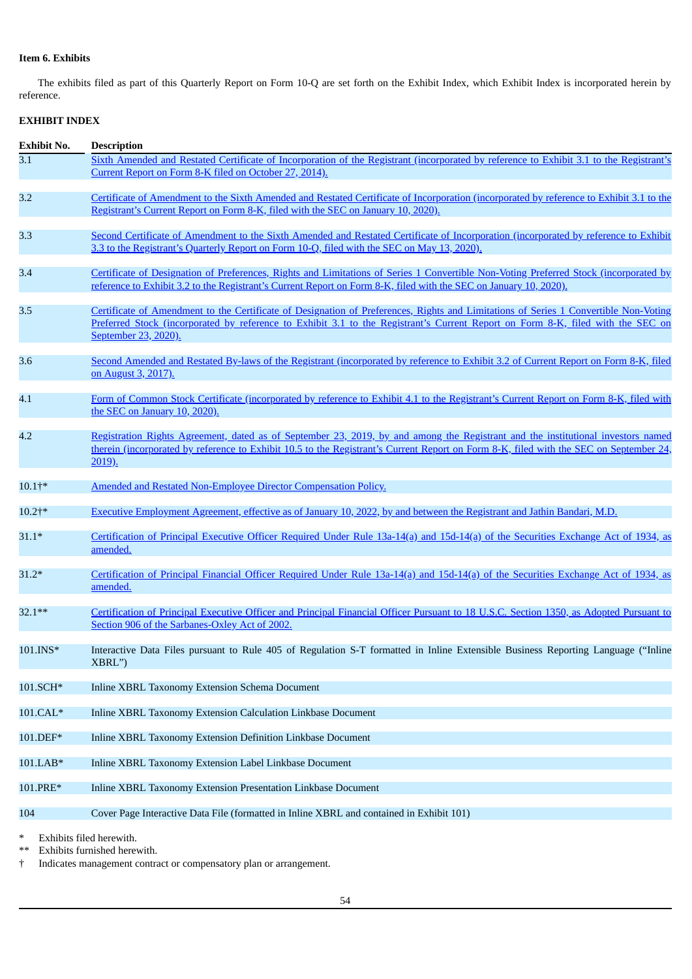# **Item 6. Exhibits**

The exhibits filed as part of this Quarterly Report on Form 10-Q are set forth on the Exhibit Index, which Exhibit Index is incorporated herein by reference.

# **EXHIBIT INDEX**

| Exhibit No.         | <b>Description</b>                                                                                                                                                                                                                                         |
|---------------------|------------------------------------------------------------------------------------------------------------------------------------------------------------------------------------------------------------------------------------------------------------|
| $\overline{3.1}$    | Sixth Amended and Restated Certificate of Incorporation of the Registrant (incorporated by reference to Exhibit 3.1 to the Registrant's                                                                                                                    |
|                     | Current Report on Form 8-K filed on October 27, 2014).                                                                                                                                                                                                     |
| 3.2                 | Certificate of Amendment to the Sixth Amended and Restated Certificate of Incorporation (incorporated by reference to Exhibit 3.1 to the                                                                                                                   |
|                     | Registrant's Current Report on Form 8-K, filed with the SEC on January 10, 2020).                                                                                                                                                                          |
| 3.3                 | Second Certificate of Amendment to the Sixth Amended and Restated Certificate of Incorporation (incorporated by reference to Exhibit                                                                                                                       |
|                     | 3.3 to the Registrant's Quarterly Report on Form 10-Q, filed with the SEC on May 13, 2020).                                                                                                                                                                |
|                     |                                                                                                                                                                                                                                                            |
| 3.4                 | Certificate of Designation of Preferences, Rights and Limitations of Series 1 Convertible Non-Voting Preferred Stock (incorporated by<br>reference to Exhibit 3.2 to the Registrant's Current Report on Form 8-K, filed with the SEC on January 10, 2020). |
|                     |                                                                                                                                                                                                                                                            |
| 3.5                 | Certificate of Amendment to the Certificate of Designation of Preferences, Rights and Limitations of Series 1 Convertible Non-Voting                                                                                                                       |
|                     | Preferred Stock (incorporated by reference to Exhibit 3.1 to the Registrant's Current Report on Form 8-K, filed with the SEC on<br>September 23, 2020).                                                                                                    |
|                     |                                                                                                                                                                                                                                                            |
| 3.6                 | Second Amended and Restated By-laws of the Registrant (incorporated by reference to Exhibit 3.2 of Current Report on Form 8-K, filed<br>on August 3, 2017).                                                                                                |
|                     |                                                                                                                                                                                                                                                            |
| 4.1                 | Form of Common Stock Certificate (incorporated by reference to Exhibit 4.1 to the Registrant's Current Report on Form 8-K, filed with                                                                                                                      |
|                     | the SEC on January 10, 2020).                                                                                                                                                                                                                              |
| 4.2                 | Registration Rights Agreement, dated as of September 23, 2019, by and among the Registrant and the institutional investors named                                                                                                                           |
|                     | therein (incorporated by reference to Exhibit 10.5 to the Registrant's Current Report on Form 8-K, filed with the SEC on September 24,                                                                                                                     |
|                     | 2019).                                                                                                                                                                                                                                                     |
| $10.1$ <sup>*</sup> | <b>Amended and Restated Non-Employee Director Compensation Policy.</b>                                                                                                                                                                                     |
| $10.2$ †*           | Executive Employment Agreement, effective as of January 10, 2022, by and between the Registrant and Jathin Bandari, M.D.                                                                                                                                   |
|                     |                                                                                                                                                                                                                                                            |
| $31.1*$             | Certification of Principal Executive Officer Required Under Rule 13a-14(a) and 15d-14(a) of the Securities Exchange Act of 1934, as<br>amended.                                                                                                            |
|                     |                                                                                                                                                                                                                                                            |
| $31.2*$             | Certification of Principal Financial Officer Required Under Rule 13a-14(a) and 15d-14(a) of the Securities Exchange Act of 1934, as                                                                                                                        |
|                     | amended.                                                                                                                                                                                                                                                   |
| $32.1**$            | Certification of Principal Executive Officer and Principal Financial Officer Pursuant to 18 U.S.C. Section 1350, as Adopted Pursuant to                                                                                                                    |
|                     | Section 906 of the Sarbanes-Oxley Act of 2002.                                                                                                                                                                                                             |
| 101.INS*            | Interactive Data Files pursuant to Rule 405 of Regulation S-T formatted in Inline Extensible Business Reporting Language ("Inline                                                                                                                          |
|                     | XBRL")                                                                                                                                                                                                                                                     |
| 101.SCH*            | Inline XBRL Taxonomy Extension Schema Document                                                                                                                                                                                                             |
|                     |                                                                                                                                                                                                                                                            |
| 101.CAL*            | Inline XBRL Taxonomy Extension Calculation Linkbase Document                                                                                                                                                                                               |
| 101.DEF*            | Inline XBRL Taxonomy Extension Definition Linkbase Document                                                                                                                                                                                                |
|                     |                                                                                                                                                                                                                                                            |
| 101.LAB*            | Inline XBRL Taxonomy Extension Label Linkbase Document                                                                                                                                                                                                     |
| 101.PRE*            | Inline XBRL Taxonomy Extension Presentation Linkbase Document                                                                                                                                                                                              |
|                     |                                                                                                                                                                                                                                                            |
| 104                 | Cover Page Interactive Data File (formatted in Inline XBRL and contained in Exhibit 101)                                                                                                                                                                   |

\* Exhibits filed herewith.

\*\* Exhibits furnished herewith.

† Indicates management contract or compensatory plan or arrangement.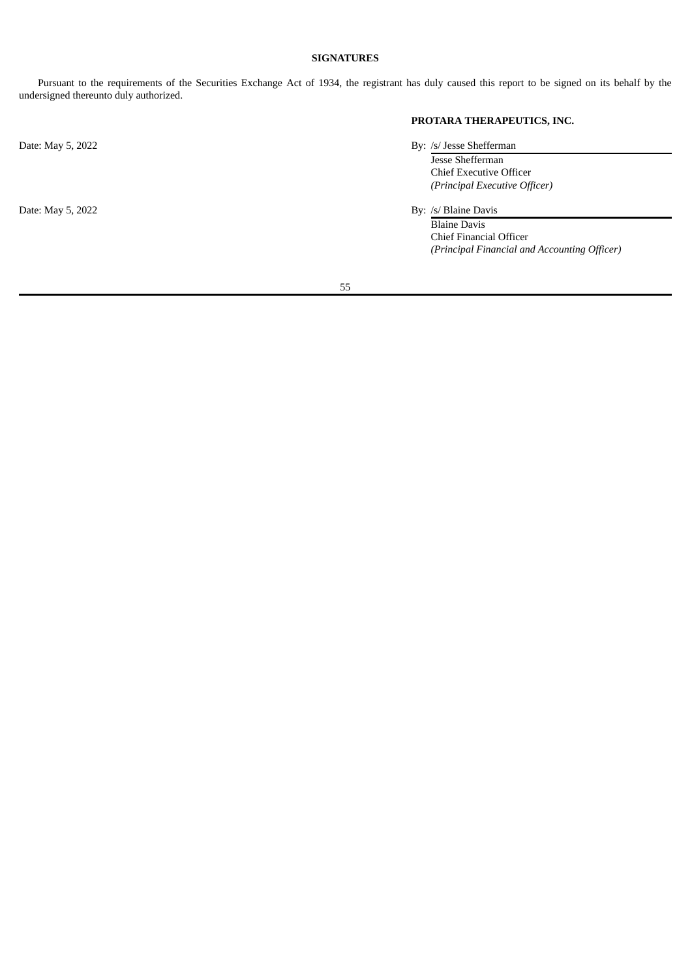# **SIGNATURES**

Pursuant to the requirements of the Securities Exchange Act of 1934, the registrant has duly caused this report to be signed on its behalf by the undersigned thereunto duly authorized.

# **PROTARA THERAPEUTICS, INC.**

| Date: May 5, 2022 | By: /s/ Jesse Shefferman                     |
|-------------------|----------------------------------------------|
|                   | Jesse Shefferman                             |
|                   | <b>Chief Executive Officer</b>               |
|                   | (Principal Executive Officer)                |
| Date: May 5, 2022 | By: /s/ Blaine Davis                         |
|                   | <b>Blaine Davis</b>                          |
|                   | Chief Financial Officer                      |
|                   | (Principal Financial and Accounting Officer) |
|                   |                                              |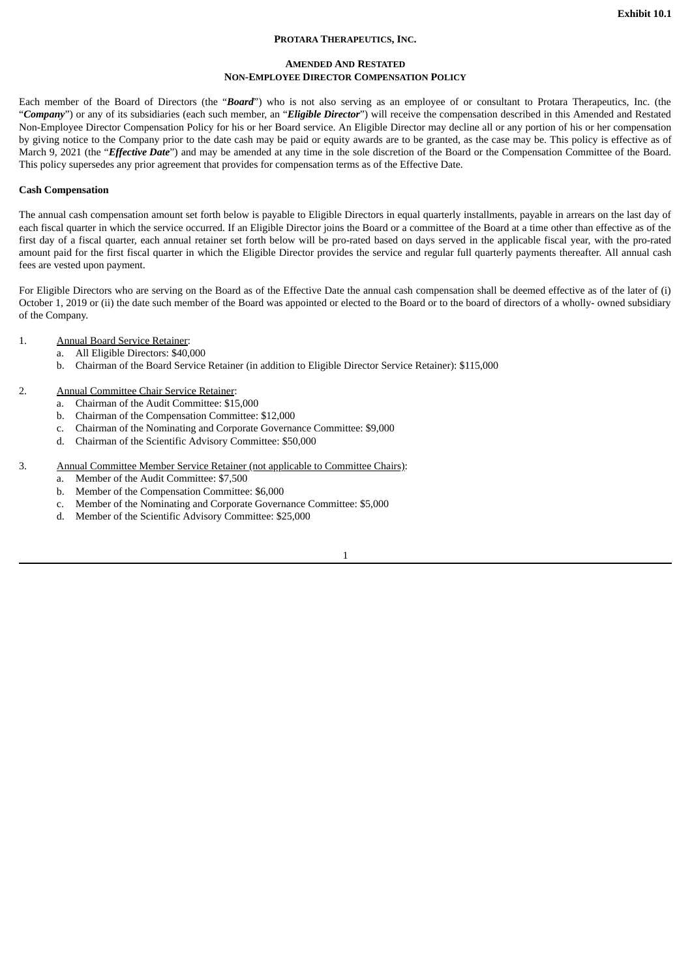# **PROTARA THERAPEUTICS, INC.**

# **AMENDED AND RESTATED NON-EMPLOYEE DIRECTOR COMPENSATION POLICY**

<span id="page-60-0"></span>Each member of the Board of Directors (the "*Board*") who is not also serving as an employee of or consultant to Protara Therapeutics, Inc. (the "*Company*") or any of its subsidiaries (each such member, an "*Eligible Director*") will receive the compensation described in this Amended and Restated Non-Employee Director Compensation Policy for his or her Board service. An Eligible Director may decline all or any portion of his or her compensation by giving notice to the Company prior to the date cash may be paid or equity awards are to be granted, as the case may be. This policy is effective as of March 9, 2021 (the "*Effective Date*") and may be amended at any time in the sole discretion of the Board or the Compensation Committee of the Board. This policy supersedes any prior agreement that provides for compensation terms as of the Effective Date.

# **Cash Compensation**

The annual cash compensation amount set forth below is payable to Eligible Directors in equal quarterly installments, payable in arrears on the last day of each fiscal quarter in which the service occurred. If an Eligible Director joins the Board or a committee of the Board at a time other than effective as of the first day of a fiscal quarter, each annual retainer set forth below will be pro-rated based on days served in the applicable fiscal year, with the pro-rated amount paid for the first fiscal quarter in which the Eligible Director provides the service and regular full quarterly payments thereafter. All annual cash fees are vested upon payment.

For Eligible Directors who are serving on the Board as of the Effective Date the annual cash compensation shall be deemed effective as of the later of (i) October 1, 2019 or (ii) the date such member of the Board was appointed or elected to the Board or to the board of directors of a wholly- owned subsidiary of the Company.

- 1. Annual Board Service Retainer:
	- a. All Eligible Directors: \$40,000
	- b. Chairman of the Board Service Retainer (in addition to Eligible Director Service Retainer): \$115,000
- 2. Annual Committee Chair Service Retainer:
	- a. Chairman of the Audit Committee: \$15,000
	- b. Chairman of the Compensation Committee: \$12,000
	- c. Chairman of the Nominating and Corporate Governance Committee: \$9,000
	- d. Chairman of the Scientific Advisory Committee: \$50,000
- 3. Annual Committee Member Service Retainer (not applicable to Committee Chairs):
	- a. Member of the Audit Committee: \$7,500
	- b. Member of the Compensation Committee: \$6,000
	- c. Member of the Nominating and Corporate Governance Committee: \$5,000
	- d. Member of the Scientific Advisory Committee: \$25,000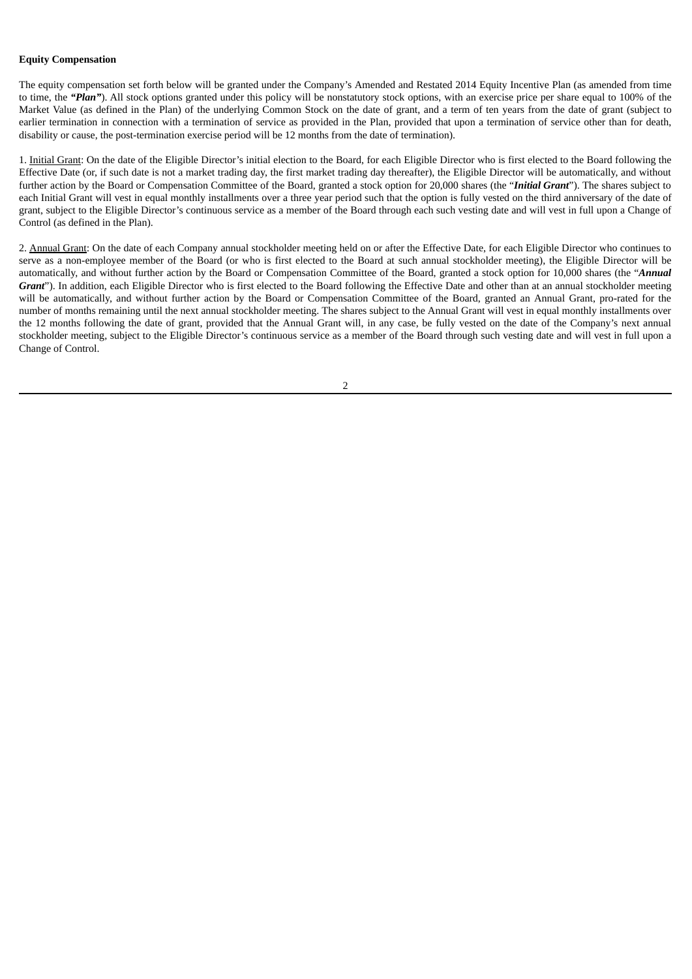# **Equity Compensation**

The equity compensation set forth below will be granted under the Company's Amended and Restated 2014 Equity Incentive Plan (as amended from time to time, the *"Plan"*). All stock options granted under this policy will be nonstatutory stock options, with an exercise price per share equal to 100% of the Market Value (as defined in the Plan) of the underlying Common Stock on the date of grant, and a term of ten years from the date of grant (subject to earlier termination in connection with a termination of service as provided in the Plan, provided that upon a termination of service other than for death, disability or cause, the post-termination exercise period will be 12 months from the date of termination).

1. Initial Grant: On the date of the Eligible Director's initial election to the Board, for each Eligible Director who is first elected to the Board following the Effective Date (or, if such date is not a market trading day, the first market trading day thereafter), the Eligible Director will be automatically, and without further action by the Board or Compensation Committee of the Board, granted a stock option for 20,000 shares (the "*Initial Grant*"). The shares subject to each Initial Grant will vest in equal monthly installments over a three year period such that the option is fully vested on the third anniversary of the date of grant, subject to the Eligible Director's continuous service as a member of the Board through each such vesting date and will vest in full upon a Change of Control (as defined in the Plan).

2. Annual Grant: On the date of each Company annual stockholder meeting held on or after the Effective Date, for each Eligible Director who continues to serve as a non-employee member of the Board (or who is first elected to the Board at such annual stockholder meeting), the Eligible Director will be automatically, and without further action by the Board or Compensation Committee of the Board, granted a stock option for 10,000 shares (the "*Annual Grant*"). In addition, each Eligible Director who is first elected to the Board following the Effective Date and other than at an annual stockholder meeting will be automatically, and without further action by the Board or Compensation Committee of the Board, granted an Annual Grant, pro-rated for the number of months remaining until the next annual stockholder meeting. The shares subject to the Annual Grant will vest in equal monthly installments over the 12 months following the date of grant, provided that the Annual Grant will, in any case, be fully vested on the date of the Company's next annual stockholder meeting, subject to the Eligible Director's continuous service as a member of the Board through such vesting date and will vest in full upon a Change of Control.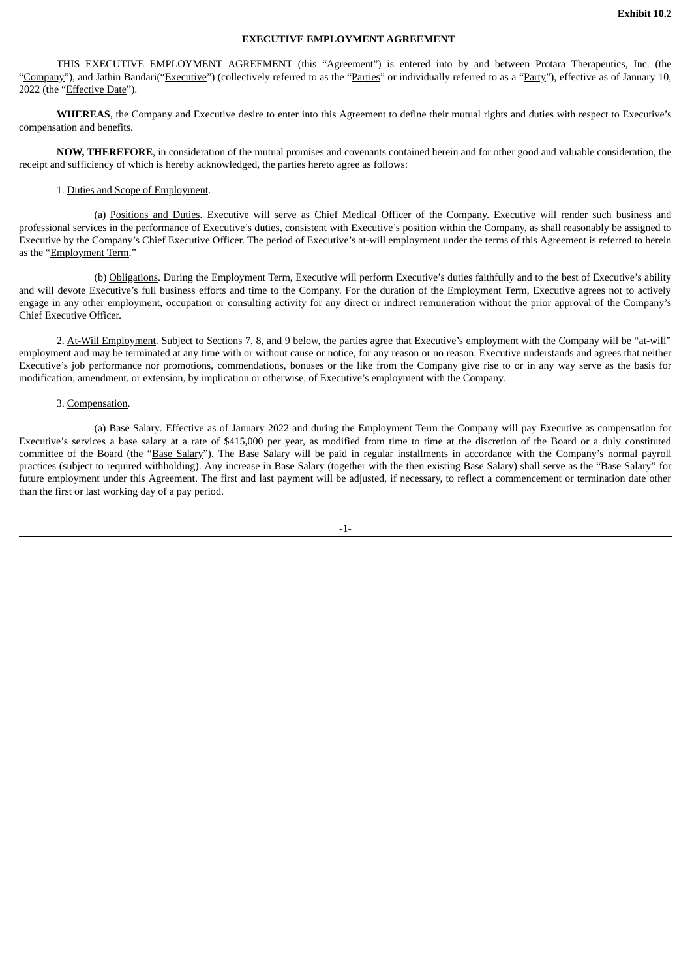# **EXECUTIVE EMPLOYMENT AGREEMENT**

<span id="page-62-0"></span>THIS EXECUTIVE EMPLOYMENT AGREEMENT (this "Agreement") is entered into by and between Protara Therapeutics, Inc. (the "Company"), and Jathin Bandari("Executive") (collectively referred to as the "Parties" or individually referred to as a "Party"), effective as of January 10, 2022 (the "Effective Date").

**WHEREAS**, the Company and Executive desire to enter into this Agreement to define their mutual rights and duties with respect to Executive's compensation and benefits.

**NOW, THEREFORE**, in consideration of the mutual promises and covenants contained herein and for other good and valuable consideration, the receipt and sufficiency of which is hereby acknowledged, the parties hereto agree as follows:

# 1. Duties and Scope of Employment.

(a) Positions and Duties. Executive will serve as Chief Medical Officer of the Company. Executive will render such business and professional services in the performance of Executive's duties, consistent with Executive's position within the Company, as shall reasonably be assigned to Executive by the Company's Chief Executive Officer. The period of Executive's at-will employment under the terms of this Agreement is referred to herein as the "Employment Term."

(b) Obligations. During the Employment Term, Executive will perform Executive's duties faithfully and to the best of Executive's ability and will devote Executive's full business efforts and time to the Company. For the duration of the Employment Term, Executive agrees not to actively engage in any other employment, occupation or consulting activity for any direct or indirect remuneration without the prior approval of the Company's Chief Executive Officer.

2. At-Will Employment. Subject to Sections 7, 8, and 9 below, the parties agree that Executive's employment with the Company will be "at-will" employment and may be terminated at any time with or without cause or notice, for any reason or no reason. Executive understands and agrees that neither Executive's job performance nor promotions, commendations, bonuses or the like from the Company give rise to or in any way serve as the basis for modification, amendment, or extension, by implication or otherwise, of Executive's employment with the Company.

## 3. Compensation.

(a) Base Salary. Effective as of January 2022 and during the Employment Term the Company will pay Executive as compensation for Executive's services a base salary at a rate of \$415,000 per year, as modified from time to time at the discretion of the Board or a duly constituted committee of the Board (the "Base Salary"). The Base Salary will be paid in regular installments in accordance with the Company's normal payroll practices (subject to required withholding). Any increase in Base Salary (together with the then existing Base Salary) shall serve as the "Base Salary" for future employment under this Agreement. The first and last payment will be adjusted, if necessary, to reflect a commencement or termination date other than the first or last working day of a pay period.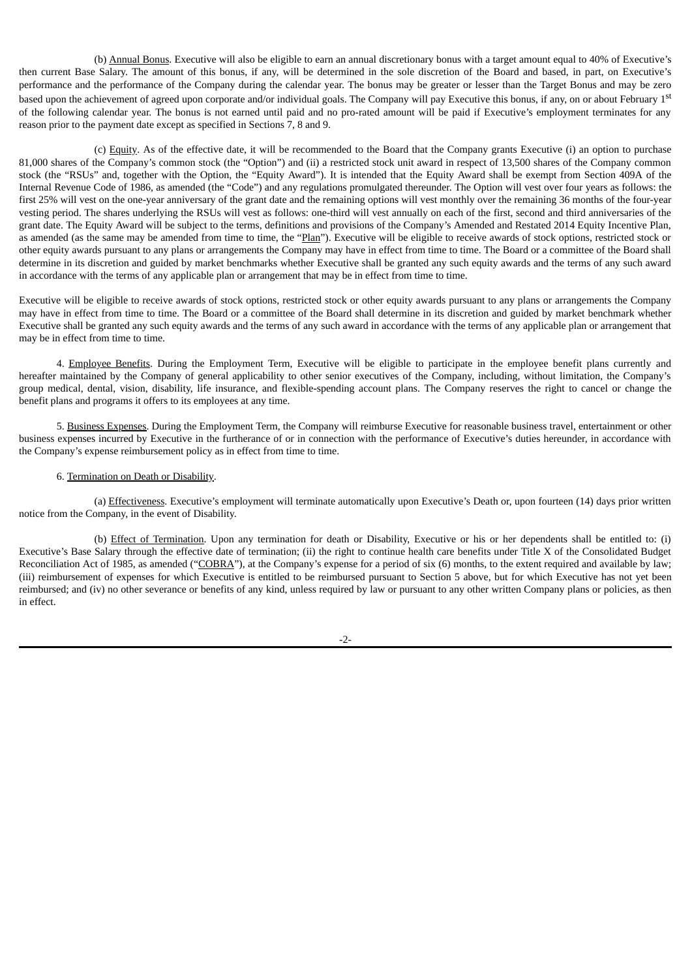(b) Annual Bonus. Executive will also be eligible to earn an annual discretionary bonus with a target amount equal to 40% of Executive's then current Base Salary. The amount of this bonus, if any, will be determined in the sole discretion of the Board and based, in part, on Executive's performance and the performance of the Company during the calendar year. The bonus may be greater or lesser than the Target Bonus and may be zero based upon the achievement of agreed upon corporate and/or individual goals. The Company will pay Executive this bonus, if any, on or about February 1<sup>st</sup> of the following calendar year. The bonus is not earned until paid and no pro-rated amount will be paid if Executive's employment terminates for any reason prior to the payment date except as specified in Sections 7, 8 and 9.

(c) Equity. As of the effective date, it will be recommended to the Board that the Company grants Executive (i) an option to purchase 81,000 shares of the Company's common stock (the "Option") and (ii) a restricted stock unit award in respect of 13,500 shares of the Company common stock (the "RSUs" and, together with the Option, the "Equity Award"). It is intended that the Equity Award shall be exempt from Section 409A of the Internal Revenue Code of 1986, as amended (the "Code") and any regulations promulgated thereunder. The Option will vest over four years as follows: the first 25% will vest on the one-year anniversary of the grant date and the remaining options will vest monthly over the remaining 36 months of the four-year vesting period. The shares underlying the RSUs will vest as follows: one-third will vest annually on each of the first, second and third anniversaries of the grant date. The Equity Award will be subject to the terms, definitions and provisions of the Company's Amended and Restated 2014 Equity Incentive Plan, as amended (as the same may be amended from time to time, the "Plan"). Executive will be eligible to receive awards of stock options, restricted stock or other equity awards pursuant to any plans or arrangements the Company may have in effect from time to time. The Board or a committee of the Board shall determine in its discretion and guided by market benchmarks whether Executive shall be granted any such equity awards and the terms of any such award in accordance with the terms of any applicable plan or arrangement that may be in effect from time to time.

Executive will be eligible to receive awards of stock options, restricted stock or other equity awards pursuant to any plans or arrangements the Company may have in effect from time to time. The Board or a committee of the Board shall determine in its discretion and guided by market benchmark whether Executive shall be granted any such equity awards and the terms of any such award in accordance with the terms of any applicable plan or arrangement that may be in effect from time to time.

4. Employee Benefits. During the Employment Term, Executive will be eligible to participate in the employee benefit plans currently and hereafter maintained by the Company of general applicability to other senior executives of the Company, including, without limitation, the Company's group medical, dental, vision, disability, life insurance, and flexible-spending account plans. The Company reserves the right to cancel or change the benefit plans and programs it offers to its employees at any time.

5. Business Expenses. During the Employment Term, the Company will reimburse Executive for reasonable business travel, entertainment or other business expenses incurred by Executive in the furtherance of or in connection with the performance of Executive's duties hereunder, in accordance with the Company's expense reimbursement policy as in effect from time to time.

# 6. Termination on Death or Disability.

(a) Effectiveness. Executive's employment will terminate automatically upon Executive's Death or, upon fourteen (14) days prior written notice from the Company, in the event of Disability.

(b) Effect of Termination. Upon any termination for death or Disability, Executive or his or her dependents shall be entitled to: (i) Executive's Base Salary through the effective date of termination; (ii) the right to continue health care benefits under Title X of the Consolidated Budget Reconciliation Act of 1985, as amended ("COBRA"), at the Company's expense for a period of six (6) months, to the extent required and available by law; (iii) reimbursement of expenses for which Executive is entitled to be reimbursed pursuant to Section 5 above, but for which Executive has not yet been reimbursed; and (iv) no other severance or benefits of any kind, unless required by law or pursuant to any other written Company plans or policies, as then in effect.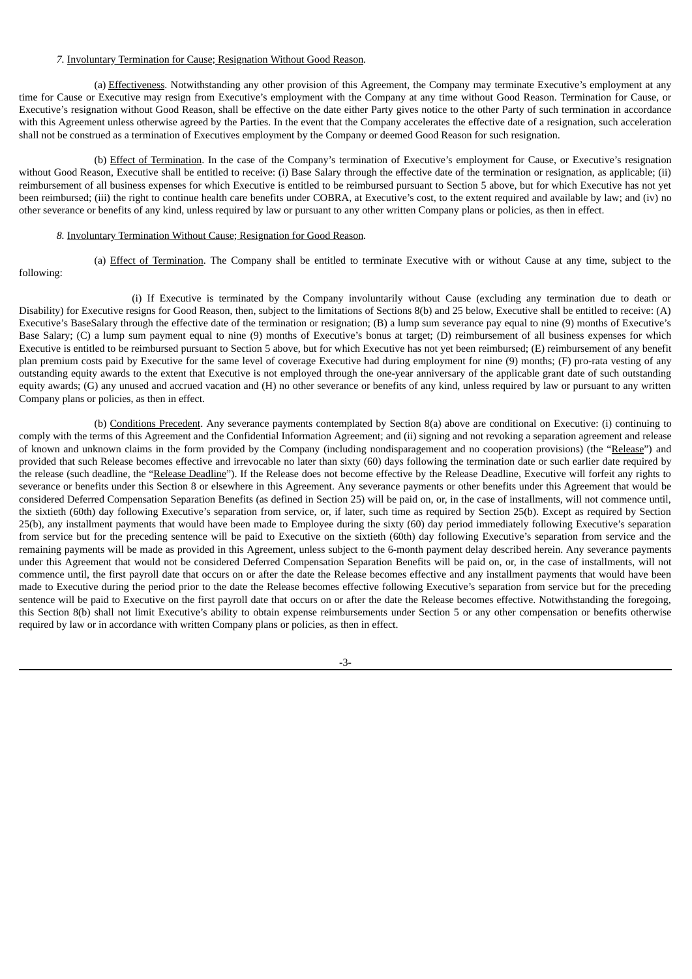# *7.* Involuntary Termination for Cause; Resignation Without Good Reason*.*

(a) Effectiveness. Notwithstanding any other provision of this Agreement, the Company may terminate Executive's employment at any time for Cause or Executive may resign from Executive's employment with the Company at any time without Good Reason. Termination for Cause, or Executive's resignation without Good Reason, shall be effective on the date either Party gives notice to the other Party of such termination in accordance with this Agreement unless otherwise agreed by the Parties. In the event that the Company accelerates the effective date of a resignation, such acceleration shall not be construed as a termination of Executives employment by the Company or deemed Good Reason for such resignation.

(b) Effect of Termination. In the case of the Company's termination of Executive's employment for Cause, or Executive's resignation without Good Reason, Executive shall be entitled to receive: (i) Base Salary through the effective date of the termination or resignation, as applicable; (ii) reimbursement of all business expenses for which Executive is entitled to be reimbursed pursuant to Section 5 above, but for which Executive has not yet been reimbursed; (iii) the right to continue health care benefits under COBRA, at Executive's cost, to the extent required and available by law; and (iv) no other severance or benefits of any kind, unless required by law or pursuant to any other written Company plans or policies, as then in effect.

#### *8.* Involuntary Termination Without Cause; Resignation for Good Reason*.*

following:

(a) Effect of Termination. The Company shall be entitled to terminate Executive with or without Cause at any time, subject to the

(i) If Executive is terminated by the Company involuntarily without Cause (excluding any termination due to death or Disability) for Executive resigns for Good Reason, then, subject to the limitations of Sections 8(b) and 25 below, Executive shall be entitled to receive: (A) Executive's BaseSalary through the effective date of the termination or resignation; (B) a lump sum severance pay equal to nine (9) months of Executive's Base Salary; (C) a lump sum payment equal to nine (9) months of Executive's bonus at target; (D) reimbursement of all business expenses for which Executive is entitled to be reimbursed pursuant to Section 5 above, but for which Executive has not yet been reimbursed; (E) reimbursement of any benefit plan premium costs paid by Executive for the same level of coverage Executive had during employment for nine (9) months; (F) pro-rata vesting of any outstanding equity awards to the extent that Executive is not employed through the one-year anniversary of the applicable grant date of such outstanding equity awards; (G) any unused and accrued vacation and (H) no other severance or benefits of any kind, unless required by law or pursuant to any written Company plans or policies, as then in effect.

(b) Conditions Precedent. Any severance payments contemplated by Section 8(a) above are conditional on Executive: (i) continuing to comply with the terms of this Agreement and the Confidential Information Agreement; and (ii) signing and not revoking a separation agreement and release of known and unknown claims in the form provided by the Company (including nondisparagement and no cooperation provisions) (the "Release") and provided that such Release becomes effective and irrevocable no later than sixty (60) days following the termination date or such earlier date required by the release (such deadline, the "Release Deadline"). If the Release does not become effective by the Release Deadline, Executive will forfeit any rights to severance or benefits under this Section 8 or elsewhere in this Agreement. Any severance payments or other benefits under this Agreement that would be considered Deferred Compensation Separation Benefits (as defined in Section 25) will be paid on, or, in the case of installments, will not commence until, the sixtieth (60th) day following Executive's separation from service, or, if later, such time as required by Section 25(b). Except as required by Section 25(b), any installment payments that would have been made to Employee during the sixty (60) day period immediately following Executive's separation from service but for the preceding sentence will be paid to Executive on the sixtieth (60th) day following Executive's separation from service and the remaining payments will be made as provided in this Agreement, unless subject to the 6-month payment delay described herein. Any severance payments under this Agreement that would not be considered Deferred Compensation Separation Benefits will be paid on, or, in the case of installments, will not commence until, the first payroll date that occurs on or after the date the Release becomes effective and any installment payments that would have been made to Executive during the period prior to the date the Release becomes effective following Executive's separation from service but for the preceding sentence will be paid to Executive on the first payroll date that occurs on or after the date the Release becomes effective. Notwithstanding the foregoing, this Section 8(b) shall not limit Executive's ability to obtain expense reimbursements under Section 5 or any other compensation or benefits otherwise required by law or in accordance with written Company plans or policies, as then in effect.

-3-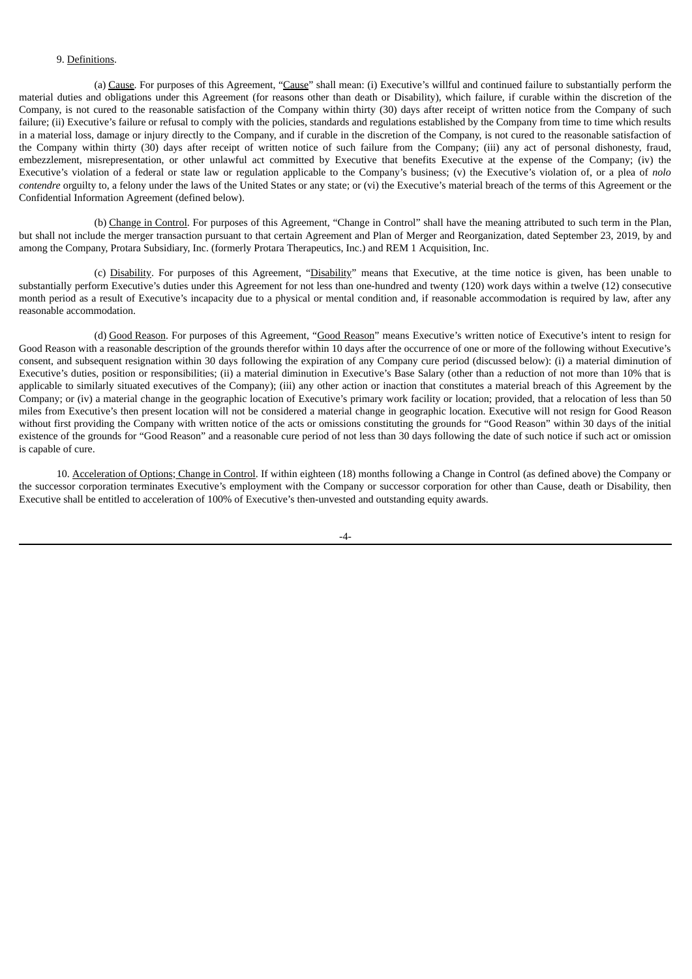# 9. Definitions.

(a) Cause. For purposes of this Agreement, "Cause" shall mean: (i) Executive's willful and continued failure to substantially perform the material duties and obligations under this Agreement (for reasons other than death or Disability), which failure, if curable within the discretion of the Company, is not cured to the reasonable satisfaction of the Company within thirty (30) days after receipt of written notice from the Company of such failure; (ii) Executive's failure or refusal to comply with the policies, standards and regulations established by the Company from time to time which results in a material loss, damage or injury directly to the Company, and if curable in the discretion of the Company, is not cured to the reasonable satisfaction of the Company within thirty (30) days after receipt of written notice of such failure from the Company; (iii) any act of personal dishonesty, fraud, embezzlement, misrepresentation, or other unlawful act committed by Executive that benefits Executive at the expense of the Company; (iv) the Executive's violation of a federal or state law or regulation applicable to the Company's business; (v) the Executive's violation of, or a plea of *nolo contendre* orguilty to, a felony under the laws of the United States or any state; or (vi) the Executive's material breach of the terms of this Agreement or the Confidential Information Agreement (defined below).

(b) Change in Control. For purposes of this Agreement, "Change in Control" shall have the meaning attributed to such term in the Plan, but shall not include the merger transaction pursuant to that certain Agreement and Plan of Merger and Reorganization, dated September 23, 2019, by and among the Company, Protara Subsidiary, Inc. (formerly Protara Therapeutics, Inc.) and REM 1 Acquisition, Inc.

(c) Disability. For purposes of this Agreement, "Disability" means that Executive, at the time notice is given, has been unable to substantially perform Executive's duties under this Agreement for not less than one-hundred and twenty (120) work days within a twelve (12) consecutive month period as a result of Executive's incapacity due to a physical or mental condition and, if reasonable accommodation is required by law, after any reasonable accommodation.

(d) Good Reason. For purposes of this Agreement, "Good Reason" means Executive's written notice of Executive's intent to resign for Good Reason with a reasonable description of the grounds therefor within 10 days after the occurrence of one or more of the following without Executive's consent, and subsequent resignation within 30 days following the expiration of any Company cure period (discussed below): (i) a material diminution of Executive's duties, position or responsibilities; (ii) a material diminution in Executive's Base Salary (other than a reduction of not more than 10% that is applicable to similarly situated executives of the Company); (iii) any other action or inaction that constitutes a material breach of this Agreement by the Company; or (iv) a material change in the geographic location of Executive's primary work facility or location; provided, that a relocation of less than 50 miles from Executive's then present location will not be considered a material change in geographic location. Executive will not resign for Good Reason without first providing the Company with written notice of the acts or omissions constituting the grounds for "Good Reason" within 30 days of the initial existence of the grounds for "Good Reason" and a reasonable cure period of not less than 30 days following the date of such notice if such act or omission is capable of cure.

10. Acceleration of Options; Change in Control. If within eighteen (18) months following a Change in Control (as defined above) the Company or the successor corporation terminates Executive's employment with the Company or successor corporation for other than Cause, death or Disability, then Executive shall be entitled to acceleration of 100% of Executive's then-unvested and outstanding equity awards.

 $-4-$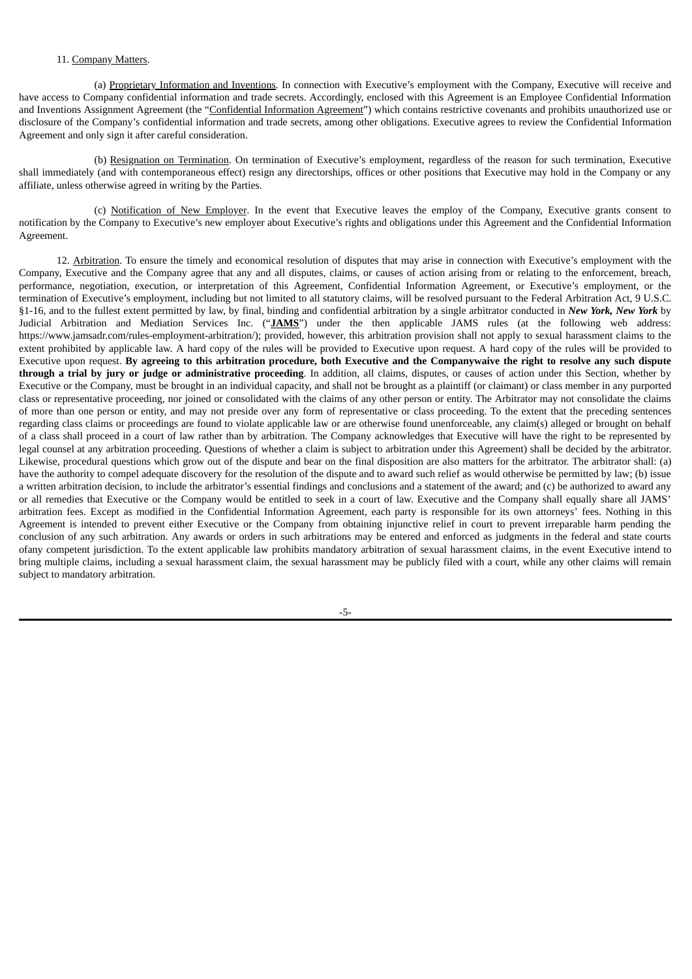# 11. Company Matters.

(a) Proprietary Information and Inventions. In connection with Executive's employment with the Company, Executive will receive and have access to Company confidential information and trade secrets. Accordingly, enclosed with this Agreement is an Employee Confidential Information and Inventions Assignment Agreement (the "Confidential Information Agreement") which contains restrictive covenants and prohibits unauthorized use or disclosure of the Company's confidential information and trade secrets, among other obligations. Executive agrees to review the Confidential Information Agreement and only sign it after careful consideration.

(b) Resignation on Termination. On termination of Executive's employment, regardless of the reason for such termination, Executive shall immediately (and with contemporaneous effect) resign any directorships, offices or other positions that Executive may hold in the Company or any affiliate, unless otherwise agreed in writing by the Parties.

(c) Notification of New Employer. In the event that Executive leaves the employ of the Company, Executive grants consent to notification by the Company to Executive's new employer about Executive's rights and obligations under this Agreement and the Confidential Information Agreement.

12. Arbitration. To ensure the timely and economical resolution of disputes that may arise in connection with Executive's employment with the Company, Executive and the Company agree that any and all disputes, claims, or causes of action arising from or relating to the enforcement, breach, performance, negotiation, execution, or interpretation of this Agreement, Confidential Information Agreement, or Executive's employment, or the termination of Executive's employment, including but not limited to all statutory claims, will be resolved pursuant to the Federal Arbitration Act, 9 U.S.C. §1-16, and to the fullest extent permitted by law, by final, binding and confidential arbitration by a single arbitrator conducted in *New York, New York* by Judicial Arbitration and Mediation Services Inc. ("**JAMS**") under the then applicable JAMS rules (at the following web address: https://www.jamsadr.com/rules-employment-arbitration/); provided, however, this arbitration provision shall not apply to sexual harassment claims to the extent prohibited by applicable law. A hard copy of the rules will be provided to Executive upon request. A hard copy of the rules will be provided to Executive upon request. By agreeing to this arbitration procedure, both Executive and the Companywaive the right to resolve any such dispute **through a trial by jury or judge or administrative proceeding**. In addition, all claims, disputes, or causes of action under this Section, whether by Executive or the Company, must be brought in an individual capacity, and shall not be brought as a plaintiff (or claimant) or class member in any purported class or representative proceeding, nor joined or consolidated with the claims of any other person or entity. The Arbitrator may not consolidate the claims of more than one person or entity, and may not preside over any form of representative or class proceeding. To the extent that the preceding sentences regarding class claims or proceedings are found to violate applicable law or are otherwise found unenforceable, any claim(s) alleged or brought on behalf of a class shall proceed in a court of law rather than by arbitration. The Company acknowledges that Executive will have the right to be represented by legal counsel at any arbitration proceeding. Questions of whether a claim is subject to arbitration under this Agreement) shall be decided by the arbitrator. Likewise, procedural questions which grow out of the dispute and bear on the final disposition are also matters for the arbitrator. The arbitrator shall: (a) have the authority to compel adequate discovery for the resolution of the dispute and to award such relief as would otherwise be permitted by law; (b) issue a written arbitration decision, to include the arbitrator's essential findings and conclusions and a statement of the award; and (c) be authorized to award any or all remedies that Executive or the Company would be entitled to seek in a court of law. Executive and the Company shall equally share all JAMS' arbitration fees. Except as modified in the Confidential Information Agreement, each party is responsible for its own attorneys' fees. Nothing in this Agreement is intended to prevent either Executive or the Company from obtaining injunctive relief in court to prevent irreparable harm pending the conclusion of any such arbitration. Any awards or orders in such arbitrations may be entered and enforced as judgments in the federal and state courts ofany competent jurisdiction. To the extent applicable law prohibits mandatory arbitration of sexual harassment claims, in the event Executive intend to bring multiple claims, including a sexual harassment claim, the sexual harassment may be publicly filed with a court, while any other claims will remain subject to mandatory arbitration.

-5-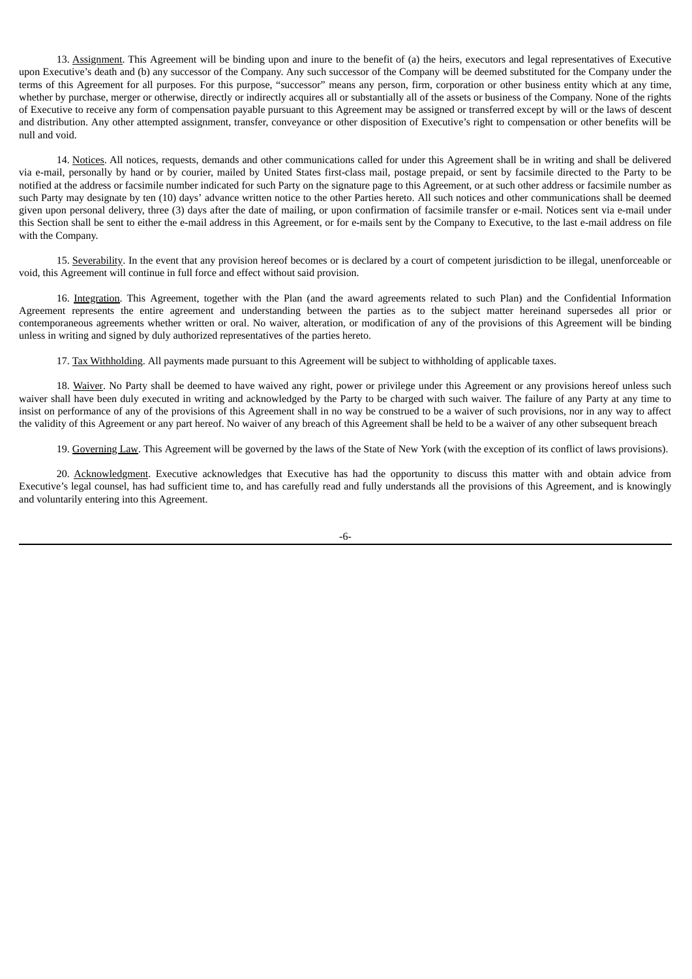13. Assignment. This Agreement will be binding upon and inure to the benefit of (a) the heirs, executors and legal representatives of Executive upon Executive's death and (b) any successor of the Company. Any such successor of the Company will be deemed substituted for the Company under the terms of this Agreement for all purposes. For this purpose, "successor" means any person, firm, corporation or other business entity which at any time, whether by purchase, merger or otherwise, directly or indirectly acquires all or substantially all of the assets or business of the Company. None of the rights of Executive to receive any form of compensation payable pursuant to this Agreement may be assigned or transferred except by will or the laws of descent and distribution. Any other attempted assignment, transfer, conveyance or other disposition of Executive's right to compensation or other benefits will be null and void.

14. Notices. All notices, requests, demands and other communications called for under this Agreement shall be in writing and shall be delivered via e-mail, personally by hand or by courier, mailed by United States first-class mail, postage prepaid, or sent by facsimile directed to the Party to be notified at the address or facsimile number indicated for such Party on the signature page to this Agreement, or at such other address or facsimile number as such Party may designate by ten (10) days' advance written notice to the other Parties hereto. All such notices and other communications shall be deemed given upon personal delivery, three (3) days after the date of mailing, or upon confirmation of facsimile transfer or e-mail. Notices sent via e-mail under this Section shall be sent to either the e-mail address in this Agreement, or for e-mails sent by the Company to Executive, to the last e-mail address on file with the Company.

15. Severability. In the event that any provision hereof becomes or is declared by a court of competent jurisdiction to be illegal, unenforceable or void, this Agreement will continue in full force and effect without said provision.

16. Integration. This Agreement, together with the Plan (and the award agreements related to such Plan) and the Confidential Information Agreement represents the entire agreement and understanding between the parties as to the subject matter hereinand supersedes all prior or contemporaneous agreements whether written or oral. No waiver, alteration, or modification of any of the provisions of this Agreement will be binding unless in writing and signed by duly authorized representatives of the parties hereto.

17. Tax Withholding. All payments made pursuant to this Agreement will be subject to withholding of applicable taxes.

18. Waiver. No Party shall be deemed to have waived any right, power or privilege under this Agreement or any provisions hereof unless such waiver shall have been duly executed in writing and acknowledged by the Party to be charged with such waiver. The failure of any Party at any time to insist on performance of any of the provisions of this Agreement shall in no way be construed to be a waiver of such provisions, nor in any way to affect the validity of this Agreement or any part hereof. No waiver of any breach of this Agreement shall be held to be a waiver of any other subsequent breach

19. Governing Law. This Agreement will be governed by the laws of the State of New York (with the exception of its conflict of laws provisions).

20. Acknowledgment. Executive acknowledges that Executive has had the opportunity to discuss this matter with and obtain advice from Executive's legal counsel, has had sufficient time to, and has carefully read and fully understands all the provisions of this Agreement, and is knowingly and voluntarily entering into this Agreement.

-6-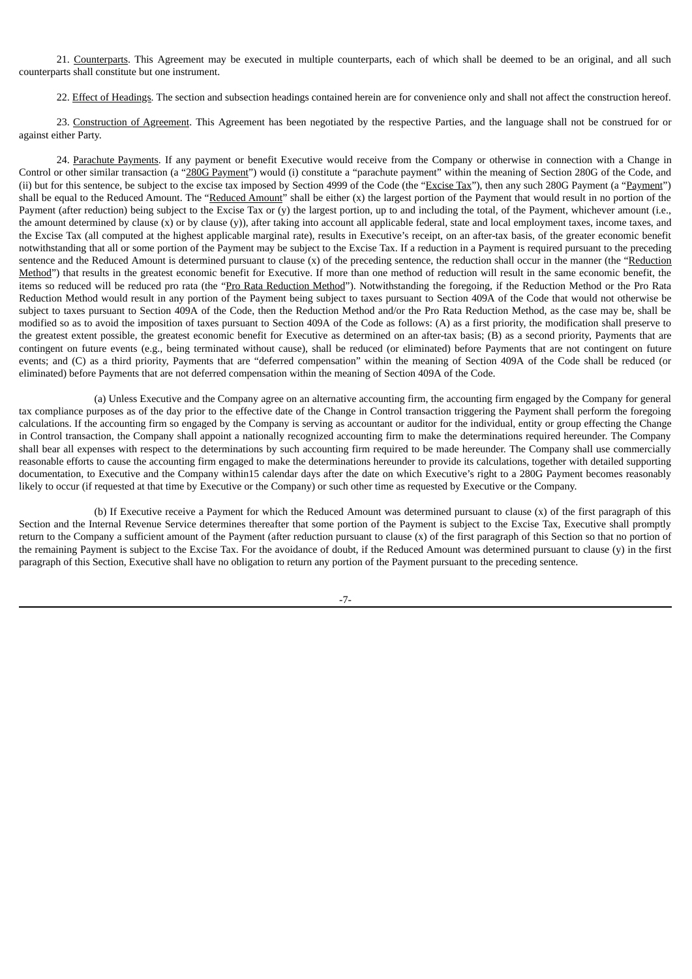21. Counterparts. This Agreement may be executed in multiple counterparts, each of which shall be deemed to be an original, and all such counterparts shall constitute but one instrument.

22. Effect of Headings. The section and subsection headings contained herein are for convenience only and shall not affect the construction hereof.

23. Construction of Agreement. This Agreement has been negotiated by the respective Parties, and the language shall not be construed for or against either Party.

24. Parachute Payments. If any payment or benefit Executive would receive from the Company or otherwise in connection with a Change in Control or other similar transaction (a "280G Payment") would (i) constitute a "parachute payment" within the meaning of Section 280G of the Code, and (ii) but for this sentence, be subject to the excise tax imposed by Section 4999 of the Code (the "Excise Tax"), then any such 280G Payment (a "Payment") shall be equal to the Reduced Amount. The "Reduced Amount" shall be either  $(x)$  the largest portion of the Payment that would result in no portion of the Payment (after reduction) being subject to the Excise Tax or (y) the largest portion, up to and including the total, of the Payment, whichever amount (i.e., the amount determined by clause (x) or by clause (y)), after taking into account all applicable federal, state and local employment taxes, income taxes, and the Excise Tax (all computed at the highest applicable marginal rate), results in Executive's receipt, on an after-tax basis, of the greater economic benefit notwithstanding that all or some portion of the Payment may be subject to the Excise Tax. If a reduction in a Payment is required pursuant to the preceding sentence and the Reduced Amount is determined pursuant to clause  $(x)$  of the preceding sentence, the reduction shall occur in the manner (the "Reduction Method") that results in the greatest economic benefit for Executive. If more than one method of reduction will result in the same economic benefit, the items so reduced will be reduced pro rata (the "Pro Rata Reduction Method"). Notwithstanding the foregoing, if the Reduction Method or the Pro Rata Reduction Method would result in any portion of the Payment being subject to taxes pursuant to Section 409A of the Code that would not otherwise be subject to taxes pursuant to Section 409A of the Code, then the Reduction Method and/or the Pro Rata Reduction Method, as the case may be, shall be modified so as to avoid the imposition of taxes pursuant to Section 409A of the Code as follows: (A) as a first priority, the modification shall preserve to the greatest extent possible, the greatest economic benefit for Executive as determined on an after-tax basis; (B) as a second priority, Payments that are contingent on future events (e.g., being terminated without cause), shall be reduced (or eliminated) before Payments that are not contingent on future events; and (C) as a third priority, Payments that are "deferred compensation" within the meaning of Section 409A of the Code shall be reduced (or eliminated) before Payments that are not deferred compensation within the meaning of Section 409A of the Code.

(a) Unless Executive and the Company agree on an alternative accounting firm, the accounting firm engaged by the Company for general tax compliance purposes as of the day prior to the effective date of the Change in Control transaction triggering the Payment shall perform the foregoing calculations. If the accounting firm so engaged by the Company is serving as accountant or auditor for the individual, entity or group effecting the Change in Control transaction, the Company shall appoint a nationally recognized accounting firm to make the determinations required hereunder. The Company shall bear all expenses with respect to the determinations by such accounting firm required to be made hereunder. The Company shall use commercially reasonable efforts to cause the accounting firm engaged to make the determinations hereunder to provide its calculations, together with detailed supporting documentation, to Executive and the Company within15 calendar days after the date on which Executive's right to a 280G Payment becomes reasonably likely to occur (if requested at that time by Executive or the Company) or such other time as requested by Executive or the Company.

(b) If Executive receive a Payment for which the Reduced Amount was determined pursuant to clause (x) of the first paragraph of this Section and the Internal Revenue Service determines thereafter that some portion of the Payment is subject to the Excise Tax, Executive shall promptly return to the Company a sufficient amount of the Payment (after reduction pursuant to clause (x) of the first paragraph of this Section so that no portion of the remaining Payment is subject to the Excise Tax. For the avoidance of doubt, if the Reduced Amount was determined pursuant to clause (y) in the first paragraph of this Section, Executive shall have no obligation to return any portion of the Payment pursuant to the preceding sentence.

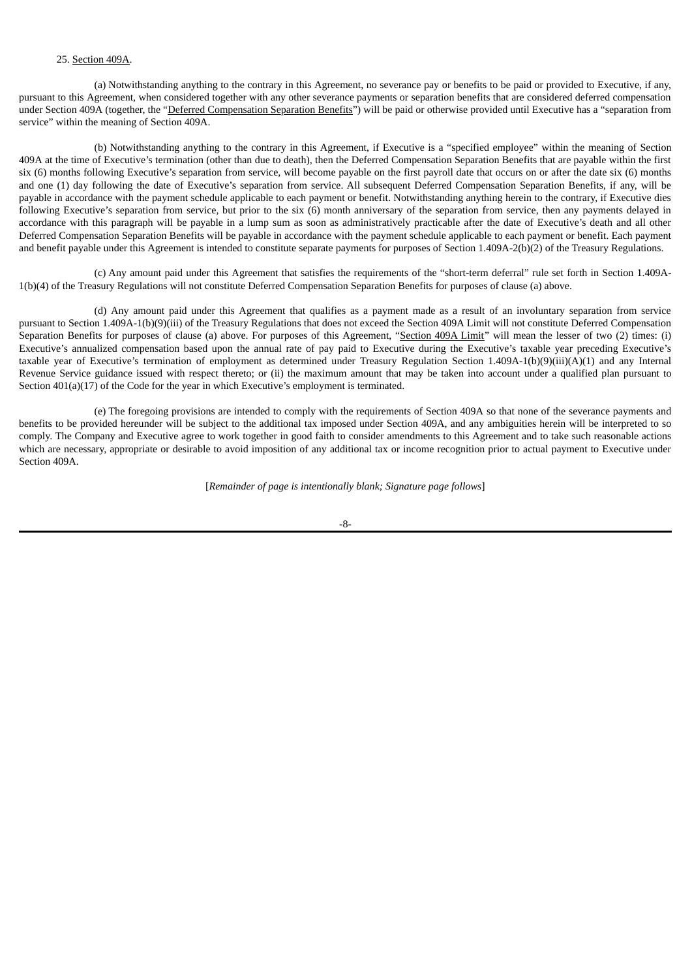### 25. Section 409A.

(a) Notwithstanding anything to the contrary in this Agreement, no severance pay or benefits to be paid or provided to Executive, if any, pursuant to this Agreement, when considered together with any other severance payments or separation benefits that are considered deferred compensation under Section 409A (together, the "Deferred Compensation Separation Benefits") will be paid or otherwise provided until Executive has a "separation from service" within the meaning of Section 409A.

(b) Notwithstanding anything to the contrary in this Agreement, if Executive is a "specified employee" within the meaning of Section 409A at the time of Executive's termination (other than due to death), then the Deferred Compensation Separation Benefits that are payable within the first six (6) months following Executive's separation from service, will become payable on the first payroll date that occurs on or after the date six (6) months and one (1) day following the date of Executive's separation from service. All subsequent Deferred Compensation Separation Benefits, if any, will be payable in accordance with the payment schedule applicable to each payment or benefit. Notwithstanding anything herein to the contrary, if Executive dies following Executive's separation from service, but prior to the six (6) month anniversary of the separation from service, then any payments delayed in accordance with this paragraph will be payable in a lump sum as soon as administratively practicable after the date of Executive's death and all other Deferred Compensation Separation Benefits will be payable in accordance with the payment schedule applicable to each payment or benefit. Each payment and benefit payable under this Agreement is intended to constitute separate payments for purposes of Section 1.409A-2(b)(2) of the Treasury Regulations.

(c) Any amount paid under this Agreement that satisfies the requirements of the "short-term deferral" rule set forth in Section 1.409A-1(b)(4) of the Treasury Regulations will not constitute Deferred Compensation Separation Benefits for purposes of clause (a) above.

(d) Any amount paid under this Agreement that qualifies as a payment made as a result of an involuntary separation from service pursuant to Section 1.409A-1(b)(9)(iii) of the Treasury Regulations that does not exceed the Section 409A Limit will not constitute Deferred Compensation Separation Benefits for purposes of clause (a) above. For purposes of this Agreement, "Section 409A Limit" will mean the lesser of two (2) times: (i) Executive's annualized compensation based upon the annual rate of pay paid to Executive during the Executive's taxable year preceding Executive's taxable year of Executive's termination of employment as determined under Treasury Regulation Section 1.409A-1(b)(9)(iii)(A)(1) and any Internal Revenue Service guidance issued with respect thereto; or (ii) the maximum amount that may be taken into account under a qualified plan pursuant to Section 401(a)(17) of the Code for the year in which Executive's employment is terminated.

(e) The foregoing provisions are intended to comply with the requirements of Section 409A so that none of the severance payments and benefits to be provided hereunder will be subject to the additional tax imposed under Section 409A, and any ambiguities herein will be interpreted to so comply. The Company and Executive agree to work together in good faith to consider amendments to this Agreement and to take such reasonable actions which are necessary, appropriate or desirable to avoid imposition of any additional tax or income recognition prior to actual payment to Executive under Section 409A.

[*Remainder of page is intentionally blank; Signature page follows*]

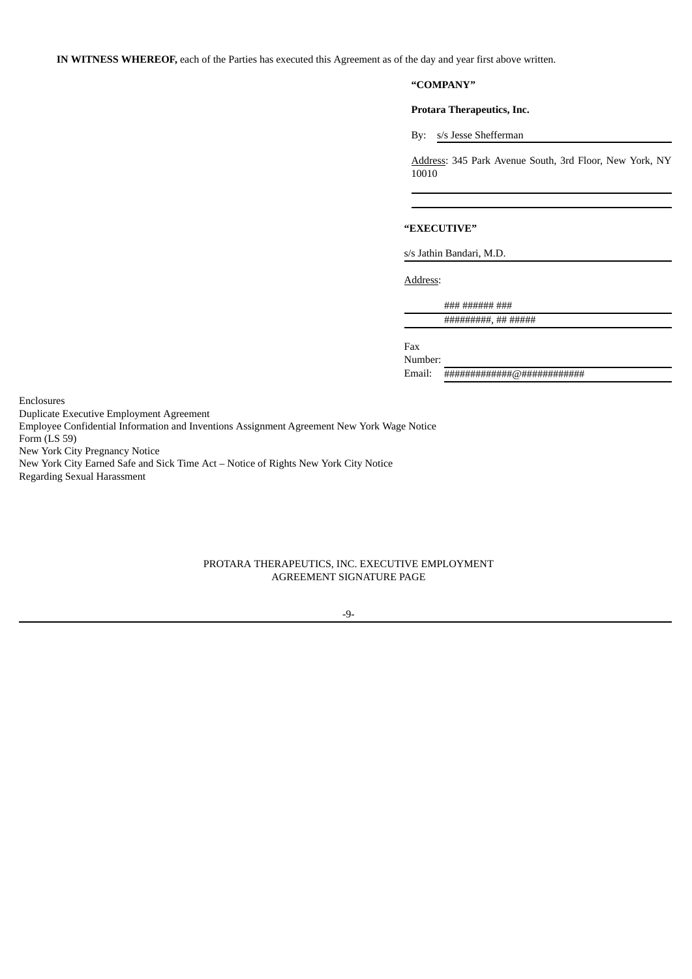**IN WITNESS WHEREOF,** each of the Parties has executed this Agreement as of the day and year first above written.

# **"COMPANY"**

# **Protara Therapeutics, Inc.**

By: s/s Jesse Shefferman

Address: 345 Park Avenue South, 3rd Floor, New York, NY 10010

### **"EXECUTIVE"**

s/s Jathin Bandari, M.D.

Address:

### ###### ### #########, ## #####

Fax Number:

Email: #############@############

Enclosures Duplicate Executive Employment Agreement Employee Confidential Information and Inventions Assignment Agreement New York Wage Notice Form (LS 59) New York City Pregnancy Notice New York City Earned Safe and Sick Time Act – Notice of Rights New York City Notice Regarding Sexual Harassment

# PROTARA THERAPEUTICS, INC. EXECUTIVE EMPLOYMENT AGREEMENT SIGNATURE PAGE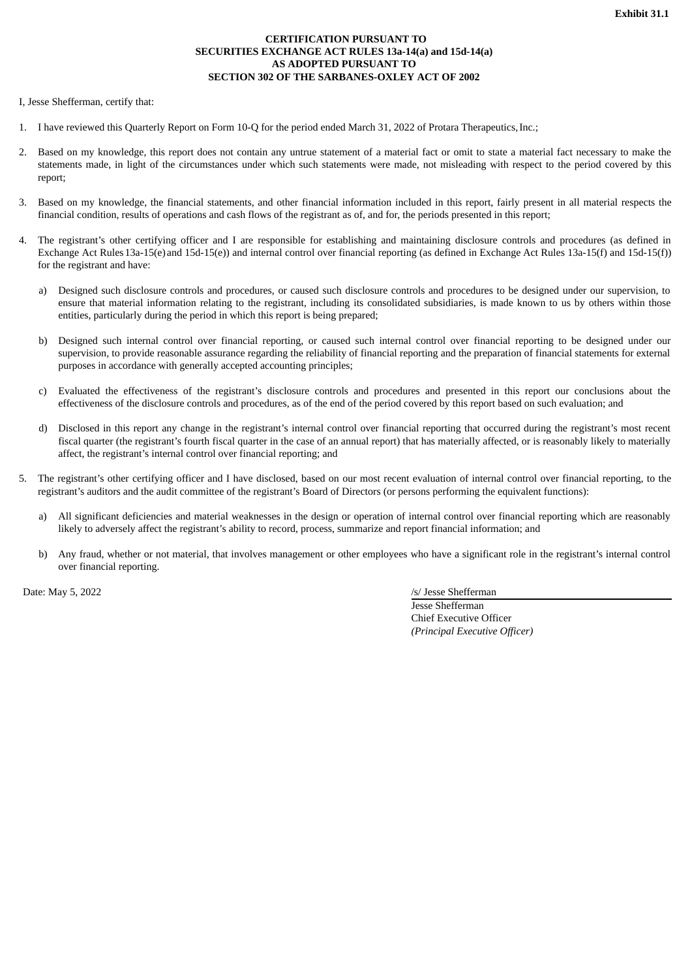# **CERTIFICATION PURSUANT TO SECURITIES EXCHANGE ACT RULES 13a-14(a) and 15d-14(a) AS ADOPTED PURSUANT TO SECTION 302 OF THE SARBANES-OXLEY ACT OF 2002**

<span id="page-71-0"></span>I, Jesse Shefferman, certify that:

- 1. I have reviewed this Quarterly Report on Form 10-Q for the period ended March 31, 2022 of Protara Therapeutics,Inc.;
- 2. Based on my knowledge, this report does not contain any untrue statement of a material fact or omit to state a material fact necessary to make the statements made, in light of the circumstances under which such statements were made, not misleading with respect to the period covered by this report;
- 3. Based on my knowledge, the financial statements, and other financial information included in this report, fairly present in all material respects the financial condition, results of operations and cash flows of the registrant as of, and for, the periods presented in this report;
- 4. The registrant's other certifying officer and I are responsible for establishing and maintaining disclosure controls and procedures (as defined in Exchange Act Rules 13a-15(e) and 15d-15(e)) and internal control over financial reporting (as defined in Exchange Act Rules 13a-15(f) and 15d-15(f)) for the registrant and have:
	- a) Designed such disclosure controls and procedures, or caused such disclosure controls and procedures to be designed under our supervision, to ensure that material information relating to the registrant, including its consolidated subsidiaries, is made known to us by others within those entities, particularly during the period in which this report is being prepared;
	- b) Designed such internal control over financial reporting, or caused such internal control over financial reporting to be designed under our supervision, to provide reasonable assurance regarding the reliability of financial reporting and the preparation of financial statements for external purposes in accordance with generally accepted accounting principles;
	- c) Evaluated the effectiveness of the registrant's disclosure controls and procedures and presented in this report our conclusions about the effectiveness of the disclosure controls and procedures, as of the end of the period covered by this report based on such evaluation; and
	- d) Disclosed in this report any change in the registrant's internal control over financial reporting that occurred during the registrant's most recent fiscal quarter (the registrant's fourth fiscal quarter in the case of an annual report) that has materially affected, or is reasonably likely to materially affect, the registrant's internal control over financial reporting; and
- 5. The registrant's other certifying officer and I have disclosed, based on our most recent evaluation of internal control over financial reporting, to the registrant's auditors and the audit committee of the registrant's Board of Directors (or persons performing the equivalent functions):
	- a) All significant deficiencies and material weaknesses in the design or operation of internal control over financial reporting which are reasonably likely to adversely affect the registrant's ability to record, process, summarize and report financial information; and
	- b) Any fraud, whether or not material, that involves management or other employees who have a significant role in the registrant's internal control over financial reporting.

Date: May 5, 2022 /s/ Jesse Shefferman

Jesse Shefferman Chief Executive Officer *(Principal Executive Officer)*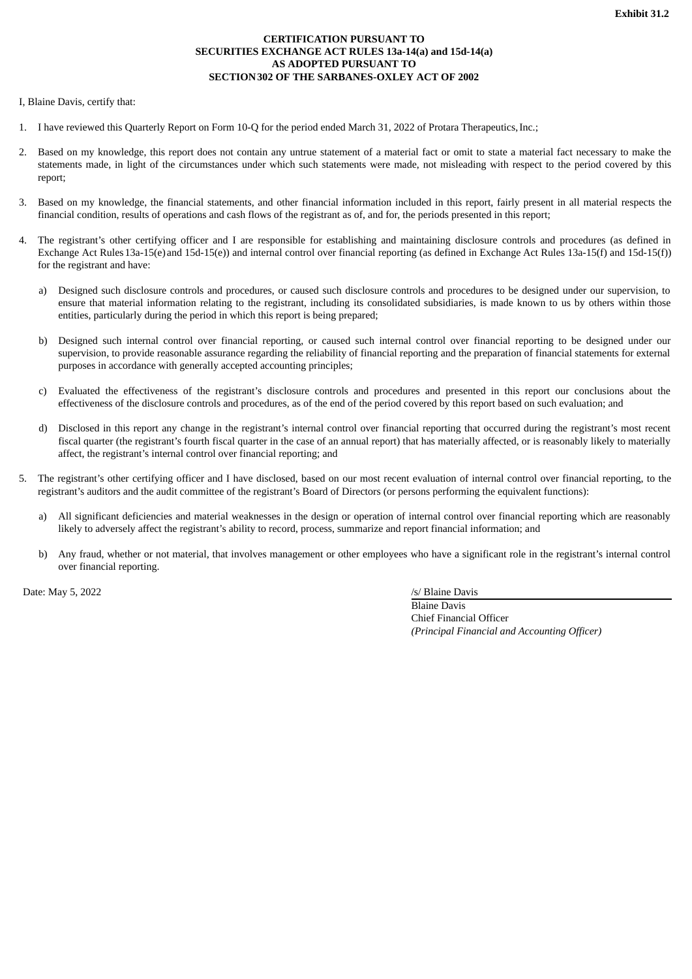## **CERTIFICATION PURSUANT TO SECURITIES EXCHANGE ACT RULES 13a-14(a) and 15d-14(a) AS ADOPTED PURSUANT TO SECTION302 OF THE SARBANES-OXLEY ACT OF 2002**

I, Blaine Davis, certify that:

- 1. I have reviewed this Quarterly Report on Form 10-Q for the period ended March 31, 2022 of Protara Therapeutics,Inc.;
- 2. Based on my knowledge, this report does not contain any untrue statement of a material fact or omit to state a material fact necessary to make the statements made, in light of the circumstances under which such statements were made, not misleading with respect to the period covered by this report;
- 3. Based on my knowledge, the financial statements, and other financial information included in this report, fairly present in all material respects the financial condition, results of operations and cash flows of the registrant as of, and for, the periods presented in this report;
- 4. The registrant's other certifying officer and I are responsible for establishing and maintaining disclosure controls and procedures (as defined in Exchange Act Rules 13a-15(e) and 15d-15(e)) and internal control over financial reporting (as defined in Exchange Act Rules 13a-15(f) and 15d-15(f)) for the registrant and have:
	- a) Designed such disclosure controls and procedures, or caused such disclosure controls and procedures to be designed under our supervision, to ensure that material information relating to the registrant, including its consolidated subsidiaries, is made known to us by others within those entities, particularly during the period in which this report is being prepared;
	- b) Designed such internal control over financial reporting, or caused such internal control over financial reporting to be designed under our supervision, to provide reasonable assurance regarding the reliability of financial reporting and the preparation of financial statements for external purposes in accordance with generally accepted accounting principles;
	- c) Evaluated the effectiveness of the registrant's disclosure controls and procedures and presented in this report our conclusions about the effectiveness of the disclosure controls and procedures, as of the end of the period covered by this report based on such evaluation; and
	- d) Disclosed in this report any change in the registrant's internal control over financial reporting that occurred during the registrant's most recent fiscal quarter (the registrant's fourth fiscal quarter in the case of an annual report) that has materially affected, or is reasonably likely to materially affect, the registrant's internal control over financial reporting; and
- 5. The registrant's other certifying officer and I have disclosed, based on our most recent evaluation of internal control over financial reporting, to the registrant's auditors and the audit committee of the registrant's Board of Directors (or persons performing the equivalent functions):
	- a) All significant deficiencies and material weaknesses in the design or operation of internal control over financial reporting which are reasonably likely to adversely affect the registrant's ability to record, process, summarize and report financial information; and
	- b) Any fraud, whether or not material, that involves management or other employees who have a significant role in the registrant's internal control over financial reporting.

Date: May 5, 2022 /s/ Blaine Davis

Blaine Davis Chief Financial Officer *(Principal Financial and Accounting Officer)*